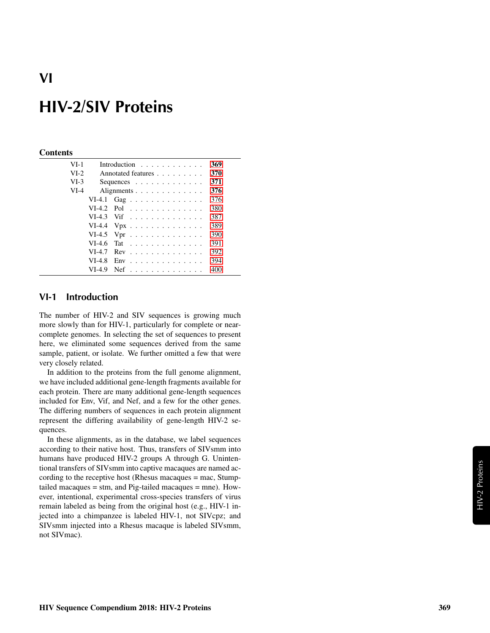# **HIV-2/SIV Proteins**

### **Contents**

| $VI-1$ |          | Introduction $\ldots$ ,                    | 369 |  |
|--------|----------|--------------------------------------------|-----|--|
| $VI-2$ |          | Annotated features                         | 370 |  |
| $VI-3$ |          | Sequences $\ldots$ , $\ldots$ , $\ldots$   | 371 |  |
| $VI-4$ |          | Alignments                                 | 376 |  |
|        |          | VI-4.1 Gag                                 | 376 |  |
|        |          | $VI-4.2$ Pol                               | 380 |  |
|        |          | $VI-4.3$ Vif                               | 387 |  |
|        |          | VI-4.4 $Vpx$                               | 389 |  |
|        |          | VI-4.5 Vpr $\dots \dots \dots \dots \dots$ | 390 |  |
|        | $VI-4.6$ | Tat                                        | 391 |  |
|        | $VI-4.7$ | $Rev \dots \dots \dots \dots \dots$        | 392 |  |
|        | $VI-4.8$ | $Env$                                      | 394 |  |
|        | $VI-4.9$ | <b>Nef</b><br>.                            | 400 |  |

### <span id="page-0-0"></span>**VI-1 Introduction**

The number of HIV-2 and SIV sequences is growing much more slowly than for HIV-1, particularly for complete or nearcomplete genomes. In selecting the set of sequences to present here, we eliminated some sequences derived from the same sample, patient, or isolate. We further omitted a few that were very closely related.

In addition to the proteins from the full genome alignment, we have included additional gene-length fragments available for each protein. There are many additional gene-length sequences included for Env, Vif, and Nef, and a few for the other genes. The differing numbers of sequences in each protein alignment represent the differing availability of gene-length HIV-2 sequences.

In these alignments, as in the database, we label sequences according to their native host. Thus, transfers of SIVsmm into humans have produced HIV-2 groups A through G. Unintentional transfers of SIVsmm into captive macaques are named according to the receptive host (Rhesus macaques = mac, Stumptailed macaques = stm, and Pig-tailed macaques = mne). However, intentional, experimental cross-species transfers of virus remain labeled as being from the original host (e.g., HIV-1 injected into a chimpanzee is labeled HIV-1, not SIVcpz; and SIVsmm injected into a Rhesus macaque is labeled SIVsmm, not SIVmac).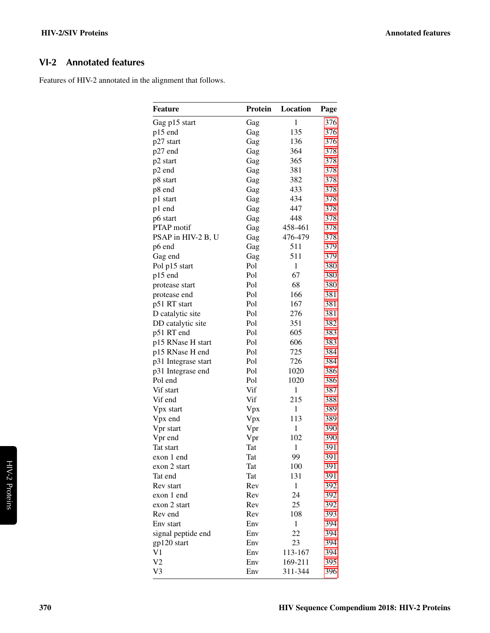# <span id="page-1-0"></span>**VI-2 Annotated features**

Features of HIV-2 annotated in the alignment that follows.

| <b>Feature</b>      | Protein | Location     | Page |
|---------------------|---------|--------------|------|
| Gag p15 start       | Gag     | $\mathbf{1}$ | 376  |
| p15 end             | Gag     | 135          | 376  |
| p27 start           | Gag     | 136          | 376  |
| p27 end             | Gag     | 364          | 378  |
| p2 start            | Gag     | 365          | 378  |
| p2 end              | Gag     | 381          | 378  |
| p8 start            | Gag     | 382          | 378  |
| p8 end              | Gag     | 433          | 378  |
| p1 start            | Gag     | 434          | 378  |
| p1 end              | Gag     | 447          | 378  |
| p6 start            | Gag     | 448          | 378  |
| <b>PTAP</b> motif   | Gag     | 458-461      | 378  |
| PSAP in HIV-2 B, U  | Gag     | 476-479      | 378  |
| p6 end              | Gag     | 511          | 379  |
| Gag end             | Gag     | 511          | 379  |
| Pol p15 start       | Pol     | $\mathbf{1}$ | 380  |
| p15 end             | Pol     | 67           | 380  |
| protease start      | Pol     | 68           | 380  |
| protease end        | Pol     | 166          | 381  |
| p51 RT start        | Pol     | 167          | 381  |
| D catalytic site    | Pol     | 276          | 381  |
| DD catalytic site   | Pol     | 351          | 382  |
| p51 RT end          | Pol     | 605          | 383  |
| p15 RNase H start   | Pol     | 606          | 383  |
| p15 RNase H end     | Pol     | 725          | 384  |
|                     | Pol     | 726          | 384  |
| p31 Integrase start | Pol     | 1020         | 386  |
| p31 Integrase end   | Pol     | 1020         |      |
| Pol end             |         |              | 386  |
| Vif start           | Vif     | $\mathbf{1}$ | 387  |
| Vif end             | Vif     | 215          | 388  |
| Vpx start           | Vpx     | $\mathbf{1}$ | 389  |
| Vpx end             | Vpx     | 113          | 389  |
| Vpr start           | Vpr     | $\mathbf{1}$ | 390  |
| Vpr end             | Vpr     | 102          | 390  |
| Tat start           | Tat     | $\mathbf{1}$ | 391  |
| exon 1 end          | Tat     | 99           | 391  |
| exon 2 start        | Tat     | 100          | 391  |
| Tat end             | Tat     | 131          | 391  |
| Rev start           | Rev     | 1            | 392  |
| exon 1 end          | Rev     | 24           | 392  |
| exon 2 start        | Rev     | 25           | 392  |
| Rev end             | Rev     | 108          | 393  |
| Env start           | Env     | 1            | 394  |
| signal peptide end  | Env     | 22           | 394  |
| gp120 start         | Env     | 23           | 394  |
| V1                  | Env     | 113-167      | 394  |
| V2                  | Env     | 169-211      | 395  |
| V3                  | Env     | 311-344      | 396  |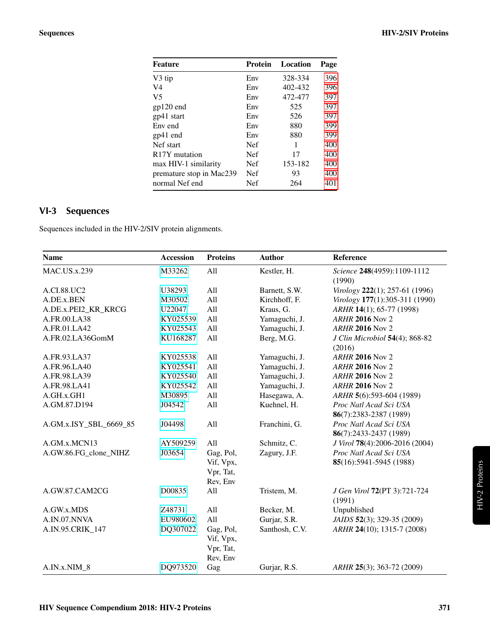| <b>Feature</b>             | Protein    | Location | Page |
|----------------------------|------------|----------|------|
| V3 tip                     | Env        | 328-334  | 396  |
| V <sub>4</sub>             | Env        | 402-432  | 396  |
| V <sub>5</sub>             | Env        | 472-477  | 397  |
| $gp120$ end                | Env        | 525      | 397  |
| gp41 start                 | Env        | 526      | 397  |
| Env end                    | Env        | 880      | 399  |
| $gp41$ end                 | Env        | 880      | 399  |
| Nef start                  | <b>Nef</b> | 1        | 400  |
| R <sub>17</sub> Y mutation | <b>Nef</b> | 17       | 400  |
| max HIV-1 similarity       | <b>Nef</b> | 153-182  | 400  |
| premature stop in Mac239   | <b>Nef</b> | 93       | 400  |
| normal Nef end             | Nef        | 264      | 401  |
|                            |            |          |      |

# <span id="page-2-0"></span>**VI-3 Sequences**

Sequences included in the HIV-2/SIV protein alignments.

| <b>Name</b>            | <b>Accession</b>             | <b>Proteins</b> | <b>Author</b>  | Reference                                |
|------------------------|------------------------------|-----------------|----------------|------------------------------------------|
| <b>MAC.US.x.239</b>    | M33262<br>All<br>Kestler, H. |                 |                | Science 248(4959):1109-1112<br>(1990)    |
| A.CI.88.UC2            | U38293                       | All             | Barnett, S.W.  | Virology 222(1); 257-61 (1996)           |
| A.DE.x.BEN             | M30502                       | All             | Kirchhoff, F.  | Virology 177(1):305-311 (1990)           |
| A.DE.x.PEI2_KR_KRCG    | U22047                       | All             | Kraus, G.      | ARHR 14(1); 65-77 (1998)                 |
| A.FR.00.LA38           | KY025539                     | All             | Yamaguchi, J.  | <b>ARHR 2016 Nov 2</b>                   |
| A.FR.01.LA42           | KY025543                     | All             | Yamaguchi, J.  | <b>ARHR 2016 Nov 2</b>                   |
| A.FR.02.LA36GomM       | KU168287                     | All             | Berg, M.G.     | J Clin Microbiol 54(4); 868-82<br>(2016) |
| A.FR.93.LA37           | KY025538                     | All             | Yamaguchi, J.  | <b>ARHR 2016 Nov 2</b>                   |
| A.FR.96.LA40           | KY025541                     | All             | Yamaguchi, J.  | <b>ARHR 2016 Nov 2</b>                   |
| A.FR.98.LA39           | KY025540                     | All             | Yamaguchi, J.  | <b>ARHR 2016 Nov 2</b>                   |
| A.FR.98.LA41           | KY025542                     | All             | Yamaguchi, J.  | <b>ARHR 2016 Nov 2</b>                   |
| A.GH.x.GH1             | M30895                       | All             | Hasegawa, A.   | ARHR 5(6):593-604 (1989)                 |
| A.GM.87.D194           | J04542                       | All             | Kuehnel, H.    | Proc Natl Acad Sci USA                   |
|                        |                              |                 |                | 86(7):2383-2387 (1989)                   |
| A.GM.x.ISY_SBL_6669_85 | J04498                       | All             | Franchini, G.  | Proc Natl Acad Sci USA                   |
|                        |                              |                 |                | 86(7):2433-2437 (1989)                   |
| A.GM.x.MCN13           | AY509259                     | All             | Schmitz, C.    | J Virol 78(4):2006-2016 (2004)           |
| A.GW.86.FG_clone_NIHZ  | J03654                       | Gag, Pol,       | Zagury, J.F.   | Proc Natl Acad Sci USA                   |
|                        |                              | Vif, Vpx,       |                | 85(16):5941-5945 (1988)                  |
|                        |                              | Vpr, Tat,       |                |                                          |
|                        |                              | Rev, Env        |                |                                          |
| A.GW.87.CAM2CG         | D00835                       | All             | Tristem, M.    | J Gen Virol 72(PT 3):721-724<br>(1991)   |
| A.GW.x.MDS             | Z48731                       | All             | Becker, M.     | Unpublished                              |
| A.IN.07.NNVA           | EU980602                     | All             | Gurjar, S.R.   | JAIDS 52(3); 329-35 (2009)               |
| A.IN.95.CRIK_147       | DQ307022                     | Gag, Pol,       | Santhosh, C.V. | ARHR 24(10); 1315-7 (2008)               |
|                        |                              | Vif, Vpx,       |                |                                          |
|                        |                              | Vpr, Tat,       |                |                                          |
|                        |                              | Rev, Env        |                |                                          |
| A.IN.x.NIM_8           | DQ973520                     | Gag             | Gurjar, R.S.   | ARHR 25(3); 363-72 (2009)                |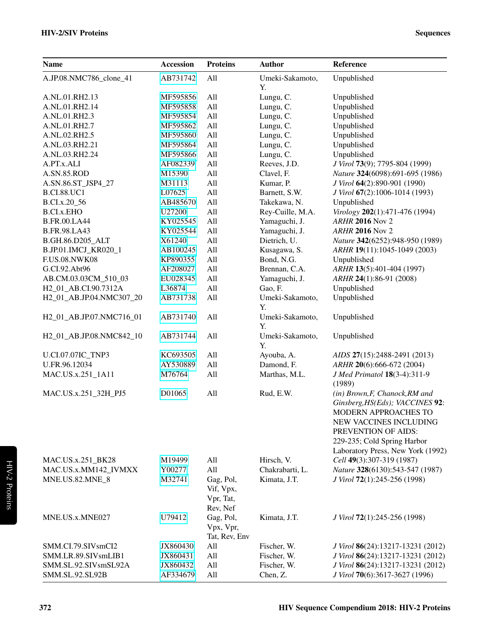| <b>Name</b>                       | Accession | <b>Proteins</b>                                 | <b>Author</b>         | Reference                                                                                                                                                                                                      |
|-----------------------------------|-----------|-------------------------------------------------|-----------------------|----------------------------------------------------------------------------------------------------------------------------------------------------------------------------------------------------------------|
| A.JP.08.NMC786_clone_41           | AB731742  | All                                             | Umeki-Sakamoto,<br>Υ. | Unpublished                                                                                                                                                                                                    |
| A.NL.01.RH2.13                    | MF595856  | All                                             | Lungu, C.             | Unpublished                                                                                                                                                                                                    |
| A.NL.01.RH2.14                    | MF595858  | All                                             | Lungu, C.             | Unpublished                                                                                                                                                                                                    |
| A.NL.01.RH2.3                     | MF595854  | All                                             | Lungu, C.             | Unpublished                                                                                                                                                                                                    |
| A.NL.01.RH2.7                     | MF595862  | All                                             | Lungu, C.             | Unpublished                                                                                                                                                                                                    |
| A.NL.02.RH2.5                     | MF595860  | All                                             | Lungu, C.             | Unpublished                                                                                                                                                                                                    |
| A.NL.03.RH2.21                    | MF595864  | All                                             | Lungu, C.             | Unpublished                                                                                                                                                                                                    |
| A.NL.03.RH2.24                    | MF595866  | All                                             | Lungu, C.             | Unpublished                                                                                                                                                                                                    |
| A.PT.x.ALI                        | AF082339  | All                                             | Reeves, J.D.          | J Virol 73(9); 7795-804 (1999)                                                                                                                                                                                 |
| A.SN.85.ROD                       | M15390    | All                                             | Clavel, F.            | Nature 324(6098):691-695 (1986)                                                                                                                                                                                |
| A.SN.86.ST_JSP4_27                | M31113    | All                                             | Kumar, P.             | J Virol 64(2):890-901 (1990)                                                                                                                                                                                   |
| <b>B.CI.88.UC1</b>                | L07625    | All                                             | Barnett, S.W.         | J Virol 67(2):1006-1014 (1993)                                                                                                                                                                                 |
| B.CI.x.20_56                      | AB485670  | All                                             | Takekawa, N.          | Unpublished                                                                                                                                                                                                    |
| <b>B.CI.x.EHO</b>                 | U27200    | All                                             | Rey-Cuille, M.A.      | Virology 202(1):471-476 (1994)                                                                                                                                                                                 |
| <b>B.FR.00.LA44</b>               | KY025545  | All                                             | Yamaguchi, J.         | <b>ARHR 2016 Nov 2</b>                                                                                                                                                                                         |
| <b>B.FR.98.LA43</b>               | KY025544  | All                                             | Yamaguchi, J.         | <b>ARHR 2016 Nov 2</b>                                                                                                                                                                                         |
| B.GH.86.D205_ALT                  | X61240    | All                                             | Dietrich, U.          | Nature 342(6252):948-950 (1989)                                                                                                                                                                                |
| B.JP.01.IMCJ_KR020_1              | AB100245  | All                                             | Kusagawa, S.          | ARHR 19(11):1045-1049 (2003)                                                                                                                                                                                   |
| <b>F.US.08.NWK08</b>              | KP890355  | All                                             | Bond, N.G.            | Unpublished                                                                                                                                                                                                    |
| G.CI.92.Abt96                     | AF208027  | All                                             | Brennan, C.A.         | ARHR 13(5):401-404 (1997)                                                                                                                                                                                      |
| AB.CM.03.03CM_510_03              | EU028345  | All                                             | Yamaguchi, J.         | ARHR 24(1):86-91 (2008)                                                                                                                                                                                        |
| H <sub>2_01_AB</sub> .CI.90.7312A | L36874    | All                                             | Gao, F.               | Unpublished                                                                                                                                                                                                    |
| H2_01_AB.JP.04.NMC307_20          | AB731738  | All                                             | Umeki-Sakamoto,<br>Y. | Unpublished                                                                                                                                                                                                    |
| H2_01_AB.JP.07.NMC716_01          | AB731740  | All                                             | Umeki-Sakamoto,<br>Y. | Unpublished                                                                                                                                                                                                    |
| H2_01_AB.JP.08.NMC842_10          | AB731744  | All                                             | Umeki-Sakamoto,<br>Y. | Unpublished                                                                                                                                                                                                    |
| U.CI.07.07IC_TNP3                 | KC693505  | All                                             | Ayouba, A.            | AIDS 27(15):2488-2491 (2013)                                                                                                                                                                                   |
| U.FR.96.12034                     | AY530889  | All                                             | Damond, F.            | ARHR 20(6):666-672 (2004)                                                                                                                                                                                      |
| MAC.US.x.251_1A11                 | M76764    | All                                             | Marthas, M.L.         | J Med Primatol 18(3-4):311-9<br>(1989)                                                                                                                                                                         |
| MAC.US.x.251_32H_PJ5              | D01065    | All                                             | Rud, E.W.             | (in) Brown, F, Chanock, RM and<br>Ginsberg, HS(Eds); VACCINES 92:<br>MODERN APPROACHES TO<br>NEW VACCINES INCLUDING<br>PREVENTION OF AIDS:<br>229-235; Cold Spring Harbor<br>Laboratory Press, New York (1992) |
| MAC.US.x.251_BK28                 | M19499    | All                                             | Hirsch, V.            | Cell 49(3):307-319 (1987)                                                                                                                                                                                      |
| MAC.US.x.MM142_IVMXX              | Y00277    | All                                             | Chakrabarti, L.       | Nature 328(6130):543-547 (1987)                                                                                                                                                                                |
| MNE.US.82.MNE_8                   | M32741    | Gag, Pol,<br>Vif, Vpx,<br>Vpr, Tat,<br>Rev, Nef | Kimata, J.T.          | J Virol 72(1):245-256 (1998)                                                                                                                                                                                   |
| MNE.US.x.MNE027                   | U79412    | Gag, Pol,<br>Vpx, Vpr,<br>Tat, Rev, Env         | Kimata, J.T.          | J Virol 72(1):245-256 (1998)                                                                                                                                                                                   |
| SMM.CI.79.SIVsmCI2                | JX860430  | All                                             | Fischer, W.           | J Virol 86(24):13217-13231 (2012)                                                                                                                                                                              |
| SMM.LR.89.SIVsmLIB1               | JX860431  | All                                             | Fischer, W.           | J Virol 86(24):13217-13231 (2012)                                                                                                                                                                              |
| SMM.SL.92.SIVsmSL92A              | JX860432  | All                                             | Fischer, W.           | J Virol 86(24):13217-13231 (2012)                                                                                                                                                                              |
| SMM.SL.92.SL92B                   | AF334679  | All                                             | Chen, Z.              | J Virol 70(6):3617-3627 (1996)                                                                                                                                                                                 |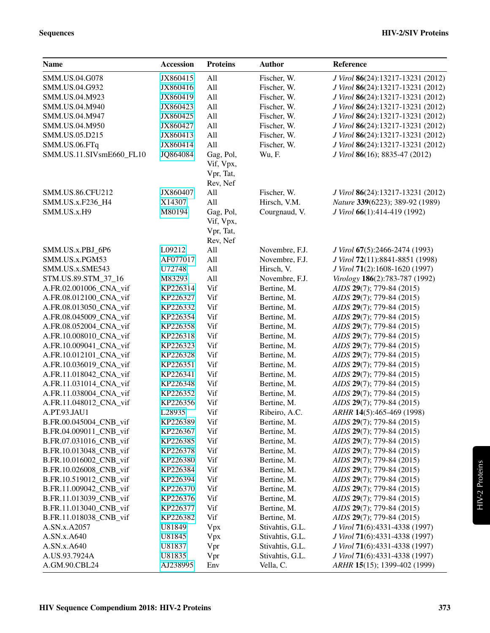| <b>Name</b>              | <b>Accession</b> | <b>Proteins</b>                                 | <b>Author</b>   | Reference                         |
|--------------------------|------------------|-------------------------------------------------|-----------------|-----------------------------------|
| SMM.US.04.G078           | JX860415         | All                                             | Fischer, W.     | J Virol 86(24):13217-13231 (2012) |
| SMM.US.04.G932           | JX860416         | All                                             | Fischer, W.     | J Virol 86(24):13217-13231 (2012) |
| SMM.US.04.M923           | JX860419         | All                                             | Fischer, W.     | J Virol 86(24):13217-13231 (2012) |
| SMM.US.04.M940           | JX860423         | All                                             | Fischer, W.     | J Virol 86(24):13217-13231 (2012) |
| SMM.US.04.M947           | JX860425         | All                                             | Fischer, W.     | J Virol 86(24):13217-13231 (2012) |
| SMM.US.04.M950           | JX860427         | All                                             | Fischer, W.     | J Virol 86(24):13217-13231 (2012) |
| SMM.US.05.D215           | JX860413         | All                                             | Fischer, W.     | J Virol 86(24):13217-13231 (2012) |
| SMM.US.06.FTq            | JX860414         | All                                             | Fischer, W.     | J Virol 86(24):13217-13231 (2012) |
| SMM.US.11.SIVsmE660_FL10 | JQ864084         | Gag, Pol,<br>Vif, Vpx,<br>Vpr, Tat,             | Wu, F.          | J Virol 86(16); 8835-47 (2012)    |
|                          |                  | Rev, Nef                                        |                 |                                   |
| <b>SMM.US.86.CFU212</b>  | JX860407         | All                                             | Fischer, W.     | J Virol 86(24):13217-13231 (2012) |
| SMM.US.x.F236_H4         | X14307           | All                                             | Hirsch, V.M.    | Nature 339(6223); 389-92 (1989)   |
| SMM.US.x.H9              | M80194           | Gag, Pol,<br>Vif, Vpx,<br>Vpr, Tat,<br>Rev, Nef | Courgnaud, V.   | J Virol 66(1):414-419 (1992)      |
| SMM.US.x.PBJ_6P6         | L09212           | All                                             | Novembre, F.J.  | J Virol 67(5):2466-2474 (1993)    |
| SMM.US.x.PGM53           | AF077017         | All                                             | Novembre, F.J.  | J Virol 72(11):8841-8851 (1998)   |
| SMM.US.x.SME543          | U72748           | All                                             | Hirsch, V.      | J Virol 71(2):1608-1620 (1997)    |
| STM.US.89.STM_37_16      | M83293           | All                                             | Novembre, F.J.  | Virology 186(2):783-787 (1992)    |
| A.FR.02.001006_CNA_vif   | KP226314         | Vif                                             | Bertine, M.     | AIDS 29(7); 779-84 (2015)         |
| A.FR.08.012100_CNA_vif   | KP226327         | Vif                                             | Bertine, M.     | AIDS 29(7); 779-84 (2015)         |
| A.FR.08.013050_CNA_vif   | KP226332         | Vif                                             | Bertine, M.     | AIDS 29(7); 779-84 (2015)         |
| A.FR.08.045009_CNA_vif   | KP226354         | Vif                                             | Bertine, M.     | AIDS 29(7); 779-84 (2015)         |
| A.FR.08.052004_CNA_vif   | KP226358         | Vif                                             | Bertine, M.     | AIDS 29(7); 779-84 (2015)         |
| A.FR.10.008010_CNA_vif   | KP226318         | Vif                                             | Bertine, M.     | AIDS 29(7); 779-84 (2015)         |
| A.FR.10.009041_CNA_vif   | KP226323         | Vif                                             | Bertine, M.     | AIDS 29(7); 779-84 (2015)         |
| A.FR.10.012101_CNA_vif   | KP226328         | Vif                                             | Bertine, M.     | AIDS 29(7); 779-84 (2015)         |
| A.FR.10.036019_CNA_vif   | KP226351         | Vif                                             | Bertine, M.     | AIDS 29(7); 779-84 (2015)         |
| A.FR.11.018042_CNA_vif   | KP226341         | Vif                                             | Bertine, M.     | AIDS 29(7); 779-84 (2015)         |
| A.FR.11.031014_CNA_vif   | KP226348         | Vif                                             | Bertine, M.     | AIDS 29(7); 779-84 (2015)         |
| A.FR.11.038004_CNA_vif   | KP226352         | Vif                                             | Bertine, M.     | AIDS 29(7); 779-84 (2015)         |
| A.FR.11.048012_CNA_vif   | KP226356         | Vif                                             | Bertine, M.     | AIDS 29(7); 779-84 (2015)         |
| A.PT.93.JAU1             | L28935           | Vif                                             | Ribeiro, A.C.   | ARHR 14(5):465-469 (1998)         |
| B.FR.00.045004_CNB_vif   | KP226389         | Vif                                             | Bertine, M.     | AIDS 29(7); 779-84 (2015)         |
| B.FR.04.009011 CNB vif   | KP226367         | Vif                                             | Bertine, M.     | AIDS 29(7); 779-84 (2015)         |
| B.FR.07.031016 CNB vif   | KP226385         | Vif                                             | Bertine, M.     | AIDS 29(7); 779-84 (2015)         |
| B.FR.10.013048_CNB_vif   | KP226378         | Vif                                             | Bertine, M.     | AIDS 29(7); 779-84 (2015)         |
| B.FR.10.016002_CNB_vif   | KP226380         | Vif                                             | Bertine, M.     | AIDS 29(7); 779-84 (2015)         |
| B.FR.10.026008_CNB_vif   | KP226384         | Vif                                             | Bertine, M.     | AIDS 29(7); 779-84 (2015)         |
| B.FR.10.519012_CNB_vif   | KP226394         | Vif                                             | Bertine, M.     | AIDS 29(7); 779-84 (2015)         |
| B.FR.11.009042 CNB vif   | KP226370         | Vif                                             | Bertine, M.     | AIDS 29(7); 779-84 (2015)         |
| B.FR.11.013039_CNB_vif   | KP226376         | Vif                                             | Bertine, M.     | AIDS 29(7); 779-84 (2015)         |
| B.FR.11.013040 CNB vif   | KP226377         | Vif                                             | Bertine, M.     | AIDS 29(7); 779-84 (2015)         |
| B.FR.11.018038_CNB_vif   | KP226382         | Vif                                             | Bertine, M.     | AIDS 29(7); 779-84 (2015)         |
| A.SN.x.A2057             | U81849           | Vpx                                             | Stivahtis, G.L. | J Virol 71(6):4331-4338 (1997)    |
| A.SN.x.A640              | U81845           | Vpx                                             | Stivahtis, G.L. | J Virol 71(6):4331-4338 (1997)    |
| A.SN.x.A640              | U81837           | Vpr                                             | Stivahtis, G.L. | J Virol 71(6):4331-4338 (1997)    |
| A.US.93.7924A            | U81835           | Vpr                                             | Stivahtis, G.L. | J Virol 71(6):4331-4338 (1997)    |
| A.GM.90.CBL24            | AJ238995         | Env                                             | Vella, C.       | ARHR 15(15); 1399-402 (1999)      |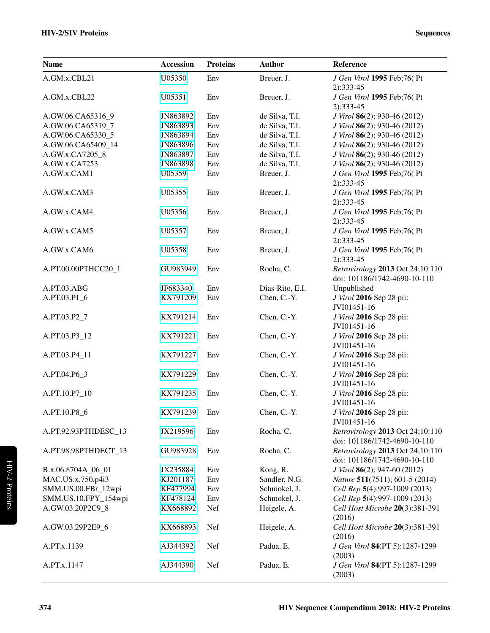| <b>Name</b>          | Accession | <b>Proteins</b> | <b>Author</b>   | Reference                                                        |
|----------------------|-----------|-----------------|-----------------|------------------------------------------------------------------|
| A.GM.x.CBL21         | U05350    | Env             | Breuer, J.      | J Gen Virol 1995 Feb;76(Pt                                       |
|                      |           |                 |                 | 2):333-45                                                        |
| A.GM.x.CBL22         | U05351    | Env             | Breuer, J.      | J Gen Virol 1995 Feb;76(Pt                                       |
|                      |           |                 |                 | 2):333-45                                                        |
| A.GW.06.CA65316 9    | JN863892  | Env             | de Silva, T.I.  | J Virol 86(2); 930-46 (2012)                                     |
| A.GW.06.CA65319_7    | JN863893  | Env             | de Silva, T.I.  | J Virol 86(2); 930-46 (2012)                                     |
| A.GW.06.CA65330_5    | JN863894  | Env             | de Silva, T.I.  | J Virol 86(2); 930-46 (2012)                                     |
| A.GW.06.CA65409 14   | JN863896  | Env             | de Silva, T.I.  | J Virol 86(2); 930-46 (2012)                                     |
| A.GW.x.CA7205_8      | JN863897  | Env             | de Silva, T.I.  | J Virol 86(2); 930-46 (2012)                                     |
| A.GW.x.CA7253        | JN863898  | Env             | de Silva, T.I.  | J Virol 86(2); 930-46 (2012)                                     |
| A.GW.x.CAM1          | U05359    | Env             | Breuer, J.      | J Gen Virol 1995 Feb;76(Pt<br>2):333-45                          |
| A.GW.x.CAM3          | U05355    | Env             | Breuer, J.      | J Gen Virol 1995 Feb;76(Pt<br>2):333-45                          |
| A.GW.x.CAM4          | U05356    | Env             | Breuer, J.      | J Gen Virol 1995 Feb;76(Pt<br>$2):333-45$                        |
| A.GW.x.CAM5          | U05357    | Env             | Breuer, J.      | J Gen Virol 1995 Feb;76( Pt<br>$2):333-45$                       |
| A.GW.x.CAM6          | U05358    | Env             | Breuer, J.      | J Gen Virol 1995 Feb;76(Pt<br>2):333-45                          |
| A.PT.00.00PTHCC20 1  | GU983949  | Env             | Rocha, C.       | Retrovirology 2013 Oct 24;10:110<br>doi: 101186/1742-4690-10-110 |
| A.PT.03.ABG          | JF683340  | Env             | Dias-Rito, E.I. | Unpublished                                                      |
| A.PT.03.P1_6         | KX791209  | Env             | Chen, C.-Y.     | J Virol 2016 Sep 28 pii:<br>JVI01451-16                          |
| A.PT.03.P2_7         | KX791214  | Env             | Chen, C.-Y.     | J Virol 2016 Sep 28 pii:<br>JVI01451-16                          |
| A.PT.03.P3_12        | KX791221  | Env             | Chen, C.-Y.     | J Virol 2016 Sep 28 pii:                                         |
| A.PT.03.P4_11        | KX791227  | Env             | Chen, C.-Y.     | JVI01451-16<br>J Virol 2016 Sep 28 pii:                          |
| A.PT.04.P6_3         | KX791229  | Env             | Chen, C.-Y.     | JVI01451-16<br>J Virol 2016 Sep 28 pii:                          |
|                      |           |                 |                 | JVI01451-16                                                      |
| A.PT.10.P7 10        | KX791235  | Env             | Chen, C.-Y.     | J Virol 2016 Sep 28 pii:<br>JVI01451-16                          |
| A.PT.10.P8_6         | KX791239  | Env             | Chen, C.-Y.     | J Virol 2016 Sep 28 pii:<br>JVI01451-16                          |
| A.PT.92.93PTHDESC_13 | JX219596  | Env             | Rocha, C.       | Retrovirology 2013 Oct 24;10:110<br>doi: 101186/1742-4690-10-110 |
| A.PT.98.98PTHDECT_13 | GU983928  | Env             | Rocha, C.       | Retrovirology 2013 Oct 24;10:110<br>doi: 101186/1742-4690-10-110 |
| B.x.06.8704A_06_01   | JX235884  | Env             | Kong, R.        | J Virol 86(2); 947-60 (2012)                                     |
| MAC.US.x.750.p4i3    | KJ201187  | Env             | Sandler, N.G.   | Nature 511(7511); 601-5 (2014)                                   |
| SMM.US.00.FBr_12wpi  | KF477994  | Env             | Schmokel, J.    | Cell Rep 5(4):997-1009 (2013)                                    |
| SMM.US.10.FPY_154wpi | KF478124  | Env             | Schmokel, J.    | Cell Rep 5(4):997-1009 (2013)                                    |
| A.GW.03.20P2C9_8     | KX668892  | Nef             | Heigele, A.     | Cell Host Microbe 20(3):381-391                                  |
| A.GW.03.29P2E9_6     | KX668893  | Nef             | Heigele, A.     | (2016)<br>Cell Host Microbe 20(3):381-391<br>(2016)              |
| A.PT.x.1139          | AJ344392  | Nef             | Padua, E.       | J Gen Virol 84(PT 5):1287-1299<br>(2003)                         |
| A.PT.x.1147          | AJ344390  | Nef             | Padua, E.       | J Gen Virol 84(PT 5):1287-1299<br>(2003)                         |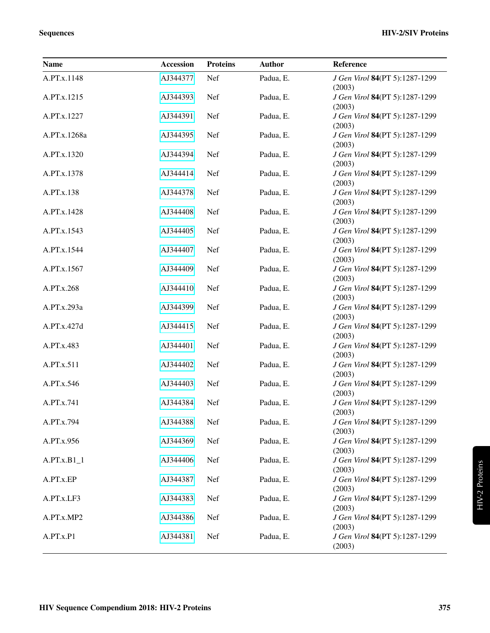| <b>Name</b>   | Accession | <b>Proteins</b> | <b>Author</b> | Reference                                |
|---------------|-----------|-----------------|---------------|------------------------------------------|
| A.PT.x.1148   | AJ344377  | Nef             | Padua, E.     | J Gen Virol 84(PT 5):1287-1299<br>(2003) |
| A.PT.x.1215   | AJ344393  | Nef             | Padua, E.     | J Gen Virol 84(PT 5):1287-1299<br>(2003) |
| A.PT.x.1227   | AJ344391  | Nef             | Padua, E.     | J Gen Virol 84(PT 5):1287-1299<br>(2003) |
| A.PT.x.1268a  | AJ344395  | Nef             | Padua, E.     | J Gen Virol 84(PT 5):1287-1299<br>(2003) |
| A.PT.x.1320   | AJ344394  | Nef             | Padua, E.     | J Gen Virol 84(PT 5):1287-1299<br>(2003) |
| A.PT.x.1378   | AJ344414  | Nef             | Padua, E.     | J Gen Virol 84(PT 5):1287-1299<br>(2003) |
| A.PT.x.138    | AJ344378  | Nef             | Padua, E.     | J Gen Virol 84(PT 5):1287-1299<br>(2003) |
| A.PT.x.1428   | AJ344408  | Nef             | Padua, E.     | J Gen Virol 84(PT 5):1287-1299<br>(2003) |
| A.PT.x.1543   | AJ344405  | Nef             | Padua, E.     | J Gen Virol 84(PT 5):1287-1299<br>(2003) |
| A.PT.x.1544   | AJ344407  | Nef             | Padua, E.     | J Gen Virol 84(PT 5):1287-1299<br>(2003) |
| A.PT.x.1567   | AJ344409  | Nef             | Padua, E.     | J Gen Virol 84(PT 5):1287-1299<br>(2003) |
| A.PT.x.268    | AJ344410  | Nef             | Padua, E.     | J Gen Virol 84(PT 5):1287-1299<br>(2003) |
| A.PT.x.293a   | AJ344399  | Nef             | Padua, E.     | J Gen Virol 84(PT 5):1287-1299<br>(2003) |
| A.PT.x.427d   | AJ344415  | Nef             | Padua, E.     | J Gen Virol 84(PT 5):1287-1299<br>(2003) |
| A.PT.x.483    | AJ344401  | Nef             | Padua, E.     | J Gen Virol 84(PT 5):1287-1299<br>(2003) |
| A.PT.x.511    | AJ344402  | Nef             | Padua, E.     | J Gen Virol 84(PT 5):1287-1299<br>(2003) |
| A.PT.x.546    | AJ344403  | Nef             | Padua, E.     | J Gen Virol 84(PT 5):1287-1299<br>(2003) |
| A.PT.x.741    | AJ344384  | Nef             | Padua, E.     | J Gen Virol 84(PT 5):1287-1299<br>(2003) |
| A.PT.x.794    | AJ344388  | Nef             | Padua, E.     | J Gen Virol 84(PT 5):1287-1299<br>(2003) |
| A.PT.x.956    | AJ344369  | Nef             | Padua, E.     | J Gen Virol 84(PT 5):1287-1299<br>(2003) |
| $A.PT.x.B1_1$ | AJ344406  | Nef             | Padua, E.     | J Gen Virol 84(PT 5):1287-1299<br>(2003) |
| A.PT.x.EP     | AJ344387  | Nef             | Padua, E.     | J Gen Virol 84(PT 5):1287-1299<br>(2003) |
| A.PT.x.LF3    | AJ344383  | Nef             | Padua, E.     | J Gen Virol 84(PT 5):1287-1299<br>(2003) |
| A.PT.x.MP2    | AJ344386  | Nef             | Padua, E.     | J Gen Virol 84(PT 5):1287-1299<br>(2003) |
| A.PT.x.P1     | AJ344381  | Nef             | Padua, E.     | J Gen Virol 84(PT 5):1287-1299<br>(2003) |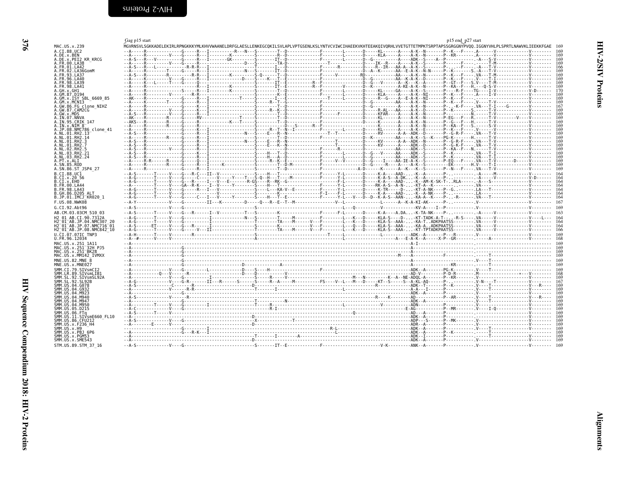<span id="page-7-1"></span><span id="page-7-0"></span>

|                                                                                                                                                                                                                      | Gag p15 start                                                                                                                                                                                                                                                                                                                                                                  |
|----------------------------------------------------------------------------------------------------------------------------------------------------------------------------------------------------------------------|--------------------------------------------------------------------------------------------------------------------------------------------------------------------------------------------------------------------------------------------------------------------------------------------------------------------------------------------------------------------------------|
| MAC.US.x.239                                                                                                                                                                                                         | MGVRNSVLSGKKADELEKIRLR                                                                                                                                                                                                                                                                                                                                                         |
| A.CI.88.UC2                                                                                                                                                                                                          | - - A - - - - - R - - - - - - - - - - -                                                                                                                                                                                                                                                                                                                                        |
| A.DE.X.BEN<br>A.DE.X.PEI2 KR_KRCG<br>A.FR.00.LA38<br>A.FR.01.LA42<br>A.FR.01.LA42                                                                                                                                    | - - A - - - - - R - - - - - - - - - V - - -                                                                                                                                                                                                                                                                                                                                    |
|                                                                                                                                                                                                                      |                                                                                                                                                                                                                                                                                                                                                                                |
|                                                                                                                                                                                                                      |                                                                                                                                                                                                                                                                                                                                                                                |
| A. FR. 02. LA36GomM                                                                                                                                                                                                  |                                                                                                                                                                                                                                                                                                                                                                                |
|                                                                                                                                                                                                                      |                                                                                                                                                                                                                                                                                                                                                                                |
|                                                                                                                                                                                                                      |                                                                                                                                                                                                                                                                                                                                                                                |
|                                                                                                                                                                                                                      |                                                                                                                                                                                                                                                                                                                                                                                |
|                                                                                                                                                                                                                      |                                                                                                                                                                                                                                                                                                                                                                                |
| A. FK. 92. LA3660mM<br>A. FR. 93. LA37<br>A. FR. 98. LA49<br>A. FR. 98. LA49<br>A. GH. x. GH1<br>A. GM. x. ISY SBL_ 6669_85<br>A. GM. x. ISY SBL_ 6669_85<br>A. GM. x. ISY SBL_ 6669_85<br>A. GW. 86. FG_c1 one_NTH7 |                                                                                                                                                                                                                                                                                                                                                                                |
|                                                                                                                                                                                                                      |                                                                                                                                                                                                                                                                                                                                                                                |
| A.GW.86.FG clone_NIHZ<br>A.GW.86.FG clone_NIHZ<br>A.GW.87.CAM2CG<br>A.IN.95.CRIK_147<br>A.IN.95.CRIK_147                                                                                                             |                                                                                                                                                                                                                                                                                                                                                                                |
|                                                                                                                                                                                                                      |                                                                                                                                                                                                                                                                                                                                                                                |
|                                                                                                                                                                                                                      |                                                                                                                                                                                                                                                                                                                                                                                |
|                                                                                                                                                                                                                      |                                                                                                                                                                                                                                                                                                                                                                                |
| A.IN.x.NIM 8<br>A.JP.08.NMC786_clone_41<br>A.NL.01.RH2.13<br>A.NL.01.RH2.14<br>A.NL.01.RH2.14                                                                                                                        |                                                                                                                                                                                                                                                                                                                                                                                |
|                                                                                                                                                                                                                      |                                                                                                                                                                                                                                                                                                                                                                                |
|                                                                                                                                                                                                                      |                                                                                                                                                                                                                                                                                                                                                                                |
| A.NL.01.RH2.3                                                                                                                                                                                                        |                                                                                                                                                                                                                                                                                                                                                                                |
|                                                                                                                                                                                                                      |                                                                                                                                                                                                                                                                                                                                                                                |
|                                                                                                                                                                                                                      |                                                                                                                                                                                                                                                                                                                                                                                |
|                                                                                                                                                                                                                      |                                                                                                                                                                                                                                                                                                                                                                                |
|                                                                                                                                                                                                                      |                                                                                                                                                                                                                                                                                                                                                                                |
| A. NL. 01. KH2. 3<br>A. NL. 02. RH2. 5<br>A. NL. 03. RH2. 21<br>A. NL. 03. RH2. 24<br>A. SN. 85. ROD<br>A. SN. 86. ST<br>A.SN.86.ST JSP4 27                                                                          |                                                                                                                                                                                                                                                                                                                                                                                |
|                                                                                                                                                                                                                      |                                                                                                                                                                                                                                                                                                                                                                                |
| B.CI.88.UCI<br>B.CI.x.20 56                                                                                                                                                                                          |                                                                                                                                                                                                                                                                                                                                                                                |
| B.CI.X.EHO                                                                                                                                                                                                           |                                                                                                                                                                                                                                                                                                                                                                                |
| B.FR.00.LA44                                                                                                                                                                                                         |                                                                                                                                                                                                                                                                                                                                                                                |
| B.FR.98.LA43<br>B.GH.86.D205_ALT<br>B.JP.01.IMCJ_KR020_1                                                                                                                                                             |                                                                                                                                                                                                                                                                                                                                                                                |
|                                                                                                                                                                                                                      |                                                                                                                                                                                                                                                                                                                                                                                |
| F.US.08.NWK08                                                                                                                                                                                                        | - - A - Y - - - - - - - - - - - - - V - - -                                                                                                                                                                                                                                                                                                                                    |
| G.CI.92.Abt96                                                                                                                                                                                                        | - - A - S - - - - - - - - - - - - - V - - -                                                                                                                                                                                                                                                                                                                                    |
| AB.CM.03.03CM 510 03                                                                                                                                                                                                 | - - A - S - - - - - - - T - - - - - V - - -                                                                                                                                                                                                                                                                                                                                    |
|                                                                                                                                                                                                                      |                                                                                                                                                                                                                                                                                                                                                                                |
|                                                                                                                                                                                                                      |                                                                                                                                                                                                                                                                                                                                                                                |
|                                                                                                                                                                                                                      |                                                                                                                                                                                                                                                                                                                                                                                |
| U.CI.07.07IC TNP3<br>U.FR.96.12034                                                                                                                                                                                   | - - A - H - - - - - - - T - - - - - V - - -<br>- - A - -# - - - - - - V - - - - - V - - -                                                                                                                                                                                                                                                                                      |
|                                                                                                                                                                                                                      |                                                                                                                                                                                                                                                                                                                                                                                |
| MAC.US.x.251_1A11<br>MAC.US.x.251 <sup>-</sup> 32H_PJ5<br>MAC.US.x.251 <sup>-</sup> BK28<br>MAC.US.x.MM142_IVMXX                                                                                                     | - - A - - - - - - - - - - - - -                                                                                                                                                                                                                                                                                                                                                |
|                                                                                                                                                                                                                      | --A-------------------<br>--A--------------------                                                                                                                                                                                                                                                                                                                              |
|                                                                                                                                                                                                                      |                                                                                                                                                                                                                                                                                                                                                                                |
| MNE.US.82.MNE 8<br>MNE.US.x.MNE027                                                                                                                                                                                   | --A-----------------                                                                                                                                                                                                                                                                                                                                                           |
|                                                                                                                                                                                                                      |                                                                                                                                                                                                                                                                                                                                                                                |
| SMM.CI.79.SIVsmCI2                                                                                                                                                                                                   | --A----------------V---                                                                                                                                                                                                                                                                                                                                                        |
| SMM. L.R. 89 . SI VSMLL2<br>SMM . SL. 92 . SI VSMLIB1<br>SMM . SL. 92 . SI VSMSL92A<br>SMM . US. 04 . G078<br>SMM . US. 04 . G078<br>SMM . US. 04 . M923<br>SMM . US. 04 . M923<br>SMM . US. 04 . M923               |                                                                                                                                                                                                                                                                                                                                                                                |
|                                                                                                                                                                                                                      |                                                                                                                                                                                                                                                                                                                                                                                |
|                                                                                                                                                                                                                      |                                                                                                                                                                                                                                                                                                                                                                                |
|                                                                                                                                                                                                                      |                                                                                                                                                                                                                                                                                                                                                                                |
| SMM.US.04.M940                                                                                                                                                                                                       |                                                                                                                                                                                                                                                                                                                                                                                |
|                                                                                                                                                                                                                      |                                                                                                                                                                                                                                                                                                                                                                                |
| SMM.US.04.1M947<br>SMM.US.04.1M947<br>SMM.US.06.1M950<br>SMM.US.06.D215<br>SMM.US.06.FTq<br>SMM.US.11.SIVSNE660_FL10<br>SMM.US.36.CFU212<br>SMM.US.x.F236_H4                                                         | $A \setlength{\unitlength}{0.5cm} \begin{picture}(10,10) \put(0,0){\vector(0,1){1.5}} \put(10,0){\vector(0,1){1.5}} \put(10,0){\vector(0,1){1.5}} \put(10,0){\vector(0,1){1.5}} \put(10,0){\vector(0,1){1.5}} \put(10,0){\vector(0,1){1.5}} \put(10,0){\vector(0,1){1.5}} \put(10,0){\vector(0,1){1.5}} \put(10,0){\vector(0,1){1.5}} \put(10,0){\vector(0,1){1.5}} \put(10,0$ |
|                                                                                                                                                                                                                      |                                                                                                                                                                                                                                                                                                                                                                                |
|                                                                                                                                                                                                                      |                                                                                                                                                                                                                                                                                                                                                                                |
|                                                                                                                                                                                                                      | $-$ - A - S - - - - - - - - - - - - - V - - -                                                                                                                                                                                                                                                                                                                                  |
|                                                                                                                                                                                                                      |                                                                                                                                                                                                                                                                                                                                                                                |
|                                                                                                                                                                                                                      |                                                                                                                                                                                                                                                                                                                                                                                |
| SMM. US. x . H9<br>SMM. US. x . PBJ 6P6<br>SMM. US. x . PGM53<br>SMM. US. x . SME543                                                                                                                                 | --A--------------------                                                                                                                                                                                                                                                                                                                                                        |
|                                                                                                                                                                                                                      | --A--------------------                                                                                                                                                                                                                                                                                                                                                        |
| STM.US.89.STM 37 16                                                                                                                                                                                                  | - - A - S - - - - - - - - - - - - - V - - -                                                                                                                                                                                                                                                                                                                                    |
|                                                                                                                                                                                                                      |                                                                                                                                                                                                                                                                                                                                                                                |
|                                                                                                                                                                                                                      |                                                                                                                                                                                                                                                                                                                                                                                |

<span id="page-7-2"></span>

|                                      | Gag p15 start |  |                                                                                                                                                                                                                                                                                                                                                                                                                                                                                                  |  |  |  |  |  | p15 end p27 start |  |  |
|--------------------------------------|---------------|--|--------------------------------------------------------------------------------------------------------------------------------------------------------------------------------------------------------------------------------------------------------------------------------------------------------------------------------------------------------------------------------------------------------------------------------------------------------------------------------------------------|--|--|--|--|--|-------------------|--|--|
| 239<br>C2                            |               |  | MGVRNSVLSGKKADELEKTRLRPNGKKKYMLKHVVWAANELDRFGLAESLLENKEGCOKTLSVLAPLVPTGSENLKSLYNTVCVTWCTHAEEKVKHTEEAKOTVORHLVVETGTTETMPKTSRPTAPSSGRGGNYPVOO. TGGNYVHLPLSPRTLNAWVKLTEEKKFGAE                                                                                                                                                                                                                                                                                                                      |  |  |  |  |  |                   |  |  |
|                                      |               |  |                                                                                                                                                                                                                                                                                                                                                                                                                                                                                                  |  |  |  |  |  |                   |  |  |
| <b>I2 KR KRCG</b>                    |               |  |                                                                                                                                                                                                                                                                                                                                                                                                                                                                                                  |  |  |  |  |  |                   |  |  |
| A42<br>.A36GomM                      |               |  |                                                                                                                                                                                                                                                                                                                                                                                                                                                                                                  |  |  |  |  |  |                   |  |  |
|                                      |               |  |                                                                                                                                                                                                                                                                                                                                                                                                                                                                                                  |  |  |  |  |  |                   |  |  |
| A39                                  |               |  |                                                                                                                                                                                                                                                                                                                                                                                                                                                                                                  |  |  |  |  |  |                   |  |  |
| A41                                  |               |  |                                                                                                                                                                                                                                                                                                                                                                                                                                                                                                  |  |  |  |  |  |                   |  |  |
| 194                                  |               |  |                                                                                                                                                                                                                                                                                                                                                                                                                                                                                                  |  |  |  |  |  |                   |  |  |
| Y SBL 6669 85<br>NI3                 |               |  |                                                                                                                                                                                                                                                                                                                                                                                                                                                                                                  |  |  |  |  |  |                   |  |  |
| G clone NIHZ                         |               |  |                                                                                                                                                                                                                                                                                                                                                                                                                                                                                                  |  |  |  |  |  |                   |  |  |
| :AM2CG                               |               |  |                                                                                                                                                                                                                                                                                                                                                                                                                                                                                                  |  |  |  |  |  |                   |  |  |
| <b>INVA</b><br>RIK 147               |               |  |                                                                                                                                                                                                                                                                                                                                                                                                                                                                                                  |  |  |  |  |  |                   |  |  |
| :M 8 <sup>-</sup>                    |               |  |                                                                                                                                                                                                                                                                                                                                                                                                                                                                                                  |  |  |  |  |  |                   |  |  |
| MC786 clone 41<br>łН2.13             |               |  |                                                                                                                                                                                                                                                                                                                                                                                                                                                                                                  |  |  |  |  |  |                   |  |  |
| RH2.14                               |               |  |                                                                                                                                                                                                                                                                                                                                                                                                                                                                                                  |  |  |  |  |  |                   |  |  |
|                                      |               |  |                                                                                                                                                                                                                                                                                                                                                                                                                                                                                                  |  |  |  |  |  |                   |  |  |
|                                      |               |  |                                                                                                                                                                                                                                                                                                                                                                                                                                                                                                  |  |  |  |  |  |                   |  |  |
|                                      |               |  |                                                                                                                                                                                                                                                                                                                                                                                                                                                                                                  |  |  |  |  |  |                   |  |  |
| OD!                                  |               |  |                                                                                                                                                                                                                                                                                                                                                                                                                                                                                                  |  |  |  |  |  |                   |  |  |
| T JSP4 27                            |               |  |                                                                                                                                                                                                                                                                                                                                                                                                                                                                                                  |  |  |  |  |  |                   |  |  |
| IC <sub>1</sub><br>156               |               |  |                                                                                                                                                                                                                                                                                                                                                                                                                                                                                                  |  |  |  |  |  |                   |  |  |
| łО                                   |               |  |                                                                                                                                                                                                                                                                                                                                                                                                                                                                                                  |  |  |  |  |  |                   |  |  |
| A44<br>A43                           |               |  |                                                                                                                                                                                                                                                                                                                                                                                                                                                                                                  |  |  |  |  |  |                   |  |  |
| 205 ALT<br>:MCJ <sup>-</sup> KR020 1 |               |  |                                                                                                                                                                                                                                                                                                                                                                                                                                                                                                  |  |  |  |  |  |                   |  |  |
| <b>IWK08</b>                         |               |  |                                                                                                                                                                                                                                                                                                                                                                                                                                                                                                  |  |  |  |  |  |                   |  |  |
| bt96                                 |               |  |                                                                                                                                                                                                                                                                                                                                                                                                                                                                                                  |  |  |  |  |  |                   |  |  |
| 03CM 510 03                          |               |  |                                                                                                                                                                                                                                                                                                                                                                                                                                                                                                  |  |  |  |  |  |                   |  |  |
| CT.90.7312A<br>JP.04.NMC307 20       |               |  |                                                                                                                                                                                                                                                                                                                                                                                                                                                                                                  |  |  |  |  |  |                   |  |  |
| JP.07.NMC716-01<br>JP.08.NMC842 10   |               |  |                                                                                                                                                                                                                                                                                                                                                                                                                                                                                                  |  |  |  |  |  |                   |  |  |
| 7IC TNP3                             |               |  |                                                                                                                                                                                                                                                                                                                                                                                                                                                                                                  |  |  |  |  |  |                   |  |  |
| .2034                                |               |  |                                                                                                                                                                                                                                                                                                                                                                                                                                                                                                  |  |  |  |  |  |                   |  |  |
| 251 1A11<br>251 <sup>-32H</sup> PJ5  |               |  |                                                                                                                                                                                                                                                                                                                                                                                                                                                                                                  |  |  |  |  |  |                   |  |  |
| 251 BK28<br>MM142 IVMXX              |               |  |                                                                                                                                                                                                                                                                                                                                                                                                                                                                                                  |  |  |  |  |  |                   |  |  |
| .MNE 8                               |               |  |                                                                                                                                                                                                                                                                                                                                                                                                                                                                                                  |  |  |  |  |  |                   |  |  |
| MNE027                               |               |  |                                                                                                                                                                                                                                                                                                                                                                                                                                                                                                  |  |  |  |  |  |                   |  |  |
| .SIVsmCI2<br>.SIVsmLIB1              |               |  |                                                                                                                                                                                                                                                                                                                                                                                                                                                                                                  |  |  |  |  |  |                   |  |  |
| .SIVsmSL92A                          |               |  |                                                                                                                                                                                                                                                                                                                                                                                                                                                                                                  |  |  |  |  |  |                   |  |  |
| SL92B<br>G078.                       |               |  |                                                                                                                                                                                                                                                                                                                                                                                                                                                                                                  |  |  |  |  |  |                   |  |  |
| G932<br>M923.                        |               |  |                                                                                                                                                                                                                                                                                                                                                                                                                                                                                                  |  |  |  |  |  |                   |  |  |
| M940                                 |               |  |                                                                                                                                                                                                                                                                                                                                                                                                                                                                                                  |  |  |  |  |  |                   |  |  |
| M947<br>M950                         |               |  |                                                                                                                                                                                                                                                                                                                                                                                                                                                                                                  |  |  |  |  |  |                   |  |  |
| D215<br>. FTa                        |               |  |                                                                                                                                                                                                                                                                                                                                                                                                                                                                                                  |  |  |  |  |  |                   |  |  |
| SIVsmE660 FL10.                      |               |  |                                                                                                                                                                                                                                                                                                                                                                                                                                                                                                  |  |  |  |  |  |                   |  |  |
| 6.CFU212<br>F236 H4                  |               |  |                                                                                                                                                                                                                                                                                                                                                                                                                                                                                                  |  |  |  |  |  |                   |  |  |
|                                      |               |  | $\begin{minipage}[t]{.05\textwidth} \begin{minipage}[t]{.05\textwidth} \begin{minipage}[t]{.05\textwidth} \begin{minipage}[t]{.05\textwidth} \begin{minipage}[t]{.05\textwidth} \begin{minipage}[t]{.05\textwidth} \begin{minipage}[t]{.05\textwidth} \begin{minipage}[t]{.05\textwidth} \begin{minipage}[t]{.05\textwidth} \begin{minipage}[t]{.05\textwidth} \begin{minipage}[t]{.05\textwidth} \begin{minipage}[t]{.05\textwidth} \begin{minipage}[t]{.05\textwidth} \begin{minipage}[t]{.05$ |  |  |  |  |  |                   |  |  |
| PBJ 6P6<br>PGM53                     |               |  |                                                                                                                                                                                                                                                                                                                                                                                                                                                                                                  |  |  |  |  |  |                   |  |  |
| <b>SME543</b>                        |               |  |                                                                                                                                                                                                                                                                                                                                                                                                                                                                                                  |  |  |  |  |  |                   |  |  |
| L STM 37 16                          |               |  |                                                                                                                                                                                                                                                                                                                                                                                                                                                                                                  |  |  |  |  |  |                   |  |  |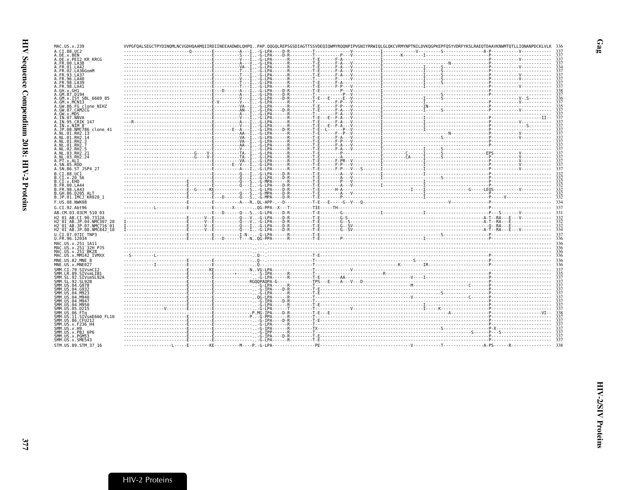| MAC.US.x.239                                                                                                       |  |  | VVPGFOALSEGCTPYDINOMLNCVGDHOAAMOIIRDIINEEAADWDLOHPOPAP.OOGOLREPSGSDIAGTTSSVDEOIOWMYROONPIPVGNIYRRWIOLGLOKCVRMYNPTNILDVKOGPKEPFOSYVDRFYKSLRAEOTDAAVKNWMTOTLLIONANPDCKLVLK                                                                                                                                                                                                                                                                                                                             |     |
|--------------------------------------------------------------------------------------------------------------------|--|--|------------------------------------------------------------------------------------------------------------------------------------------------------------------------------------------------------------------------------------------------------------------------------------------------------------------------------------------------------------------------------------------------------------------------------------------------------------------------------------------------------|-----|
| A.CI.88.UC2                                                                                                        |  |  |                                                                                                                                                                                                                                                                                                                                                                                                                                                                                                      |     |
| A.DE.x.BEN<br>A.DE.x.PEI2 KR KRCG                                                                                  |  |  | $\begin{minipage}{0.5cm} \begin{minipage}{0.5cm} \begin{minipage}{0.5cm} \begin{minipage}{0.5cm} \begin{minipage}{0.5cm} \begin{minipage}{0.5cm} \begin{minipage}{0.5cm} \begin{minipage}{0.5cm} \begin{minipage}{0.5cm} \begin{minipage}{0.5cm} \begin{minipage}{0.5cm} \begin{minipage}{0.5cm} \begin{minipage}{0.5cm} \begin{minipage}{0.5cm} \begin{minipage}{0.5cm} \begin{minipage}{0.5cm} \end{minipage}\\ \begin{minipage}{0.5cm} \begin{minipage}{0.$                                       |     |
| A.FR.00.LA38                                                                                                       |  |  |                                                                                                                                                                                                                                                                                                                                                                                                                                                                                                      |     |
| A.FR.01.LA42<br>A. FR. 02. LA36GomM                                                                                |  |  |                                                                                                                                                                                                                                                                                                                                                                                                                                                                                                      |     |
| A.FR.93.LA37                                                                                                       |  |  |                                                                                                                                                                                                                                                                                                                                                                                                                                                                                                      |     |
| A.FR.96.LA40<br>A.FR.98.LA39                                                                                       |  |  |                                                                                                                                                                                                                                                                                                                                                                                                                                                                                                      |     |
| A. FR. 98. LA41                                                                                                    |  |  |                                                                                                                                                                                                                                                                                                                                                                                                                                                                                                      |     |
| A.GH.x.GH1                                                                                                         |  |  |                                                                                                                                                                                                                                                                                                                                                                                                                                                                                                      |     |
| A.GM.87.D194<br>A.GM.x.ISY SBL 6669 85                                                                             |  |  |                                                                                                                                                                                                                                                                                                                                                                                                                                                                                                      |     |
| A.GM.x.MCNI3                                                                                                       |  |  |                                                                                                                                                                                                                                                                                                                                                                                                                                                                                                      |     |
| A.GW.86.FG clone NIHZ<br>A.GW.87.CAM2CG                                                                            |  |  |                                                                                                                                                                                                                                                                                                                                                                                                                                                                                                      |     |
| A.GW.x.MDS                                                                                                         |  |  |                                                                                                                                                                                                                                                                                                                                                                                                                                                                                                      |     |
| A.IN.07.NNVA<br>A.IN.95.CRIK 147                                                                                   |  |  |                                                                                                                                                                                                                                                                                                                                                                                                                                                                                                      |     |
| A.IN.x.NIM 8                                                                                                       |  |  |                                                                                                                                                                                                                                                                                                                                                                                                                                                                                                      |     |
| A.JP.08.NMC786 clone 41<br>A.NL.01.RH2.13                                                                          |  |  |                                                                                                                                                                                                                                                                                                                                                                                                                                                                                                      |     |
| A.NL.01.RH2.14                                                                                                     |  |  | $\begin{minipage}{0.01\textwidth} \begin{minipage}{0.01\textwidth} \begin{minipage}{0.01\textwidth} \begin{minipage}{0.01\textwidth} \begin{minipage}{0.01\textwidth} \begin{minipage}{0.01\textwidth} \begin{minipage}{0.01\textwidth} \begin{minipage}{0.01\textwidth} \begin{minipage}{0.01\textwidth} \begin{minipage}{0.01\textwidth} \begin{minipage}{0.01\textwidth} \begin{minipage}{0.01\textwidth} \begin{minipage}{0.01\textwidth} \begin{minipage}{0.01\textwidth} \begin{minipage}{0.0$ |     |
| A.NL.01.RH2.3<br>A.NL.01.RH2.7                                                                                     |  |  |                                                                                                                                                                                                                                                                                                                                                                                                                                                                                                      |     |
| A.NL.02.RH2.5                                                                                                      |  |  |                                                                                                                                                                                                                                                                                                                                                                                                                                                                                                      |     |
| A.NL.03.RH2.21                                                                                                     |  |  |                                                                                                                                                                                                                                                                                                                                                                                                                                                                                                      |     |
| A.NL.03.RH2.24<br>A.PT.x.ALI                                                                                       |  |  |                                                                                                                                                                                                                                                                                                                                                                                                                                                                                                      |     |
| A.SN.85.ROD                                                                                                        |  |  |                                                                                                                                                                                                                                                                                                                                                                                                                                                                                                      |     |
| A.SN.86.ST JSP4 27                                                                                                 |  |  |                                                                                                                                                                                                                                                                                                                                                                                                                                                                                                      |     |
| B.CI.88.UC1<br>B.CI.X.20 56                                                                                        |  |  |                                                                                                                                                                                                                                                                                                                                                                                                                                                                                                      |     |
| B.CI.X.EHO                                                                                                         |  |  |                                                                                                                                                                                                                                                                                                                                                                                                                                                                                                      |     |
| B.FR.00.LA44<br>B.FR.98.LA43                                                                                       |  |  |                                                                                                                                                                                                                                                                                                                                                                                                                                                                                                      |     |
| B.GH.86.D205_ALT                                                                                                   |  |  |                                                                                                                                                                                                                                                                                                                                                                                                                                                                                                      |     |
| B.JP.01.IMCJ KR020 1                                                                                               |  |  |                                                                                                                                                                                                                                                                                                                                                                                                                                                                                                      |     |
| F.US.08.NWK08<br>G.CI.92.Abt96                                                                                     |  |  |                                                                                                                                                                                                                                                                                                                                                                                                                                                                                                      |     |
| AB.CM.03.03CM 510 03                                                                                               |  |  |                                                                                                                                                                                                                                                                                                                                                                                                                                                                                                      | 331 |
| H2 01 AB.CI.90.7312A                                                                                               |  |  |                                                                                                                                                                                                                                                                                                                                                                                                                                                                                                      |     |
| H2 <sup>-01-AB.JP.04.NMC307 20</sup>                                                                               |  |  |                                                                                                                                                                                                                                                                                                                                                                                                                                                                                                      |     |
| H2 <sup>-</sup> 01 <sup>-</sup> AB.JP.07.NMC716 <sup>-</sup> 01<br>H2 <sup>-01-AB.JP.08.NMC842<sup>-10</sup></sup> |  |  |                                                                                                                                                                                                                                                                                                                                                                                                                                                                                                      |     |
| U.CI.07.07IC TNP3                                                                                                  |  |  |                                                                                                                                                                                                                                                                                                                                                                                                                                                                                                      |     |
| U.FR.96.12034                                                                                                      |  |  |                                                                                                                                                                                                                                                                                                                                                                                                                                                                                                      |     |
| MAC.US.x.251 1A11<br>MAC.US.x.251 32H PJ5                                                                          |  |  |                                                                                                                                                                                                                                                                                                                                                                                                                                                                                                      |     |
| MAC.US.x.251 <sup>-</sup> BK28                                                                                     |  |  |                                                                                                                                                                                                                                                                                                                                                                                                                                                                                                      |     |
| MAC.US.x.MM142 IVMXX                                                                                               |  |  |                                                                                                                                                                                                                                                                                                                                                                                                                                                                                                      |     |
| MNE.US.82.MNE<br>-8<br>MNE.US.x.MNE027                                                                             |  |  |                                                                                                                                                                                                                                                                                                                                                                                                                                                                                                      |     |
| SMM.CI.79.SIVsmCI2                                                                                                 |  |  |                                                                                                                                                                                                                                                                                                                                                                                                                                                                                                      |     |
| SMM.LR.89.SIVsmLIB1                                                                                                |  |  |                                                                                                                                                                                                                                                                                                                                                                                                                                                                                                      |     |
| SMM.SL.92.SIVsmSL92A<br>SMM.SL.92.SL92B                                                                            |  |  |                                                                                                                                                                                                                                                                                                                                                                                                                                                                                                      |     |
| SMM.US.04.G078                                                                                                     |  |  |                                                                                                                                                                                                                                                                                                                                                                                                                                                                                                      |     |
| SMM.US.04.G932<br>SMM.US.04.M923                                                                                   |  |  |                                                                                                                                                                                                                                                                                                                                                                                                                                                                                                      |     |
| SMM.US.04.M940                                                                                                     |  |  |                                                                                                                                                                                                                                                                                                                                                                                                                                                                                                      |     |
| SMM.US.04.M947<br>SMM.US.04.M950                                                                                   |  |  |                                                                                                                                                                                                                                                                                                                                                                                                                                                                                                      |     |
| SMM.US.05.D215                                                                                                     |  |  |                                                                                                                                                                                                                                                                                                                                                                                                                                                                                                      |     |
| SMM.US.06.FTq<br>SMM.US.11.SIVsmE660 FL10                                                                          |  |  |                                                                                                                                                                                                                                                                                                                                                                                                                                                                                                      |     |
| SMM.US.86.CFU212                                                                                                   |  |  |                                                                                                                                                                                                                                                                                                                                                                                                                                                                                                      |     |
| SMM.US.x.F236 H4<br>SMM.US.x.H9                                                                                    |  |  |                                                                                                                                                                                                                                                                                                                                                                                                                                                                                                      |     |
| SMM.US.x.PBJ 6P6                                                                                                   |  |  |                                                                                                                                                                                                                                                                                                                                                                                                                                                                                                      |     |
| SMM.US.x.PGM53                                                                                                     |  |  |                                                                                                                                                                                                                                                                                                                                                                                                                                                                                                      |     |
| SMM. US. x. SME543<br>STM.US.89.STM 37 16                                                                          |  |  |                                                                                                                                                                                                                                                                                                                                                                                                                                                                                                      |     |
|                                                                                                                    |  |  |                                                                                                                                                                                                                                                                                                                                                                                                                                                                                                      |     |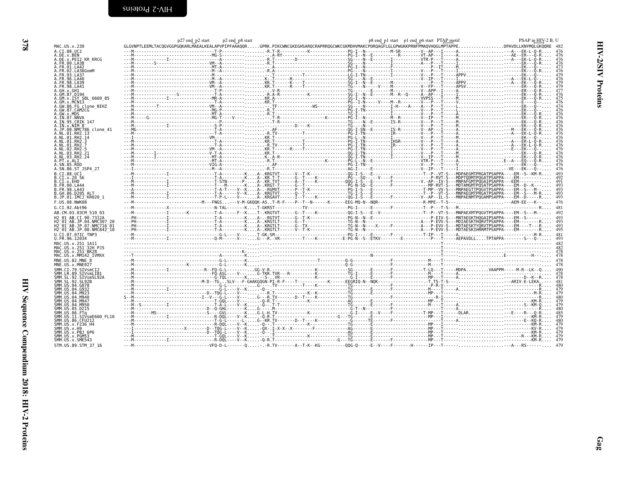| $\frac{1}{2}$                   |  |
|---------------------------------|--|
| $\overline{1}$<br>$\frac{1}{2}$ |  |

|                                                 | p27 end p2 start | p2 end_p8 start |  | p8 end_p1 start _p1 end_p6 start PTAP motif |  | PSAP in HIV-2 B. U                                                                                                                                      |
|-------------------------------------------------|------------------|-----------------|--|---------------------------------------------|--|---------------------------------------------------------------------------------------------------------------------------------------------------------|
| MAC.US.x.239                                    |                  |                 |  |                                             |  | GLGVNPTLEEMLTACQGVGGPGQKARLMAEALKEALAPVPIPFAAAQQRGPRK.PIKCWNCGKEGHSARQCRAPRRQGCWKCGKMDHVMAKCPDRQAGFLGLGPWGKKPRNFPMAQVHQGLMPTAPPEDPAVDLLKNYMQLGKQQRE 482 |
| A.CI.88.UC2<br>A.DE.x.BEN                       |                  |                 |  |                                             |  |                                                                                                                                                         |
| A.DE.x.PEI2 KR KRCG                             |                  |                 |  |                                             |  |                                                                                                                                                         |
| A.FR.00.LA38                                    |                  |                 |  |                                             |  |                                                                                                                                                         |
| A.FR.01.LA42<br>.02.LA36GomM                    |                  |                 |  |                                             |  |                                                                                                                                                         |
|                                                 |                  |                 |  |                                             |  |                                                                                                                                                         |
| . FR. 96. LA40                                  |                  |                 |  |                                             |  |                                                                                                                                                         |
| FR.98.LA39 ا<br>.FR.98.LA41                     |                  |                 |  |                                             |  |                                                                                                                                                         |
|                                                 |                  |                 |  |                                             |  |                                                                                                                                                         |
| A.GM.87.D194                                    |                  |                 |  |                                             |  |                                                                                                                                                         |
| A.GM.x.ISY SBL 6669 85<br>A.GM.x.MCNI3          |                  |                 |  |                                             |  |                                                                                                                                                         |
| A.GW.86.FG clone NIHZ                           |                  |                 |  |                                             |  |                                                                                                                                                         |
| A. GW. 87. CAM2CG                               |                  |                 |  |                                             |  |                                                                                                                                                         |
| A.GW.x.MDS<br>A.IN.07.NNVA                      |                  |                 |  |                                             |  |                                                                                                                                                         |
| A.IN.95.CRIK 147                                |                  |                 |  |                                             |  |                                                                                                                                                         |
| A.IN.x.NIM 8                                    |                  |                 |  |                                             |  |                                                                                                                                                         |
| .JP.08.NMC786 clone 41                          |                  |                 |  |                                             |  |                                                                                                                                                         |
| \.NL.01.RH2.14                                  |                  |                 |  |                                             |  |                                                                                                                                                         |
|                                                 |                  |                 |  |                                             |  |                                                                                                                                                         |
|                                                 |                  |                 |  |                                             |  |                                                                                                                                                         |
| . NI 03.RH2.21                                  |                  |                 |  |                                             |  |                                                                                                                                                         |
| A.NL.03.RH2.24                                  |                  |                 |  |                                             |  |                                                                                                                                                         |
| A.PT.x.ALI<br>A.SN.85.ROD                       |                  |                 |  |                                             |  |                                                                                                                                                         |
| A.SN.86.ST JSP4 27                              |                  |                 |  |                                             |  |                                                                                                                                                         |
| B.CI.88.UC1                                     |                  |                 |  |                                             |  |                                                                                                                                                         |
| B.CI.x.20 56                                    |                  |                 |  |                                             |  |                                                                                                                                                         |
| B.CI.X.EHO<br>B.FR.00.LA44                      |                  |                 |  |                                             |  |                                                                                                                                                         |
| B.FR.98.LA43                                    |                  |                 |  |                                             |  |                                                                                                                                                         |
| B.GH.86.D205 ALT                                |                  |                 |  |                                             |  |                                                                                                                                                         |
| B.JP.01.IMCJ KR020 1                            |                  |                 |  |                                             |  |                                                                                                                                                         |
| F.US.08.NWK08                                   |                  |                 |  |                                             |  |                                                                                                                                                         |
| G.CI.92.Abt96                                   |                  |                 |  |                                             |  |                                                                                                                                                         |
| AB.CM.03.03CM 510 03<br>H2 01 AB.CI.90.7312A    |                  |                 |  |                                             |  |                                                                                                                                                         |
| H2 01 AB.JP.04.NMC307 20                        |                  |                 |  |                                             |  |                                                                                                                                                         |
| H2 <sup>-01-AB.JP.07.NMC716-01</sup>            |                  |                 |  |                                             |  |                                                                                                                                                         |
| H2 <sup>-01-AB.JP.08.NMC842<sup>-10</sup></sup> |                  |                 |  |                                             |  |                                                                                                                                                         |
| U.CI.07.07IC TNP3<br>U.FR.96.12034              |                  |                 |  |                                             |  |                                                                                                                                                         |
| 4AC.US.x.251 1A11                               |                  |                 |  |                                             |  |                                                                                                                                                         |
| MAC.US.x.251 <sup>-</sup> 32H PJ5               |                  |                 |  |                                             |  |                                                                                                                                                         |
| MAC.US.x.251 <sup>-</sup> BK28                  |                  |                 |  |                                             |  |                                                                                                                                                         |
| MAC.US.x.MM142 IVMXX<br>MNE.US.82.MNE           |                  |                 |  |                                             |  |                                                                                                                                                         |
| MNE.US.x.MNE027                                 |                  |                 |  |                                             |  |                                                                                                                                                         |
| SMM.CI.79.SIVsmCI2                              |                  |                 |  |                                             |  |                                                                                                                                                         |
| SMM.LR.89.SIVsmLIB1                             |                  |                 |  |                                             |  |                                                                                                                                                         |
| STVsmSL924                                      |                  |                 |  |                                             |  |                                                                                                                                                         |
| SMM.US.04.G078                                  |                  |                 |  |                                             |  |                                                                                                                                                         |
| SMM.US.04.G932                                  |                  |                 |  |                                             |  |                                                                                                                                                         |
| SMM.US.04.M923                                  |                  |                 |  |                                             |  |                                                                                                                                                         |
| MM.US.04.M940<br>MM IIS 04 M947                 |                  |                 |  |                                             |  |                                                                                                                                                         |
|                                                 |                  |                 |  |                                             |  |                                                                                                                                                         |
| MM.US.06.FTa                                    |                  |                 |  |                                             |  |                                                                                                                                                         |
| SMM.US.11.SIVsmE660 FL10                        |                  |                 |  |                                             |  |                                                                                                                                                         |
| SMM.US.86.CFU212                                |                  |                 |  |                                             |  |                                                                                                                                                         |
| SMM.US.x.F236 H4                                |                  |                 |  |                                             |  |                                                                                                                                                         |
| SMM.US.x.H9<br>SMM.US.x.PBJ 6P6                 |                  |                 |  |                                             |  |                                                                                                                                                         |
| SMM.US.x.PGM53                                  |                  |                 |  |                                             |  |                                                                                                                                                         |
| SMM.US.x.SME543                                 |                  |                 |  |                                             |  |                                                                                                                                                         |
| STM.US.89.STM 37 16                             |                  |                 |  |                                             |  |                                                                                                                                                         |

<span id="page-9-0"></span>**HIV-2/SIV Proteins**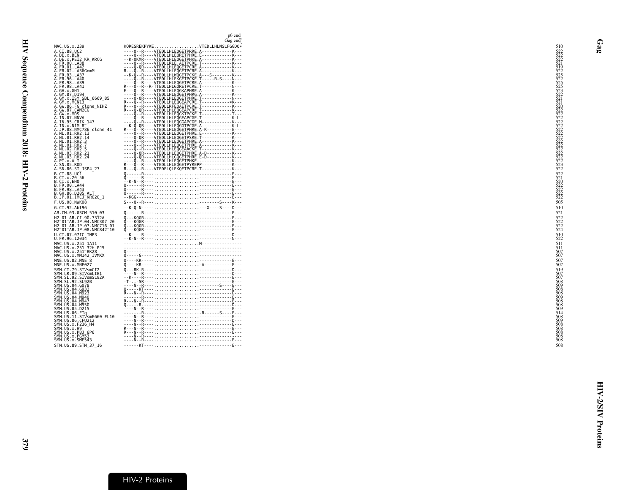| Gag end<br>KQRESREKPYKEVTEDLLHLNSLFGGDQ*<br>MAC.US.x.239<br>----Q--R----VTEDLLHLEQGETPRRE.A------------K---<br>A.CI.88.UC2<br>----Q--R----VTEDLLHLEQRETPHRE.E------------K---<br>A.DE.x.BEN<br>A.DE.x.PEI2 KR KRCG<br>--K-QKMR----VTEDLLHLEQGETPHKE.A-----------K---<br>----Q--R----VTEDLLRLE.AETPCRE.T-----------K---<br>A.FR.00.LA38<br>Q.qRVTEDLLHLEQGETPCRE.AK<br>A.FR.01.LA42<br>R---Q--R----VTEDLLHLEQGETPCRE.A-------------K---<br>A.FR.02.LA36GomM<br>--K-Q--R----VTEDLLHLWQGETPCKE.A---S--------K---<br>A.FR.93.LA37<br>A.FR.96.LA40<br>A.FR.98.LA39<br>A.FR.98.LA41<br>A.GH.x.GH1<br>A.GM.87.D194<br>----Q--R----VTEDLLHLEQGETPHRG.A------------K---<br>A.GM.x.ISY SBL 6669 85<br>A.GM.x.MCN13<br>R---Q--R----VTEDLLRFEQAETPCRE.T------------K---<br>A.GW.86.FG clone NIHZ<br>A.GW.87.CAM2CG<br>A.GW.x.MDS<br>A.IN.07.NNVA<br>A. IN. 95. CRIK 147<br>----Q--R----VTEDLLHLEQGGAPCGE.M------------K---<br>--K-0-QR----VTEDLLHLEQGGTPCGE.A-------------K-L-<br>R---Q--R----VTEDLLHLEQGETPHRE.A-K----------E---<br>A.IN.x.NIM 8<br>A.JP.08.NMC786 clone 41<br>A.NL.01.RH2.13<br>A.NL.01.RH2.14<br>A.NL.01.RH2.3<br>----Q--R----VTEDLLHLEQGETPHRE.A------------K---<br>A.NL.01.RH2.7<br>QRVIEDLLHLEQGEAACKE.TK<br>A.NL.02.RH2.5<br>----Q-QR----VTEDLLHLEQGETPHRE.A-D-----------K---<br>A.NL.03.RH2.21<br>----Q-QR----VTEDLLHLGQGETPHRE.E-D----------K---<br>A.NL.03.RH2.24<br>A. PT. x. ALI<br>A. SN. 85. ROD<br>A.SN.86.ST JSP4 27<br>B.CI.88.UC1<br>B.CI.x.20 56<br>B.CI.x.EHO<br>B. FR. 00. LA44<br>B.FR.98.LA43<br>$\mathfrak{d}_{\texttt{1}}\texttt{1} \texttt{1} \texttt{1} \texttt{1} \texttt{1} \texttt{1} \texttt{1} \texttt{1} \texttt{1} \texttt{1} \texttt{1} \texttt{1} \texttt{1} \texttt{1} \texttt{1} \texttt{1} \texttt{1} \texttt{1} \texttt{1} \texttt{1} \texttt{1} \texttt{1} \texttt{1} \texttt{1} \texttt{1} \texttt{1} \texttt{1} \texttt{1} \texttt{1} \texttt{1} \texttt{1} \texttt{1} \texttt{1} \texttt{1} \texttt$<br>B.GH.86.D205 ALT<br>B.JP.01.IMCJ KR020 1<br>F.US.08.NWK08<br>--K-Q-N--------X----S----D---<br>G.CI.92.Abt96<br>AB.CM.03.03CM 510 03<br>H2 01 AB.CI.90.7312A<br>H2 01 AB. JP. 04. NMC307 20<br>H2 <sup>-01-AB.JP.07.NMC716-01</sup><br>H2 <sup>-01-AB.JP.08.NMC842<sup>-10</sup></sup><br>U.CI.07.07IC TNP3<br>U.FR.96.12034<br>MAC.US.x.251 1A11<br>MAC.US.x.251 32H PJ5<br>MAC.US.x.251 BK28<br>MAC.US.x.MM142 IVMXX<br>MNE.US.82.MNE 8<br>MNE.US.x.MNE027<br>SMM.CI.79.SIVsmCI2<br>SMM.LR.89.SIVsmLIB1<br>SMM.SL.92.SIVsmSL92A<br>SMM. SL. 92. SL92B<br>SMM.US.04.G078<br>SMM. US.04.G932<br>SMM. US. 04. M923<br>SMM. US. 04. M940 |
|-----------------------------------------------------------------------------------------------------------------------------------------------------------------------------------------------------------------------------------------------------------------------------------------------------------------------------------------------------------------------------------------------------------------------------------------------------------------------------------------------------------------------------------------------------------------------------------------------------------------------------------------------------------------------------------------------------------------------------------------------------------------------------------------------------------------------------------------------------------------------------------------------------------------------------------------------------------------------------------------------------------------------------------------------------------------------------------------------------------------------------------------------------------------------------------------------------------------------------------------------------------------------------------------------------------------------------------------------------------------------------------------------------------------------------------------------------------------------------------------------------------------------------------------------------------------------------------------------------------------------------------------------------------------------------------------------------------------------------------------------------------------------------------------------------------------------------------------------------------------------------------------------------------------------------------------------------------------------------------------------------------------------------------------------------------------------------------------------------------------------------------------------------------------------------------------------------------------------------------------------------------------------------------------------------------------------------------------------------------------------------------------------------------------------------------------------------------------------------------------------------------------------------------------------------------------------------------------------|
|                                                                                                                                                                                                                                                                                                                                                                                                                                                                                                                                                                                                                                                                                                                                                                                                                                                                                                                                                                                                                                                                                                                                                                                                                                                                                                                                                                                                                                                                                                                                                                                                                                                                                                                                                                                                                                                                                                                                                                                                                                                                                                                                                                                                                                                                                                                                                                                                                                                                                                                                                                                               |
|                                                                                                                                                                                                                                                                                                                                                                                                                                                                                                                                                                                                                                                                                                                                                                                                                                                                                                                                                                                                                                                                                                                                                                                                                                                                                                                                                                                                                                                                                                                                                                                                                                                                                                                                                                                                                                                                                                                                                                                                                                                                                                                                                                                                                                                                                                                                                                                                                                                                                                                                                                                               |
|                                                                                                                                                                                                                                                                                                                                                                                                                                                                                                                                                                                                                                                                                                                                                                                                                                                                                                                                                                                                                                                                                                                                                                                                                                                                                                                                                                                                                                                                                                                                                                                                                                                                                                                                                                                                                                                                                                                                                                                                                                                                                                                                                                                                                                                                                                                                                                                                                                                                                                                                                                                               |
|                                                                                                                                                                                                                                                                                                                                                                                                                                                                                                                                                                                                                                                                                                                                                                                                                                                                                                                                                                                                                                                                                                                                                                                                                                                                                                                                                                                                                                                                                                                                                                                                                                                                                                                                                                                                                                                                                                                                                                                                                                                                                                                                                                                                                                                                                                                                                                                                                                                                                                                                                                                               |
|                                                                                                                                                                                                                                                                                                                                                                                                                                                                                                                                                                                                                                                                                                                                                                                                                                                                                                                                                                                                                                                                                                                                                                                                                                                                                                                                                                                                                                                                                                                                                                                                                                                                                                                                                                                                                                                                                                                                                                                                                                                                                                                                                                                                                                                                                                                                                                                                                                                                                                                                                                                               |
|                                                                                                                                                                                                                                                                                                                                                                                                                                                                                                                                                                                                                                                                                                                                                                                                                                                                                                                                                                                                                                                                                                                                                                                                                                                                                                                                                                                                                                                                                                                                                                                                                                                                                                                                                                                                                                                                                                                                                                                                                                                                                                                                                                                                                                                                                                                                                                                                                                                                                                                                                                                               |
|                                                                                                                                                                                                                                                                                                                                                                                                                                                                                                                                                                                                                                                                                                                                                                                                                                                                                                                                                                                                                                                                                                                                                                                                                                                                                                                                                                                                                                                                                                                                                                                                                                                                                                                                                                                                                                                                                                                                                                                                                                                                                                                                                                                                                                                                                                                                                                                                                                                                                                                                                                                               |
|                                                                                                                                                                                                                                                                                                                                                                                                                                                                                                                                                                                                                                                                                                                                                                                                                                                                                                                                                                                                                                                                                                                                                                                                                                                                                                                                                                                                                                                                                                                                                                                                                                                                                                                                                                                                                                                                                                                                                                                                                                                                                                                                                                                                                                                                                                                                                                                                                                                                                                                                                                                               |
|                                                                                                                                                                                                                                                                                                                                                                                                                                                                                                                                                                                                                                                                                                                                                                                                                                                                                                                                                                                                                                                                                                                                                                                                                                                                                                                                                                                                                                                                                                                                                                                                                                                                                                                                                                                                                                                                                                                                                                                                                                                                                                                                                                                                                                                                                                                                                                                                                                                                                                                                                                                               |
|                                                                                                                                                                                                                                                                                                                                                                                                                                                                                                                                                                                                                                                                                                                                                                                                                                                                                                                                                                                                                                                                                                                                                                                                                                                                                                                                                                                                                                                                                                                                                                                                                                                                                                                                                                                                                                                                                                                                                                                                                                                                                                                                                                                                                                                                                                                                                                                                                                                                                                                                                                                               |
|                                                                                                                                                                                                                                                                                                                                                                                                                                                                                                                                                                                                                                                                                                                                                                                                                                                                                                                                                                                                                                                                                                                                                                                                                                                                                                                                                                                                                                                                                                                                                                                                                                                                                                                                                                                                                                                                                                                                                                                                                                                                                                                                                                                                                                                                                                                                                                                                                                                                                                                                                                                               |
|                                                                                                                                                                                                                                                                                                                                                                                                                                                                                                                                                                                                                                                                                                                                                                                                                                                                                                                                                                                                                                                                                                                                                                                                                                                                                                                                                                                                                                                                                                                                                                                                                                                                                                                                                                                                                                                                                                                                                                                                                                                                                                                                                                                                                                                                                                                                                                                                                                                                                                                                                                                               |
|                                                                                                                                                                                                                                                                                                                                                                                                                                                                                                                                                                                                                                                                                                                                                                                                                                                                                                                                                                                                                                                                                                                                                                                                                                                                                                                                                                                                                                                                                                                                                                                                                                                                                                                                                                                                                                                                                                                                                                                                                                                                                                                                                                                                                                                                                                                                                                                                                                                                                                                                                                                               |
|                                                                                                                                                                                                                                                                                                                                                                                                                                                                                                                                                                                                                                                                                                                                                                                                                                                                                                                                                                                                                                                                                                                                                                                                                                                                                                                                                                                                                                                                                                                                                                                                                                                                                                                                                                                                                                                                                                                                                                                                                                                                                                                                                                                                                                                                                                                                                                                                                                                                                                                                                                                               |
|                                                                                                                                                                                                                                                                                                                                                                                                                                                                                                                                                                                                                                                                                                                                                                                                                                                                                                                                                                                                                                                                                                                                                                                                                                                                                                                                                                                                                                                                                                                                                                                                                                                                                                                                                                                                                                                                                                                                                                                                                                                                                                                                                                                                                                                                                                                                                                                                                                                                                                                                                                                               |
|                                                                                                                                                                                                                                                                                                                                                                                                                                                                                                                                                                                                                                                                                                                                                                                                                                                                                                                                                                                                                                                                                                                                                                                                                                                                                                                                                                                                                                                                                                                                                                                                                                                                                                                                                                                                                                                                                                                                                                                                                                                                                                                                                                                                                                                                                                                                                                                                                                                                                                                                                                                               |
|                                                                                                                                                                                                                                                                                                                                                                                                                                                                                                                                                                                                                                                                                                                                                                                                                                                                                                                                                                                                                                                                                                                                                                                                                                                                                                                                                                                                                                                                                                                                                                                                                                                                                                                                                                                                                                                                                                                                                                                                                                                                                                                                                                                                                                                                                                                                                                                                                                                                                                                                                                                               |
|                                                                                                                                                                                                                                                                                                                                                                                                                                                                                                                                                                                                                                                                                                                                                                                                                                                                                                                                                                                                                                                                                                                                                                                                                                                                                                                                                                                                                                                                                                                                                                                                                                                                                                                                                                                                                                                                                                                                                                                                                                                                                                                                                                                                                                                                                                                                                                                                                                                                                                                                                                                               |
|                                                                                                                                                                                                                                                                                                                                                                                                                                                                                                                                                                                                                                                                                                                                                                                                                                                                                                                                                                                                                                                                                                                                                                                                                                                                                                                                                                                                                                                                                                                                                                                                                                                                                                                                                                                                                                                                                                                                                                                                                                                                                                                                                                                                                                                                                                                                                                                                                                                                                                                                                                                               |
|                                                                                                                                                                                                                                                                                                                                                                                                                                                                                                                                                                                                                                                                                                                                                                                                                                                                                                                                                                                                                                                                                                                                                                                                                                                                                                                                                                                                                                                                                                                                                                                                                                                                                                                                                                                                                                                                                                                                                                                                                                                                                                                                                                                                                                                                                                                                                                                                                                                                                                                                                                                               |
|                                                                                                                                                                                                                                                                                                                                                                                                                                                                                                                                                                                                                                                                                                                                                                                                                                                                                                                                                                                                                                                                                                                                                                                                                                                                                                                                                                                                                                                                                                                                                                                                                                                                                                                                                                                                                                                                                                                                                                                                                                                                                                                                                                                                                                                                                                                                                                                                                                                                                                                                                                                               |
|                                                                                                                                                                                                                                                                                                                                                                                                                                                                                                                                                                                                                                                                                                                                                                                                                                                                                                                                                                                                                                                                                                                                                                                                                                                                                                                                                                                                                                                                                                                                                                                                                                                                                                                                                                                                                                                                                                                                                                                                                                                                                                                                                                                                                                                                                                                                                                                                                                                                                                                                                                                               |
|                                                                                                                                                                                                                                                                                                                                                                                                                                                                                                                                                                                                                                                                                                                                                                                                                                                                                                                                                                                                                                                                                                                                                                                                                                                                                                                                                                                                                                                                                                                                                                                                                                                                                                                                                                                                                                                                                                                                                                                                                                                                                                                                                                                                                                                                                                                                                                                                                                                                                                                                                                                               |
|                                                                                                                                                                                                                                                                                                                                                                                                                                                                                                                                                                                                                                                                                                                                                                                                                                                                                                                                                                                                                                                                                                                                                                                                                                                                                                                                                                                                                                                                                                                                                                                                                                                                                                                                                                                                                                                                                                                                                                                                                                                                                                                                                                                                                                                                                                                                                                                                                                                                                                                                                                                               |
|                                                                                                                                                                                                                                                                                                                                                                                                                                                                                                                                                                                                                                                                                                                                                                                                                                                                                                                                                                                                                                                                                                                                                                                                                                                                                                                                                                                                                                                                                                                                                                                                                                                                                                                                                                                                                                                                                                                                                                                                                                                                                                                                                                                                                                                                                                                                                                                                                                                                                                                                                                                               |
|                                                                                                                                                                                                                                                                                                                                                                                                                                                                                                                                                                                                                                                                                                                                                                                                                                                                                                                                                                                                                                                                                                                                                                                                                                                                                                                                                                                                                                                                                                                                                                                                                                                                                                                                                                                                                                                                                                                                                                                                                                                                                                                                                                                                                                                                                                                                                                                                                                                                                                                                                                                               |
|                                                                                                                                                                                                                                                                                                                                                                                                                                                                                                                                                                                                                                                                                                                                                                                                                                                                                                                                                                                                                                                                                                                                                                                                                                                                                                                                                                                                                                                                                                                                                                                                                                                                                                                                                                                                                                                                                                                                                                                                                                                                                                                                                                                                                                                                                                                                                                                                                                                                                                                                                                                               |
|                                                                                                                                                                                                                                                                                                                                                                                                                                                                                                                                                                                                                                                                                                                                                                                                                                                                                                                                                                                                                                                                                                                                                                                                                                                                                                                                                                                                                                                                                                                                                                                                                                                                                                                                                                                                                                                                                                                                                                                                                                                                                                                                                                                                                                                                                                                                                                                                                                                                                                                                                                                               |
|                                                                                                                                                                                                                                                                                                                                                                                                                                                                                                                                                                                                                                                                                                                                                                                                                                                                                                                                                                                                                                                                                                                                                                                                                                                                                                                                                                                                                                                                                                                                                                                                                                                                                                                                                                                                                                                                                                                                                                                                                                                                                                                                                                                                                                                                                                                                                                                                                                                                                                                                                                                               |
|                                                                                                                                                                                                                                                                                                                                                                                                                                                                                                                                                                                                                                                                                                                                                                                                                                                                                                                                                                                                                                                                                                                                                                                                                                                                                                                                                                                                                                                                                                                                                                                                                                                                                                                                                                                                                                                                                                                                                                                                                                                                                                                                                                                                                                                                                                                                                                                                                                                                                                                                                                                               |
|                                                                                                                                                                                                                                                                                                                                                                                                                                                                                                                                                                                                                                                                                                                                                                                                                                                                                                                                                                                                                                                                                                                                                                                                                                                                                                                                                                                                                                                                                                                                                                                                                                                                                                                                                                                                                                                                                                                                                                                                                                                                                                                                                                                                                                                                                                                                                                                                                                                                                                                                                                                               |
|                                                                                                                                                                                                                                                                                                                                                                                                                                                                                                                                                                                                                                                                                                                                                                                                                                                                                                                                                                                                                                                                                                                                                                                                                                                                                                                                                                                                                                                                                                                                                                                                                                                                                                                                                                                                                                                                                                                                                                                                                                                                                                                                                                                                                                                                                                                                                                                                                                                                                                                                                                                               |
|                                                                                                                                                                                                                                                                                                                                                                                                                                                                                                                                                                                                                                                                                                                                                                                                                                                                                                                                                                                                                                                                                                                                                                                                                                                                                                                                                                                                                                                                                                                                                                                                                                                                                                                                                                                                                                                                                                                                                                                                                                                                                                                                                                                                                                                                                                                                                                                                                                                                                                                                                                                               |
|                                                                                                                                                                                                                                                                                                                                                                                                                                                                                                                                                                                                                                                                                                                                                                                                                                                                                                                                                                                                                                                                                                                                                                                                                                                                                                                                                                                                                                                                                                                                                                                                                                                                                                                                                                                                                                                                                                                                                                                                                                                                                                                                                                                                                                                                                                                                                                                                                                                                                                                                                                                               |
|                                                                                                                                                                                                                                                                                                                                                                                                                                                                                                                                                                                                                                                                                                                                                                                                                                                                                                                                                                                                                                                                                                                                                                                                                                                                                                                                                                                                                                                                                                                                                                                                                                                                                                                                                                                                                                                                                                                                                                                                                                                                                                                                                                                                                                                                                                                                                                                                                                                                                                                                                                                               |
|                                                                                                                                                                                                                                                                                                                                                                                                                                                                                                                                                                                                                                                                                                                                                                                                                                                                                                                                                                                                                                                                                                                                                                                                                                                                                                                                                                                                                                                                                                                                                                                                                                                                                                                                                                                                                                                                                                                                                                                                                                                                                                                                                                                                                                                                                                                                                                                                                                                                                                                                                                                               |
|                                                                                                                                                                                                                                                                                                                                                                                                                                                                                                                                                                                                                                                                                                                                                                                                                                                                                                                                                                                                                                                                                                                                                                                                                                                                                                                                                                                                                                                                                                                                                                                                                                                                                                                                                                                                                                                                                                                                                                                                                                                                                                                                                                                                                                                                                                                                                                                                                                                                                                                                                                                               |
|                                                                                                                                                                                                                                                                                                                                                                                                                                                                                                                                                                                                                                                                                                                                                                                                                                                                                                                                                                                                                                                                                                                                                                                                                                                                                                                                                                                                                                                                                                                                                                                                                                                                                                                                                                                                                                                                                                                                                                                                                                                                                                                                                                                                                                                                                                                                                                                                                                                                                                                                                                                               |
|                                                                                                                                                                                                                                                                                                                                                                                                                                                                                                                                                                                                                                                                                                                                                                                                                                                                                                                                                                                                                                                                                                                                                                                                                                                                                                                                                                                                                                                                                                                                                                                                                                                                                                                                                                                                                                                                                                                                                                                                                                                                                                                                                                                                                                                                                                                                                                                                                                                                                                                                                                                               |
|                                                                                                                                                                                                                                                                                                                                                                                                                                                                                                                                                                                                                                                                                                                                                                                                                                                                                                                                                                                                                                                                                                                                                                                                                                                                                                                                                                                                                                                                                                                                                                                                                                                                                                                                                                                                                                                                                                                                                                                                                                                                                                                                                                                                                                                                                                                                                                                                                                                                                                                                                                                               |
|                                                                                                                                                                                                                                                                                                                                                                                                                                                                                                                                                                                                                                                                                                                                                                                                                                                                                                                                                                                                                                                                                                                                                                                                                                                                                                                                                                                                                                                                                                                                                                                                                                                                                                                                                                                                                                                                                                                                                                                                                                                                                                                                                                                                                                                                                                                                                                                                                                                                                                                                                                                               |
|                                                                                                                                                                                                                                                                                                                                                                                                                                                                                                                                                                                                                                                                                                                                                                                                                                                                                                                                                                                                                                                                                                                                                                                                                                                                                                                                                                                                                                                                                                                                                                                                                                                                                                                                                                                                                                                                                                                                                                                                                                                                                                                                                                                                                                                                                                                                                                                                                                                                                                                                                                                               |
|                                                                                                                                                                                                                                                                                                                                                                                                                                                                                                                                                                                                                                                                                                                                                                                                                                                                                                                                                                                                                                                                                                                                                                                                                                                                                                                                                                                                                                                                                                                                                                                                                                                                                                                                                                                                                                                                                                                                                                                                                                                                                                                                                                                                                                                                                                                                                                                                                                                                                                                                                                                               |
|                                                                                                                                                                                                                                                                                                                                                                                                                                                                                                                                                                                                                                                                                                                                                                                                                                                                                                                                                                                                                                                                                                                                                                                                                                                                                                                                                                                                                                                                                                                                                                                                                                                                                                                                                                                                                                                                                                                                                                                                                                                                                                                                                                                                                                                                                                                                                                                                                                                                                                                                                                                               |
| SMM. US.04.M947<br>SMM.US.04.M950                                                                                                                                                                                                                                                                                                                                                                                                                                                                                                                                                                                                                                                                                                                                                                                                                                                                                                                                                                                                                                                                                                                                                                                                                                                                                                                                                                                                                                                                                                                                                                                                                                                                                                                                                                                                                                                                                                                                                                                                                                                                                                                                                                                                                                                                                                                                                                                                                                                                                                                                                             |
| SMM.US.05.D215                                                                                                                                                                                                                                                                                                                                                                                                                                                                                                                                                                                                                                                                                                                                                                                                                                                                                                                                                                                                                                                                                                                                                                                                                                                                                                                                                                                                                                                                                                                                                                                                                                                                                                                                                                                                                                                                                                                                                                                                                                                                                                                                                                                                                                                                                                                                                                                                                                                                                                                                                                                |
| SMM.US.06.FTq<br>SMM.US.11.SIVsmE660_FL10<br>SMM.US.86.CFU212<br>SMM.US.x.F236_H4                                                                                                                                                                                                                                                                                                                                                                                                                                                                                                                                                                                                                                                                                                                                                                                                                                                                                                                                                                                                                                                                                                                                                                                                                                                                                                                                                                                                                                                                                                                                                                                                                                                                                                                                                                                                                                                                                                                                                                                                                                                                                                                                                                                                                                                                                                                                                                                                                                                                                                             |
|                                                                                                                                                                                                                                                                                                                                                                                                                                                                                                                                                                                                                                                                                                                                                                                                                                                                                                                                                                                                                                                                                                                                                                                                                                                                                                                                                                                                                                                                                                                                                                                                                                                                                                                                                                                                                                                                                                                                                                                                                                                                                                                                                                                                                                                                                                                                                                                                                                                                                                                                                                                               |
| SMM. US. x. H9                                                                                                                                                                                                                                                                                                                                                                                                                                                                                                                                                                                                                                                                                                                                                                                                                                                                                                                                                                                                                                                                                                                                                                                                                                                                                                                                                                                                                                                                                                                                                                                                                                                                                                                                                                                                                                                                                                                                                                                                                                                                                                                                                                                                                                                                                                                                                                                                                                                                                                                                                                                |
| SMM.US.x.PBJ 6P6                                                                                                                                                                                                                                                                                                                                                                                                                                                                                                                                                                                                                                                                                                                                                                                                                                                                                                                                                                                                                                                                                                                                                                                                                                                                                                                                                                                                                                                                                                                                                                                                                                                                                                                                                                                                                                                                                                                                                                                                                                                                                                                                                                                                                                                                                                                                                                                                                                                                                                                                                                              |
| SMM.US.x.PGM53<br>SMM.US.x.SME543                                                                                                                                                                                                                                                                                                                                                                                                                                                                                                                                                                                                                                                                                                                                                                                                                                                                                                                                                                                                                                                                                                                                                                                                                                                                                                                                                                                                                                                                                                                                                                                                                                                                                                                                                                                                                                                                                                                                                                                                                                                                                                                                                                                                                                                                                                                                                                                                                                                                                                                                                             |
| STM.US.89.STM 37 16                                                                                                                                                                                                                                                                                                                                                                                                                                                                                                                                                                                                                                                                                                                                                                                                                                                                                                                                                                                                                                                                                                                                                                                                                                                                                                                                                                                                                                                                                                                                                                                                                                                                                                                                                                                                                                                                                                                                                                                                                                                                                                                                                                                                                                                                                                                                                                                                                                                                                                                                                                           |

<span id="page-10-0"></span>Gag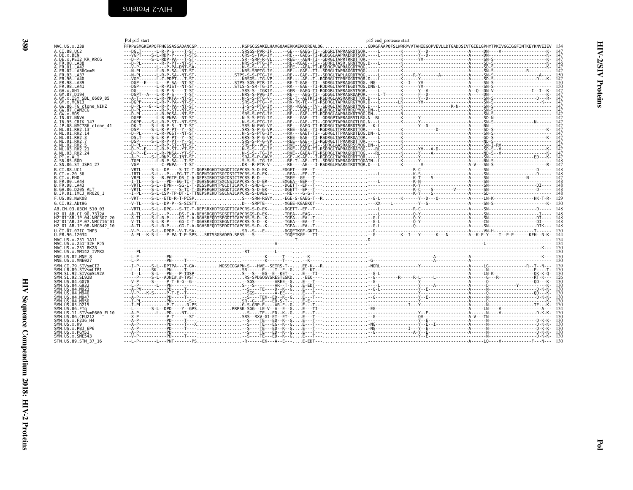<span id="page-11-0"></span>

| I |
|---|

<span id="page-11-1"></span>

| MAC.US.x.239                                                                                                                    | Pol p15 start | p15 end protease start |  |
|---------------------------------------------------------------------------------------------------------------------------------|---------------|------------------------|--|
| A.CI.88.UC2                                                                                                                     |               |                        |  |
| A.DE.x.BEN<br>A.DE.x.PEI2 KR_KRCG<br>A.FR.00.LA38<br>A.FR.01.LA42                                                               |               |                        |  |
|                                                                                                                                 |               |                        |  |
|                                                                                                                                 |               |                        |  |
|                                                                                                                                 |               |                        |  |
| A.FR.02.LA42<br>A.FR.02.LA36GomM<br>A.FR.93.LA37<br>A.FR.98.LA39<br>A.FR.98.LA39<br>A.FR.98.LA41                                |               |                        |  |
|                                                                                                                                 |               |                        |  |
|                                                                                                                                 |               |                        |  |
| A.F.H.98.LA41<br>A.GH.X.GH1<br>A.GM.87.D194<br>A.GM.x.NCN13<br>A.GW.86.FG clone_NIHZ<br>A.GW.86.FG clone_NIHZ<br>A.GW.87.CAM2CG |               |                        |  |
|                                                                                                                                 |               |                        |  |
| A. GW.87.CAMZCG<br>A. GW.87.NDS<br>A. IN.97.NNVA<br>A. IN.95.CRIK 147<br>A.NL.01.RH2.13<br>A.NL.01.RH2.13<br>A.NL.01.RH2.13     |               |                        |  |
|                                                                                                                                 |               |                        |  |
|                                                                                                                                 |               |                        |  |
|                                                                                                                                 |               |                        |  |
| A.NL.01.RH2.3<br>A.NL.01.RH2.7                                                                                                  |               |                        |  |
| A.NL.02.RH2.5<br>A.NL.03.RH2.21                                                                                                 |               |                        |  |
| A.NL.03.RH2.24                                                                                                                  |               |                        |  |
| A SN 85 ROD                                                                                                                     |               |                        |  |
| $A.$ SN $.86.$ ST $\_$ JSP4 $\_$ 27                                                                                             |               |                        |  |
| B.CI.88.UC1                                                                                                                     |               |                        |  |
| B.CI.x.20 56<br>B.CI.x.EHO                                                                                                      |               |                        |  |
| B.FR.00.LA44<br>B.FR.98.LA43                                                                                                    |               |                        |  |
|                                                                                                                                 |               |                        |  |
| B.GH.86.D205 ALT<br>B.JP.01.IMCJ_KR020_1                                                                                        |               |                        |  |
| F.US.08.NWK08                                                                                                                   |               |                        |  |
| G.CI.92.Abt96<br>AB.CM.03.03CM_510_03                                                                                           |               |                        |  |
| H2 01 AB.CI.90.7312A                                                                                                            |               |                        |  |
| H2 <sup>-</sup> 01 <sup>-</sup> AB.JP.04.NMC307<br>H2 01 AB.JP.07.NMC716 01                                                     |               |                        |  |
| H2 <sup>-</sup> 01 <sup>-</sup> AB.JP.08.NMC842 <sup>-</sup> 10                                                                 |               |                        |  |
| U.CI.07.07IC TNP3                                                                                                               |               |                        |  |
| U.FR.96.12034                                                                                                                   |               |                        |  |
|                                                                                                                                 |               |                        |  |
| MAC.US.x.251_1A11<br>MAC.US.x.251 <sup>—</sup> 32H_PJ5<br>MAC.US.x.251 <sup>—</sup> BK28<br>MAC.US.x.MM142_IVMXX                |               |                        |  |
| $MNE. US.82.MNE \overline{8}$                                                                                                   |               |                        |  |
| MNE.US.x.MNE027                                                                                                                 |               |                        |  |
| SMM.CI.79.SIVsmCI2<br>SMM.LR.89.SIVsmLIB1                                                                                       |               |                        |  |
| SMM.ER.09.31VSML1D1<br>SMM.SL.92.SIVsmSL92A<br>SMM.SL.92.SL92B                                                                  |               |                        |  |
| SMM.US.04.G078                                                                                                                  |               |                        |  |
|                                                                                                                                 |               |                        |  |
| SMM. US. 04. 6932<br>SMM. US. 04. M923<br>SMM. US. 04. M940<br>SMM. US. 04. M947                                                |               |                        |  |
| SMM.US.04.M950                                                                                                                  |               |                        |  |
| SMM.US.05.D215                                                                                                                  |               |                        |  |
| SMM.US.09. <i>D2.</i> 19<br>SMM.US.06.FTq<br>SMM.US.11.SIVsmE660_FL10<br>SMM.US.36.CFU212<br>SMM.US.x.F236<br>SMM.US.x.H91.cpc  |               |                        |  |
|                                                                                                                                 |               |                        |  |
|                                                                                                                                 |               |                        |  |
| SMM.US.x.PBJ 6P6<br>SMM. U.S. x. PGM53                                                                                          |               |                        |  |
| SMM.US.x.SME543                                                                                                                 |               |                        |  |
| STM.US.89.STM 37 16                                                                                                             |               |                        |  |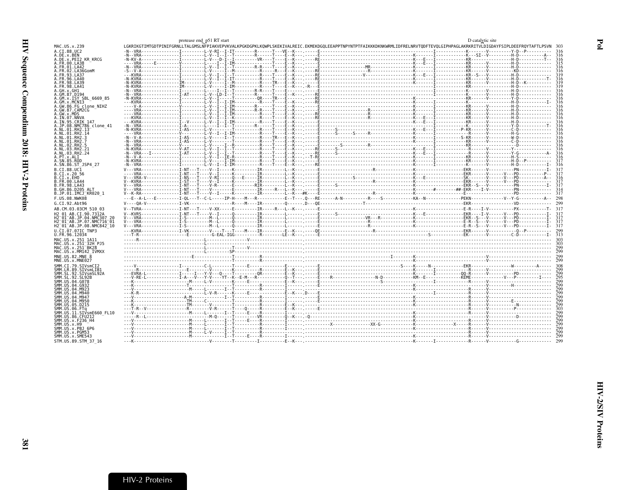<span id="page-12-0"></span>

|                                                                 | protease end p51 RT start |  |                                                                                                                                                                                                                                                                                                                                                                                                                                  | D catalytic site |                   |
|-----------------------------------------------------------------|---------------------------|--|----------------------------------------------------------------------------------------------------------------------------------------------------------------------------------------------------------------------------------------------------------------------------------------------------------------------------------------------------------------------------------------------------------------------------------|------------------|-------------------|
| MAC.US.x.239                                                    |                           |  | LGKRIKGTIMTGDTPINIFGRNLLTALGMSLNFPIAKVEPVKVALKPGKDGPKLKOWPLSKEKIVALREIC.EKMEKDGOLEEAPPTNPYNTPTFAIKKKDKNKWRMLIDFRELNRVTODFTEVOLGIPHPAGLAKRKRITVLDIGDAYFSIPLDEEFROYTAFTLPSVN                                                                                                                                                                                                                                                       |                  |                   |
| A.CI.88.UC2                                                     |                           |  | $-1.10RA\n-1.10RA\n-1.10RA\n-1.10RA\n-1.10RA\n-1.10RA\n-1.10RA\n-1.10RA\n-1.10RA\n-1.10RA\n-1.10RA\n-1.10RA\n-1.10RA\n-1.10RA\n-1.10RA\n-1.10RA\n-1.10RA\n-1.10RA\n-1.10RA\n-1.10RA\n-1.10RA\n-1.10RA\n$                                                                                                                                                                                                                         |                  |                   |
| A.DE.x.BEN                                                      |                           |  |                                                                                                                                                                                                                                                                                                                                                                                                                                  |                  | 316               |
| A.DE.X.PEI2_KR_KRCG<br>A.FR.00.LA38                             |                           |  |                                                                                                                                                                                                                                                                                                                                                                                                                                  |                  | 316               |
| A.FR.01.LA42                                                    |                           |  |                                                                                                                                                                                                                                                                                                                                                                                                                                  |                  |                   |
| A. FR. 02. LA36GomM                                             |                           |  |                                                                                                                                                                                                                                                                                                                                                                                                                                  |                  |                   |
| A.FR.93.LA37                                                    |                           |  |                                                                                                                                                                                                                                                                                                                                                                                                                                  |                  |                   |
| A. FR. 96. LA40                                                 |                           |  |                                                                                                                                                                                                                                                                                                                                                                                                                                  |                  |                   |
| A. FR. 98. LA39<br>A.FR.98.LA41                                 |                           |  |                                                                                                                                                                                                                                                                                                                                                                                                                                  |                  |                   |
| A.GH.x.GH1                                                      |                           |  |                                                                                                                                                                                                                                                                                                                                                                                                                                  |                  |                   |
| A.GM.87.D194                                                    |                           |  |                                                                                                                                                                                                                                                                                                                                                                                                                                  |                  |                   |
| A.GM.x.ISY SBL 6669 85                                          |                           |  |                                                                                                                                                                                                                                                                                                                                                                                                                                  |                  | 316               |
| A.GM.x.MCNI3                                                    |                           |  |                                                                                                                                                                                                                                                                                                                                                                                                                                  |                  |                   |
| A.GW.86.FG clone NIHZ<br>A.GW.87.CAM2CG                         |                           |  |                                                                                                                                                                                                                                                                                                                                                                                                                                  |                  |                   |
| A.GW.x.MDS                                                      |                           |  |                                                                                                                                                                                                                                                                                                                                                                                                                                  |                  |                   |
| A.IN.07.NNVA                                                    |                           |  |                                                                                                                                                                                                                                                                                                                                                                                                                                  |                  |                   |
| A.IN.95.CRIK 147                                                |                           |  |                                                                                                                                                                                                                                                                                                                                                                                                                                  |                  |                   |
| A.JP.08.NMC786 clone 41<br>A.NL.01.RH2.13                       |                           |  |                                                                                                                                                                                                                                                                                                                                                                                                                                  |                  |                   |
| A.NL.01.RH2.14                                                  |                           |  |                                                                                                                                                                                                                                                                                                                                                                                                                                  |                  | 316               |
| A.NL.01.RH2.3                                                   |                           |  | $\begin{bmatrix} \textbf{0} & \textbf{1} & \textbf{1} & \textbf{1} & \textbf{1} & \textbf{1} & \textbf{1} & \textbf{1} & \textbf{1} & \textbf{1} & \textbf{1} & \textbf{1} & \textbf{1} & \textbf{1} & \textbf{1} & \textbf{1} & \textbf{1} & \textbf{1} & \textbf{1} & \textbf{1} & \textbf{1} & \textbf{1} & \textbf{1} & \textbf{1} & \textbf{1} & \textbf{1} & \textbf{1} & \textbf{1} & \textbf{1} & \textbf{1} & \textbf{$ |                  | 316               |
| A.NL.01.RH2.7                                                   |                           |  |                                                                                                                                                                                                                                                                                                                                                                                                                                  |                  | 316               |
| A.NL.02.RH2.5                                                   |                           |  |                                                                                                                                                                                                                                                                                                                                                                                                                                  |                  |                   |
| A.NL.03.RH2.21<br>A.NL.03.RH2.24                                |                           |  |                                                                                                                                                                                                                                                                                                                                                                                                                                  |                  |                   |
| A.PT.x.ALI                                                      |                           |  |                                                                                                                                                                                                                                                                                                                                                                                                                                  |                  |                   |
| A.SN.85.ROD                                                     |                           |  |                                                                                                                                                                                                                                                                                                                                                                                                                                  |                  |                   |
| A.SN.86.ST JSP4 27                                              |                           |  |                                                                                                                                                                                                                                                                                                                                                                                                                                  |                  |                   |
| B.CI.88.UC1                                                     |                           |  |                                                                                                                                                                                                                                                                                                                                                                                                                                  |                  |                   |
| B.CI.x.20 56                                                    |                           |  |                                                                                                                                                                                                                                                                                                                                                                                                                                  |                  |                   |
| B.CI.x.EHO<br>B. FR. 00. LA44                                   |                           |  |                                                                                                                                                                                                                                                                                                                                                                                                                                  |                  |                   |
| B.FR.98.LA43                                                    |                           |  |                                                                                                                                                                                                                                                                                                                                                                                                                                  |                  |                   |
| B.GH.86.D205 ALT                                                |                           |  |                                                                                                                                                                                                                                                                                                                                                                                                                                  |                  |                   |
| B.JP.01.IMCJ KR020 1                                            |                           |  |                                                                                                                                                                                                                                                                                                                                                                                                                                  |                  |                   |
| F.US.08.NWK08                                                   |                           |  |                                                                                                                                                                                                                                                                                                                                                                                                                                  |                  |                   |
|                                                                 |                           |  |                                                                                                                                                                                                                                                                                                                                                                                                                                  |                  |                   |
| G.CI.92.Abt96                                                   |                           |  |                                                                                                                                                                                                                                                                                                                                                                                                                                  |                  |                   |
| AB.CM.03.03CM 510 03                                            |                           |  |                                                                                                                                                                                                                                                                                                                                                                                                                                  |                  |                   |
| H2 01 AB.CI.90.7312A                                            |                           |  |                                                                                                                                                                                                                                                                                                                                                                                                                                  |                  |                   |
| H2 01 AB.JP.04.NMC307 20                                        |                           |  |                                                                                                                                                                                                                                                                                                                                                                                                                                  |                  |                   |
| H2 <sup>-</sup> 01 <sup>-</sup> AB.JP.07.NMC716 <sup>-</sup> 01 |                           |  |                                                                                                                                                                                                                                                                                                                                                                                                                                  |                  |                   |
| H2 <sup>-01-AB.JP.08.NMC842<sup>-10</sup></sup>                 |                           |  | V--VRA<br>V--VRA<br>V--VRA<br>V--VRA<br>V--VRA<br>V--VRA<br>V--VRA<br>V--VRA<br>V--VRA<br>V--VRA<br>V--VRA<br>V--VRA<br>V--VRA<br>V--VRA<br>V--VRA<br>V--VRA<br>V--VRA<br>V--VRA<br>V--VRA<br>V--VRA<br>V--VRA<br>V--VRA<br>V--VRA<br>V--VRA<br>V--VRA<br>V--VRA<br>V--VRA<br>V--VRA                                                                                                                                             |                  |                   |
| U.CI.07.07IC TNP3                                               |                           |  |                                                                                                                                                                                                                                                                                                                                                                                                                                  |                  |                   |
| U.FR.96.12034                                                   |                           |  |                                                                                                                                                                                                                                                                                                                                                                                                                                  |                  |                   |
| MAC.US.x.251 1A11                                               |                           |  |                                                                                                                                                                                                                                                                                                                                                                                                                                  |                  |                   |
| MAC.US.x.251 32H PJ5<br>MAC.US.x.251 <sup>-BK28</sup>           |                           |  |                                                                                                                                                                                                                                                                                                                                                                                                                                  |                  | 303<br>299        |
| MAC.US.x.MM142 IVMXX                                            |                           |  |                                                                                                                                                                                                                                                                                                                                                                                                                                  |                  | - 299             |
| MNE.US.82.MNE 8                                                 |                           |  |                                                                                                                                                                                                                                                                                                                                                                                                                                  |                  |                   |
| MNE.US.x.MNE027                                                 |                           |  |                                                                                                                                                                                                                                                                                                                                                                                                                                  |                  |                   |
| SMM.CI.79.SIVsmCI2                                              |                           |  |                                                                                                                                                                                                                                                                                                                                                                                                                                  |                  |                   |
| SMM.LR.89.SIVsmLIB1                                             |                           |  |                                                                                                                                                                                                                                                                                                                                                                                                                                  |                  |                   |
| SMM.SL.92.SIVsmSL92A                                            |                           |  |                                                                                                                                                                                                                                                                                                                                                                                                                                  |                  | 299               |
| SMM. SL. 92. SL92B<br>SMM. US. 04. G078                         |                           |  |                                                                                                                                                                                                                                                                                                                                                                                                                                  |                  | 295               |
| SMM. U.S. 04. G932                                              |                           |  |                                                                                                                                                                                                                                                                                                                                                                                                                                  |                  |                   |
| SMM. US. 04. M923                                               |                           |  |                                                                                                                                                                                                                                                                                                                                                                                                                                  |                  | 299               |
| SMM.US.04.M940                                                  |                           |  |                                                                                                                                                                                                                                                                                                                                                                                                                                  |                  | 299               |
| SMM.US.04.M947<br>SMM. US.04.M950                               |                           |  |                                                                                                                                                                                                                                                                                                                                                                                                                                  |                  | 299               |
| SMM.US.05.D215                                                  |                           |  |                                                                                                                                                                                                                                                                                                                                                                                                                                  |                  | $\frac{299}{299}$ |
| SMM.US.06.FTa                                                   |                           |  |                                                                                                                                                                                                                                                                                                                                                                                                                                  |                  |                   |
| SMM.US.11.SIVsmE660 FL10                                        |                           |  |                                                                                                                                                                                                                                                                                                                                                                                                                                  |                  | $\frac{503}{299}$ |
| SMM.US.86.CFU212                                                |                           |  |                                                                                                                                                                                                                                                                                                                                                                                                                                  |                  | $\frac{1}{2}00$   |
| SMM. US. x. F236_H4<br>SMM.US.x.H9                              |                           |  |                                                                                                                                                                                                                                                                                                                                                                                                                                  |                  |                   |
| SMM.US.x.PBJ 6P6                                                |                           |  |                                                                                                                                                                                                                                                                                                                                                                                                                                  |                  |                   |
| SMM.US.x.PGM53                                                  |                           |  |                                                                                                                                                                                                                                                                                                                                                                                                                                  |                  |                   |
| SMM.US.x.SME543<br>STM.US.89.STM 37 16                          |                           |  |                                                                                                                                                                                                                                                                                                                                                                                                                                  |                  |                   |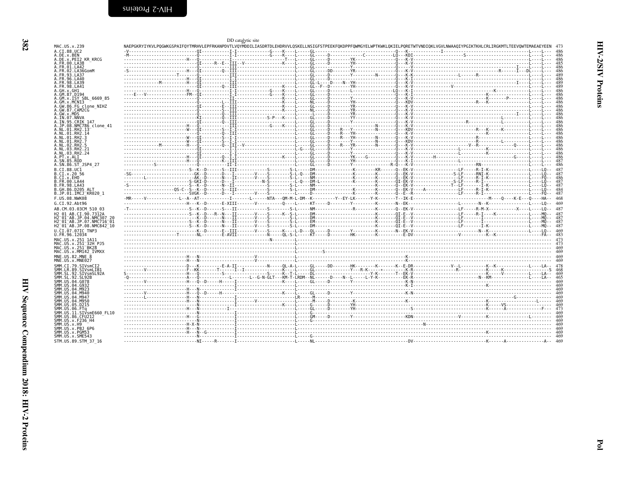| I |
|---|

<span id="page-13-0"></span>

| MAC.US.x.239                                                    |  | DD catalytic site |  |  | NAEPGKRYIYKVLPOGWKGSPAIFOYTMRHVLEPFRKANPDVTLVOYMDDILIASDRTDLEHDRVVLOSKELLNSIGFSTPEEKFOKDPPFOWMGYELWPTKWKLOKIELPORETWTVNDIOKLVGVLNWAAOIYPGIKTKHLCRLIRGKMTLTEEVOWTEMAEAEYEEN |            |
|-----------------------------------------------------------------|--|-------------------|--|--|----------------------------------------------------------------------------------------------------------------------------------------------------------------------------|------------|
| A.CI.88.UC2                                                     |  |                   |  |  |                                                                                                                                                                            |            |
| A.DE.x.BEN                                                      |  |                   |  |  |                                                                                                                                                                            |            |
| A.DE.x.PEI2 KR KRCG                                             |  |                   |  |  |                                                                                                                                                                            |            |
| A.FR.00.LA38<br>FR.01.LA42                                      |  |                   |  |  |                                                                                                                                                                            | 486        |
| FR.02.LA36GomM                                                  |  |                   |  |  |                                                                                                                                                                            |            |
| FR.93.LA37                                                      |  |                   |  |  |                                                                                                                                                                            | 489        |
| FR.96.LA40<br>. FR . 98 . LA39                                  |  |                   |  |  |                                                                                                                                                                            |            |
| A.FR.98.LA41                                                    |  |                   |  |  |                                                                                                                                                                            | 489        |
| A.GH.x.GH1<br>.GM.87.D194                                       |  |                   |  |  |                                                                                                                                                                            | 486<br>486 |
| .GM.x.ISY SBL 6669 85                                           |  |                   |  |  |                                                                                                                                                                            | 486        |
| .GM.x.MCNI3                                                     |  |                   |  |  |                                                                                                                                                                            |            |
| A.GW.86.FG clone NIHZ<br>A.GW.87.CAM2CG                         |  |                   |  |  |                                                                                                                                                                            |            |
| A.GW.x.MDS                                                      |  |                   |  |  |                                                                                                                                                                            |            |
| A.IN.07.NNVA<br>A.IN.95.CRIK 147                                |  |                   |  |  |                                                                                                                                                                            |            |
| .JP.08.NMC786 clone 41                                          |  |                   |  |  |                                                                                                                                                                            |            |
| A.NL.01.RH2.13                                                  |  |                   |  |  |                                                                                                                                                                            |            |
| A.NL.01.RH2.14<br>A.NL.01.RH2.3                                 |  |                   |  |  |                                                                                                                                                                            |            |
| A.NL.01.RH2.7                                                   |  |                   |  |  |                                                                                                                                                                            |            |
| A.NL.02.RH2.5                                                   |  |                   |  |  |                                                                                                                                                                            | 486<br>486 |
| A.NL.03.RH2.21<br>A.NL.03.RH2.24                                |  |                   |  |  |                                                                                                                                                                            | 486        |
| A.PT.x.ALI                                                      |  |                   |  |  |                                                                                                                                                                            | 486        |
| A.SN.85.ROD<br>A.SN.86.ST JSP4 27                               |  |                   |  |  |                                                                                                                                                                            | 486        |
| B.CI.88.UC1                                                     |  |                   |  |  |                                                                                                                                                                            |            |
| B.CI.x.20 56                                                    |  |                   |  |  |                                                                                                                                                                            | 487        |
| .CI.x.EHO                                                       |  |                   |  |  |                                                                                                                                                                            |            |
| B.FR.00.LA44<br>B.FR.98.LA43                                    |  |                   |  |  |                                                                                                                                                                            |            |
| B.GH.86.D205 ALT                                                |  |                   |  |  |                                                                                                                                                                            | 484        |
| B.JP.01.IMCJ KR020 1                                            |  |                   |  |  |                                                                                                                                                                            | 487        |
| F.US.08.NWK08<br>G.CI.92.Abt96                                  |  |                   |  |  |                                                                                                                                                                            | -468       |
| AB.CM.03.03CM 510 03                                            |  |                   |  |  |                                                                                                                                                                            |            |
| H2 01 AB.CI.90.7312A                                            |  |                   |  |  | -------------------------S--K--D---R--N---II---------V----S-----K--S-L-----DM----------------K----------CI-E--V---------------------LE-----R-I----K-----------L-----MO--   |            |
|                                                                 |  |                   |  |  |                                                                                                                                                                            |            |
| H2 <sup>-</sup> 01 <sup>-</sup> AB.JP.07.NMC716 <sup>-</sup> 01 |  |                   |  |  |                                                                                                                                                                            | 487        |
| H2 <sup>-</sup> 01 <sup>-</sup> AB.JP.08.NMC842 <sup>-</sup> 10 |  |                   |  |  |                                                                                                                                                                            | 487        |
| U.CI.07.07IC TNP3<br>U.FR.96.12034                              |  |                   |  |  |                                                                                                                                                                            |            |
| MAC.US.x.251 1A11                                               |  |                   |  |  |                                                                                                                                                                            |            |
| MAC.US.x.251 <sup>-</sup> 32H PJ5                               |  |                   |  |  |                                                                                                                                                                            |            |
| MAC.US.x.251 BK28<br>MAC.US.x.MM142 IVMXX                       |  |                   |  |  |                                                                                                                                                                            |            |
| MNE.US.82.MNE 8                                                 |  |                   |  |  |                                                                                                                                                                            |            |
| MNE.US.x.MNE027                                                 |  |                   |  |  |                                                                                                                                                                            |            |
| SMM.CI.79.SIVsmCI2                                              |  |                   |  |  |                                                                                                                                                                            |            |
| SMM.LR.89.SIVsmLIB1<br>SMM.SL.92.SIVsmSL92A                     |  |                   |  |  |                                                                                                                                                                            | 468<br>469 |
| SMM.SL.92.SL92B                                                 |  |                   |  |  |                                                                                                                                                                            |            |
| SMM.US.04.G078<br>SMM.US.04.G932                                |  |                   |  |  |                                                                                                                                                                            |            |
| SMM.US.04.M923                                                  |  |                   |  |  |                                                                                                                                                                            |            |
| SMM IIS 04 M946                                                 |  |                   |  |  |                                                                                                                                                                            |            |
| SMM.US.04.M947<br>SMM.US.04.M950                                |  |                   |  |  |                                                                                                                                                                            | 469        |
| SMM.US.05.D215                                                  |  |                   |  |  |                                                                                                                                                                            | 469        |
| SMM.US.06.FTa<br>SMM.US.11.SIVsmE660 FL10                       |  |                   |  |  |                                                                                                                                                                            | 469        |
| SMM.US.86.CFU212                                                |  |                   |  |  |                                                                                                                                                                            |            |
| SMM.US.x.F236 H4                                                |  |                   |  |  |                                                                                                                                                                            |            |
| SMM.US.x.H9<br>SMM.US.x.PBJ 6P6                                 |  |                   |  |  |                                                                                                                                                                            |            |
| SMM.US.x.PGM53                                                  |  |                   |  |  |                                                                                                                                                                            |            |
| SMM.US.x.SME543                                                 |  |                   |  |  |                                                                                                                                                                            |            |
| STM.US.89.STM 37 16                                             |  |                   |  |  |                                                                                                                                                                            |            |
|                                                                 |  |                   |  |  |                                                                                                                                                                            |            |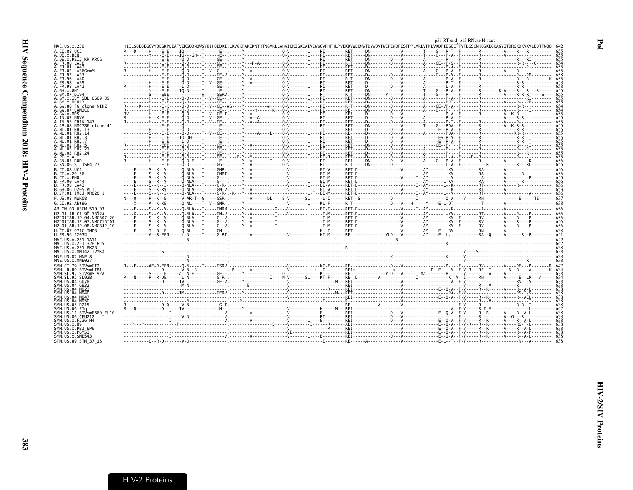<span id="page-14-0"></span>

|                                                                            |                                                                                                                                                                                                                                                                                                                                                                                                                                                                  |                                                                                                                                  | p51 RT end_p15 RNase H start |  |
|----------------------------------------------------------------------------|------------------------------------------------------------------------------------------------------------------------------------------------------------------------------------------------------------------------------------------------------------------------------------------------------------------------------------------------------------------------------------------------------------------------------------------------------------------|----------------------------------------------------------------------------------------------------------------------------------|------------------------------|--|
| MAC.US.x.239                                                               | KIILSOEOEGCYYOEGKPLEATVIKSODNOWSYKIHOEDKI.LKVGKFAKIKNTHTNGVRLLAHVIOKIGKEAIVIWGOVPKFHLPVEKDVWEOWWTDYWOVTWIPEWDFISTPPLVRLVFNLVKDPIEGEETYYTDGSCNKOSKEGKAGYITDRGKDKVKVLEOTTNOO 642                                                                                                                                                                                                                                                                                   |                                                                                                                                  |                              |  |
| A.CI.88.UC2                                                                |                                                                                                                                                                                                                                                                                                                                                                                                                                                                  | .E--, -----Y--------------0-V-------L----RI--------RET-----DN-----------V-------T----G---P-T--F-------R-------V----R---R---R---- |                              |  |
| A.DE.x.BEN<br>A.DE.x.PEI2 KR KRCG                                          | $\begin{minipage}[10000] {\begin{minipage}[10000] {\begin{minipage}[10000] {\color{red} \begin{minipage}[10000] {\color{red} \begin{minipage}[10000] {\color{red} \begin{minipage}[10000] {\color{red} \begin{minipage}[10000] {\color{red} \begin{minipage}[10000] {\color{red} \begin{minipage}[10000] {\color{red} \begin{minipage}[10000] {\color{red} \begin{minipage}[10000] {\color{red} \begin{minipage}[10000] {\color{red} \begin{minipage}[10000] {\$ |                                                                                                                                  |                              |  |
| .FR.00.LA38                                                                |                                                                                                                                                                                                                                                                                                                                                                                                                                                                  |                                                                                                                                  |                              |  |
| FR.01.LA42<br>.FR.02.LA36GomM                                              |                                                                                                                                                                                                                                                                                                                                                                                                                                                                  |                                                                                                                                  |                              |  |
| FR 93 1 437                                                                |                                                                                                                                                                                                                                                                                                                                                                                                                                                                  |                                                                                                                                  |                              |  |
| . FR. 96. LA40                                                             |                                                                                                                                                                                                                                                                                                                                                                                                                                                                  |                                                                                                                                  |                              |  |
| A.FR.98.LA39<br>A.FR.98.LA41                                               |                                                                                                                                                                                                                                                                                                                                                                                                                                                                  |                                                                                                                                  |                              |  |
| A GH x GH1                                                                 |                                                                                                                                                                                                                                                                                                                                                                                                                                                                  |                                                                                                                                  |                              |  |
| A.GM.87.D194                                                               |                                                                                                                                                                                                                                                                                                                                                                                                                                                                  |                                                                                                                                  |                              |  |
| .GM.x.ISY SBL 6669 85<br>.GM.x.MCNI3                                       |                                                                                                                                                                                                                                                                                                                                                                                                                                                                  |                                                                                                                                  |                              |  |
| A.GW.86.FG clone NIHZ                                                      |                                                                                                                                                                                                                                                                                                                                                                                                                                                                  |                                                                                                                                  |                              |  |
| A.GW.87.CAM2CG<br>A.GW.x.MDS                                               |                                                                                                                                                                                                                                                                                                                                                                                                                                                                  |                                                                                                                                  |                              |  |
| A.IN.07.NNVA                                                               |                                                                                                                                                                                                                                                                                                                                                                                                                                                                  |                                                                                                                                  |                              |  |
| A.IN.95.CRIK 147<br>A.JP.08.NMC786 clone 41                                |                                                                                                                                                                                                                                                                                                                                                                                                                                                                  |                                                                                                                                  |                              |  |
| A.NL.01.RH2.13                                                             |                                                                                                                                                                                                                                                                                                                                                                                                                                                                  |                                                                                                                                  |                              |  |
| A.NL.01.RH2.14                                                             |                                                                                                                                                                                                                                                                                                                                                                                                                                                                  |                                                                                                                                  |                              |  |
| A.NL.01.RH2.3<br>A.NL.01.RH2.7                                             |                                                                                                                                                                                                                                                                                                                                                                                                                                                                  |                                                                                                                                  |                              |  |
| A.NL.02.RH2.5                                                              |                                                                                                                                                                                                                                                                                                                                                                                                                                                                  |                                                                                                                                  |                              |  |
| A.NL.03.RH2.21<br>A.NL.03.RH2.24                                           |                                                                                                                                                                                                                                                                                                                                                                                                                                                                  |                                                                                                                                  |                              |  |
| A.PT.x.ALI                                                                 |                                                                                                                                                                                                                                                                                                                                                                                                                                                                  |                                                                                                                                  |                              |  |
| A.SN.85.ROD                                                                |                                                                                                                                                                                                                                                                                                                                                                                                                                                                  |                                                                                                                                  |                              |  |
| A.SN.86.ST JSP4 27                                                         |                                                                                                                                                                                                                                                                                                                                                                                                                                                                  |                                                                                                                                  |                              |  |
| B.CI.88.UC1<br>B.CI.x.20 56                                                |                                                                                                                                                                                                                                                                                                                                                                                                                                                                  |                                                                                                                                  |                              |  |
| B.CI.x.EHO                                                                 | ----Ē----Š--Ř--V------Ŏ-NLA---Ť-----GNRT.-----Y--V----------------L----ĒĪ-M------RET-Ď------------------------<br>----Ē-----Š--K--V------Q-NLA---Ţ----G---,-----Y--V-------------V------L---EI-M------RET-D------------V------I-A                                                                                                                                                                                                                                |                                                                                                                                  |                              |  |
| B.FR.00.LA44                                                               |                                                                                                                                                                                                                                                                                                                                                                                                                                                                  |                                                                                                                                  |                              |  |
| B.FR.98.LA43<br>B.GH.86.D205 ALT                                           |                                                                                                                                                                                                                                                                                                                                                                                                                                                                  |                                                                                                                                  |                              |  |
| B.JP.01.IMCJ <sup>-</sup> KR020 1                                          |                                                                                                                                                                                                                                                                                                                                                                                                                                                                  |                                                                                                                                  |                              |  |
| F.US.08.NWK08                                                              |                                                                                                                                                                                                                                                                                                                                                                                                                                                                  |                                                                                                                                  |                              |  |
| G.CI.92.Abt96                                                              |                                                                                                                                                                                                                                                                                                                                                                                                                                                                  |                                                                                                                                  |                              |  |
| AB.CM.03.03CM 510 03                                                       |                                                                                                                                                                                                                                                                                                                                                                                                                                                                  |                                                                                                                                  |                              |  |
| H2 01 AB.CI.90.7312A<br>H2 <sup>-</sup> 01 <sup>-</sup> AB.JP.04.NMC307 20 |                                                                                                                                                                                                                                                                                                                                                                                                                                                                  |                                                                                                                                  |                              |  |
| H2 <sup>-</sup> 01 <sup>-</sup> AB.JP.07.NMC716 <sup>-</sup> 01            |                                                                                                                                                                                                                                                                                                                                                                                                                                                                  |                                                                                                                                  |                              |  |
| H2 <sup>-</sup> 01 <sup>-</sup> AB.JP.08.NMC842 <sup>-</sup> 10            |                                                                                                                                                                                                                                                                                                                                                                                                                                                                  |                                                                                                                                  |                              |  |
| U.CI.07.07IC TNP3                                                          |                                                                                                                                                                                                                                                                                                                                                                                                                                                                  |                                                                                                                                  |                              |  |
| U.FR.96.12034<br>MAC.US.x.251 1A11                                         |                                                                                                                                                                                                                                                                                                                                                                                                                                                                  |                                                                                                                                  |                              |  |
| MAC.US.x.251 <sup>-</sup> 32H PJ5                                          |                                                                                                                                                                                                                                                                                                                                                                                                                                                                  |                                                                                                                                  |                              |  |
| MAC.US.x.251 <sup>-</sup> BK28                                             |                                                                                                                                                                                                                                                                                                                                                                                                                                                                  |                                                                                                                                  |                              |  |
| MAC.US.x.MM142 IVMXX<br>MNE.US.82.MNE 8                                    |                                                                                                                                                                                                                                                                                                                                                                                                                                                                  |                                                                                                                                  |                              |  |
| MNE.US.x.MNE027                                                            |                                                                                                                                                                                                                                                                                                                                                                                                                                                                  |                                                                                                                                  |                              |  |
| SMM.CI.79.SIVsmCI2                                                         | $R=\begin{bmatrix} \textbf{0} & \textbf{0} & \textbf{0} & \textbf{0} & \textbf{0} & \textbf{0} & \textbf{0} & \textbf{0} & \textbf{0} & \textbf{0} & \textbf{0} & \textbf{0} & \textbf{0} & \textbf{0} & \textbf{0} & \textbf{0} & \textbf{0} & \textbf{0} & \textbf{0} & \textbf{0} & \textbf{0} & \textbf{0} & \textbf{0} & \textbf{0} & \textbf{0} & \textbf{0} & \textbf{0} & \textbf{0} & \textbf{0} & \textbf{0} & \textbf$                                |                                                                                                                                  |                              |  |
| SMM.LR.89.SIVsmLIB1                                                        |                                                                                                                                                                                                                                                                                                                                                                                                                                                                  |                                                                                                                                  |                              |  |
| SMM.SL.92.SIVsmSL92A<br>SMM. SL. 92. SL92B                                 |                                                                                                                                                                                                                                                                                                                                                                                                                                                                  |                                                                                                                                  |                              |  |
| SMM.US.04.G078                                                             |                                                                                                                                                                                                                                                                                                                                                                                                                                                                  |                                                                                                                                  |                              |  |
| SMM.US.04.G932<br>SMM.US.04.M923                                           |                                                                                                                                                                                                                                                                                                                                                                                                                                                                  |                                                                                                                                  |                              |  |
| SMM.US.04.M940                                                             |                                                                                                                                                                                                                                                                                                                                                                                                                                                                  |                                                                                                                                  |                              |  |
| SMM.US.04.M947                                                             |                                                                                                                                                                                                                                                                                                                                                                                                                                                                  |                                                                                                                                  |                              |  |
| SMM IIS 04 M950<br>SMM.US.05.D215                                          |                                                                                                                                                                                                                                                                                                                                                                                                                                                                  |                                                                                                                                  |                              |  |
| SMM.US.06.FTq                                                              |                                                                                                                                                                                                                                                                                                                                                                                                                                                                  |                                                                                                                                  |                              |  |
| SMM.US.11.SIVsmE660 FL10<br>SMM.US.86.CFU212                               |                                                                                                                                                                                                                                                                                                                                                                                                                                                                  |                                                                                                                                  |                              |  |
| SMM.US.x.F236 H4                                                           |                                                                                                                                                                                                                                                                                                                                                                                                                                                                  |                                                                                                                                  |                              |  |
| SMM.US.x.H9                                                                |                                                                                                                                                                                                                                                                                                                                                                                                                                                                  |                                                                                                                                  |                              |  |
| SMM.US.x.PBJ 6P6<br>SMM.US.x.PGM53                                         | $R=\{0,1,\ldots,0\},\{0,\ldots,0\},\{1,\ldots,0\},\{2,\ldots,0\},\{3,\ldots,0\},\{4,\ldots,0\},\{5,\ldots,0\},\{6,\ldots,0\},\{7,\ldots,0\},\{8,\ldots,0\},\{9,\ldots,0\},\{1,\ldots,0\},\{1,\ldots,0\},\{1,\ldots,0\},\{1,\ldots,0\},\{1,\ldots,0\},\{1,\ldots,0\},\{1,\ldots,0\},\{1,\ldots,0\},\{1,\ldots,0\},\{1,\ldots,0\},\{1,\ldots,$                                                                                                                     |                                                                                                                                  |                              |  |
| SMM.US.x.SME543                                                            |                                                                                                                                                                                                                                                                                                                                                                                                                                                                  |                                                                                                                                  |                              |  |
| STM.US.89.STM 37 16                                                        |                                                                                                                                                                                                                                                                                                                                                                                                                                                                  |                                                                                                                                  |                              |  |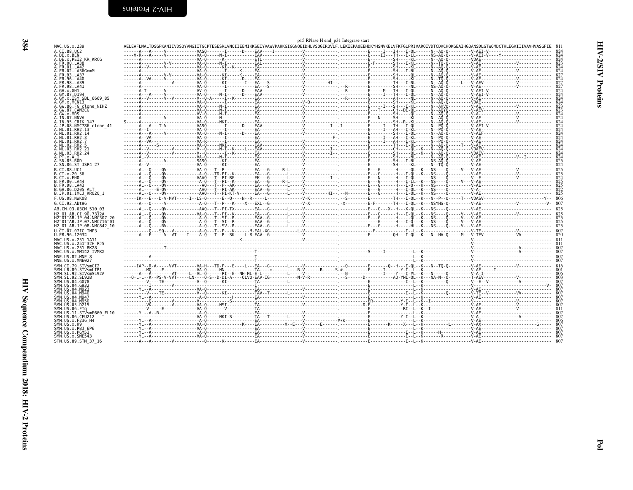| ĞМ<br>A<br>A<br>$\vdots$<br>an<br>GM<br>GM<br>GW<br>AAAAAAAAAAAAAAAAA BBBBBB<br>ĢМ<br>$\ddot{\phantom{0}}$<br>GW<br>IN<br>IN<br>JP<br>NL<br>$\frac{1}{2}$ . $\frac{1}{2}$ . $\frac{1}{2}$ . $\frac{1}{2}$ . $\frac{1}{2}$ . $\frac{1}{2}$ . $\frac{1}{2}$ .<br>NI<br>NI<br>NI<br>NI<br>NI<br>Ni<br>Ni<br>NLNPTSNS CITTER<br>$\vdots$<br>FR<br>GH<br>JP<br>$\frac{1}{1}$<br>ĕ<br>US<br>CI<br>F<br>G<br>AB<br>CM<br>01<br>01<br>01<br>01<br>I.<br>R.<br>H2<br>H2<br>H2<br>н<br>U.F<br>MAC<br>M<br>MAC<br>MAC<br>MAC<br>MAC<br>:<br>$\vdots$<br>MNE<br>MNE<br>$\vdots$<br>SMM<br>SМM<br><br>SMM<br>SМM<br>SМM<br><br>SMM<br>SМM<br>SМM<br>SMM<br>SMM<br>MM,<br>SMM<br>SMM<br>SMM<br>SМM<br>SМM<br>SMM<br>SMM |
|-----------------------------------------------------------------------------------------------------------------------------------------------------------------------------------------------------------------------------------------------------------------------------------------------------------------------------------------------------------------------------------------------------------------------------------------------------------------------------------------------------------------------------------------------------------------------------------------------------------------------------------------------------------------------------------------------------------|
|-----------------------------------------------------------------------------------------------------------------------------------------------------------------------------------------------------------------------------------------------------------------------------------------------------------------------------------------------------------------------------------------------------------------------------------------------------------------------------------------------------------------------------------------------------------------------------------------------------------------------------------------------------------------------------------------------------------|

<span id="page-15-0"></span>

|                                                                 |  | p15 RNase H end_p31 Integrase start |  |                                                                                                                                                                               |  |
|-----------------------------------------------------------------|--|-------------------------------------|--|-------------------------------------------------------------------------------------------------------------------------------------------------------------------------------|--|
| MAC.US.x.239                                                    |  |                                     |  | AELEAFLMALTDSGPKANIIVDSOYVMGIITGCPTESESRLVNOIIEEMIKKSEIYVAWVPAHKGIGGNOEIDHLVSOGIROVLF.LEKIEPAOEEHDKYHSNVKELVFKFGLPRIVAROIVDTCDKCHOKGEAIHGOANSDLGTWOMDCTHLEGKIIIVAVHVASGFIE 81 |  |
| A.CT.88.UC2<br>A.DE.x.BEN                                       |  |                                     |  |                                                                                                                                                                               |  |
| A.DE.x.PEI2 KR KRCG                                             |  |                                     |  |                                                                                                                                                                               |  |
| A.FR.00.LA38<br>A.FR.01.LA42                                    |  |                                     |  |                                                                                                                                                                               |  |
| A.FR.02.LA36GomM                                                |  |                                     |  |                                                                                                                                                                               |  |
| A.FR.93.LA37<br>A.FR.96.LA40                                    |  |                                     |  |                                                                                                                                                                               |  |
| A.FR.98.LA39                                                    |  |                                     |  |                                                                                                                                                                               |  |
| A. FR. 98. LA41<br>A.GH.x.GH1                                   |  |                                     |  |                                                                                                                                                                               |  |
| A.GM.87.D194                                                    |  |                                     |  |                                                                                                                                                                               |  |
| A.GM.X.ISY SBL 6669 85<br>A.GM.x.MCN13                          |  |                                     |  |                                                                                                                                                                               |  |
| A.GW.86.FG clone NIHZ                                           |  |                                     |  |                                                                                                                                                                               |  |
| A.GW.87.CAM2CG<br>A.GW.x.MDS                                    |  |                                     |  |                                                                                                                                                                               |  |
| A.IN.07.NNVA                                                    |  |                                     |  |                                                                                                                                                                               |  |
| A.IN.95.CRIK 147<br>A.JP.08.NMC786 clone 41                     |  |                                     |  |                                                                                                                                                                               |  |
| A.NI.01.RH2.13                                                  |  |                                     |  |                                                                                                                                                                               |  |
| A.NL.01.RH2.14<br>A.NL.01.RH2.3                                 |  |                                     |  |                                                                                                                                                                               |  |
| A.NL.01.RH2.7                                                   |  |                                     |  |                                                                                                                                                                               |  |
| A.NL.02.RH2.5<br>A.NL.03.RH2.21                                 |  |                                     |  |                                                                                                                                                                               |  |
| A.NL.03.RH2.24                                                  |  |                                     |  |                                                                                                                                                                               |  |
| A.PT.x.ALT                                                      |  |                                     |  |                                                                                                                                                                               |  |
| A.SN.85.ROD<br>A.SN.86.ST JSP4 27                               |  |                                     |  |                                                                                                                                                                               |  |
| B.CT.88.UC1                                                     |  |                                     |  |                                                                                                                                                                               |  |
| B.CI.X.20 56<br>B.CI.X.EHO                                      |  |                                     |  |                                                                                                                                                                               |  |
| B. FR. 00. LA44                                                 |  |                                     |  |                                                                                                                                                                               |  |
| B.FR.98.LA43                                                    |  |                                     |  |                                                                                                                                                                               |  |
| B.GH.86.D205 ALT<br>B.JP.01.IMCJ <sup>-</sup> KR020 1           |  |                                     |  |                                                                                                                                                                               |  |
| F.US.08.NWK08                                                   |  |                                     |  |                                                                                                                                                                               |  |
| G.CI.92.Abt96                                                   |  |                                     |  |                                                                                                                                                                               |  |
| AB.CM.03.03CM 510 03                                            |  |                                     |  |                                                                                                                                                                               |  |
| H2 01 AB.CI.90.7312A<br>H2 01 AB JP 04 NMC307 26                |  |                                     |  |                                                                                                                                                                               |  |
| H2 <sup>-</sup> 01 <sup>-</sup> AB.JP.07.NMC716 <sup>-</sup> 01 |  |                                     |  |                                                                                                                                                                               |  |
| H2 <sup>-01-AB.JP.08.NMC842<sup>-10</sup></sup>                 |  |                                     |  |                                                                                                                                                                               |  |
| U.CI.07.07IC TNP3<br>U.FR.96.12034                              |  |                                     |  |                                                                                                                                                                               |  |
| MAC.US.x.251 1A11                                               |  |                                     |  |                                                                                                                                                                               |  |
| MAC.US.x.251-32H PJ5<br>MAC.US.x.251-BK28                       |  |                                     |  |                                                                                                                                                                               |  |
| MAC.US.x.MM142 IVMXX                                            |  |                                     |  |                                                                                                                                                                               |  |
| MNE.US.82.MNE 8                                                 |  |                                     |  |                                                                                                                                                                               |  |
| MNE.US.x.MNE027<br>SMM.CI.79.SIVsmCI2                           |  |                                     |  |                                                                                                                                                                               |  |
| SMM.LR.89.SIVsmLIB1                                             |  |                                     |  |                                                                                                                                                                               |  |
| SMM.SL.92.SIVsmSL92A                                            |  |                                     |  |                                                                                                                                                                               |  |
| SMM.SL.92.SL92B<br>SMM.US.04.G078                               |  |                                     |  |                                                                                                                                                                               |  |
| SMM.US.04.G932                                                  |  |                                     |  |                                                                                                                                                                               |  |
| SMM.US.04.M923<br>SMM.US.04.M940                                |  |                                     |  |                                                                                                                                                                               |  |
| SMM.US.04.M947                                                  |  |                                     |  |                                                                                                                                                                               |  |
| SMM.US.04.M950<br>SMM.US.05.D215                                |  |                                     |  |                                                                                                                                                                               |  |
| SMM.US.06.FTa                                                   |  |                                     |  |                                                                                                                                                                               |  |
| SMM.US.11.SIVsmE660 FL10<br>SMM.US.86.CFU212                    |  |                                     |  |                                                                                                                                                                               |  |
| SMM.US.x.F236 H4                                                |  |                                     |  |                                                                                                                                                                               |  |
| SMM.US.x.H9<br>SMM.US.x.PBJ 6P6                                 |  |                                     |  |                                                                                                                                                                               |  |
| SMM.US.x.PGM53                                                  |  |                                     |  |                                                                                                                                                                               |  |
| SMM.US.x.SME543<br>STM.US.89.STM 37 16                          |  |                                     |  |                                                                                                                                                                               |  |
|                                                                 |  |                                     |  |                                                                                                                                                                               |  |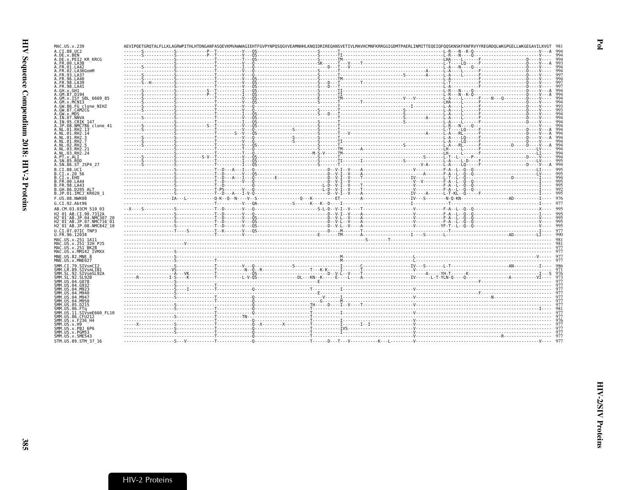| MAC.US.x.239                                                                                                          |  |  | AEVIPOETGROTALFLLKLAGRWPITHLHTDNGANFASOEVKMVAWWAGIEHTFGVPYNPOSOGVVEAMNHHLKNOIDRIREOANSVETIVLMAVHCMNFKRRGGIGDMTPAERLINMITTEOEIOFOOSKNSKFKNFRVYYREGRDOLWKGPGELLWKGEGAVILKVGI                                                                                                                                                                                                                                                                                                            |  |
|-----------------------------------------------------------------------------------------------------------------------|--|--|---------------------------------------------------------------------------------------------------------------------------------------------------------------------------------------------------------------------------------------------------------------------------------------------------------------------------------------------------------------------------------------------------------------------------------------------------------------------------------------|--|
| A.CI.88.UC2                                                                                                           |  |  |                                                                                                                                                                                                                                                                                                                                                                                                                                                                                       |  |
| A.DE.x.BEN                                                                                                            |  |  |                                                                                                                                                                                                                                                                                                                                                                                                                                                                                       |  |
| A.DE.x.PEI2 KR KRCG<br>4.FR.00.LA38                                                                                   |  |  |                                                                                                                                                                                                                                                                                                                                                                                                                                                                                       |  |
| .FR.01.LA42                                                                                                           |  |  |                                                                                                                                                                                                                                                                                                                                                                                                                                                                                       |  |
| FR.02.LA36GomM                                                                                                        |  |  |                                                                                                                                                                                                                                                                                                                                                                                                                                                                                       |  |
| FR.93.LA37                                                                                                            |  |  |                                                                                                                                                                                                                                                                                                                                                                                                                                                                                       |  |
| FR.96.LA40<br>FR.98.LA39                                                                                              |  |  |                                                                                                                                                                                                                                                                                                                                                                                                                                                                                       |  |
| FR.98.LA41                                                                                                            |  |  |                                                                                                                                                                                                                                                                                                                                                                                                                                                                                       |  |
| .GH.x.GH1                                                                                                             |  |  |                                                                                                                                                                                                                                                                                                                                                                                                                                                                                       |  |
| GM.87.D194                                                                                                            |  |  |                                                                                                                                                                                                                                                                                                                                                                                                                                                                                       |  |
| GM.x.ISY SBL 6669 85<br>GM.x.MCNI3                                                                                    |  |  |                                                                                                                                                                                                                                                                                                                                                                                                                                                                                       |  |
| .GW.86.FG clone NIHZ                                                                                                  |  |  |                                                                                                                                                                                                                                                                                                                                                                                                                                                                                       |  |
| A.GW.87.CAM2CG                                                                                                        |  |  |                                                                                                                                                                                                                                                                                                                                                                                                                                                                                       |  |
| A.GW.x.MDS                                                                                                            |  |  |                                                                                                                                                                                                                                                                                                                                                                                                                                                                                       |  |
| A.IN.07.NNVA<br>A.IN.95.CRIK 147                                                                                      |  |  |                                                                                                                                                                                                                                                                                                                                                                                                                                                                                       |  |
| .JP.08.NMC786 clone 41                                                                                                |  |  |                                                                                                                                                                                                                                                                                                                                                                                                                                                                                       |  |
| 4.NL.01.RH2.13                                                                                                        |  |  | $\begin{minipage}[t]{.000\textwidth} {\begin{minipage}[t]{0.000\textwidth} {\begin{minipage}[t]{0.000\textwidth} {\begin{minipage}[t]{0.000\textwidth} {\begin{minipage}[t]{0.000\textwidth} {\begin{minipage}[t]{0.000\textwidth} {\begin{minipage}[t]{0.000\textwidth} {\begin{minipage}[t]{0.000\textwidth} {\begin{minipage}[t]{0.000\textwidth} {\begin{minipage}[t]{0.000\textwidth} {\begin{minipage}[t]{0.000\textwidth} {\begin{minipage}[t]{0.000\textwidth} {\begin{minip$ |  |
| A.NL.01.RH2.14<br>A.NL.01.RH2.3                                                                                       |  |  |                                                                                                                                                                                                                                                                                                                                                                                                                                                                                       |  |
| A.NL.01.RH2.7                                                                                                         |  |  |                                                                                                                                                                                                                                                                                                                                                                                                                                                                                       |  |
| A.NL.02.RH2.5                                                                                                         |  |  |                                                                                                                                                                                                                                                                                                                                                                                                                                                                                       |  |
| A.NL.03.RH2.21                                                                                                        |  |  |                                                                                                                                                                                                                                                                                                                                                                                                                                                                                       |  |
| A.NL.03.RH2.24<br>A.PT.x.ALI                                                                                          |  |  |                                                                                                                                                                                                                                                                                                                                                                                                                                                                                       |  |
| A.SN.85.ROD                                                                                                           |  |  |                                                                                                                                                                                                                                                                                                                                                                                                                                                                                       |  |
| A.SN.86.ST JSP4 27                                                                                                    |  |  |                                                                                                                                                                                                                                                                                                                                                                                                                                                                                       |  |
| B.CI.88.UC1                                                                                                           |  |  |                                                                                                                                                                                                                                                                                                                                                                                                                                                                                       |  |
| B.CI.X.20 56                                                                                                          |  |  |                                                                                                                                                                                                                                                                                                                                                                                                                                                                                       |  |
| B.CI.x.EHO<br>B.FR.00.LA44                                                                                            |  |  |                                                                                                                                                                                                                                                                                                                                                                                                                                                                                       |  |
| B.FR.98.LA43                                                                                                          |  |  |                                                                                                                                                                                                                                                                                                                                                                                                                                                                                       |  |
| GH.86.D205 ALT.                                                                                                       |  |  |                                                                                                                                                                                                                                                                                                                                                                                                                                                                                       |  |
| B.JP.01.IMCJ <sup>-</sup> KR020 1                                                                                     |  |  |                                                                                                                                                                                                                                                                                                                                                                                                                                                                                       |  |
| F.US.08.NWK08                                                                                                         |  |  |                                                                                                                                                                                                                                                                                                                                                                                                                                                                                       |  |
| G.CI.92.Abt96                                                                                                         |  |  |                                                                                                                                                                                                                                                                                                                                                                                                                                                                                       |  |
| AB.CM.03.03CM 510 03                                                                                                  |  |  |                                                                                                                                                                                                                                                                                                                                                                                                                                                                                       |  |
| H2 01 AB.CI.90.7312A                                                                                                  |  |  |                                                                                                                                                                                                                                                                                                                                                                                                                                                                                       |  |
| 12 <sup>-</sup> 01 <sup>-</sup> AB.JP.04.NMC307 20<br>H2 <sup>-</sup> 01 <sup>-</sup> AB.JP.07.NMC716 <sup>-</sup> 01 |  |  |                                                                                                                                                                                                                                                                                                                                                                                                                                                                                       |  |
| H2 <sup>-</sup> 01 <sup>-</sup> AB.JP.08.NMC842 <sup>-</sup> 10                                                       |  |  |                                                                                                                                                                                                                                                                                                                                                                                                                                                                                       |  |
| U.CI.07.07IC TNP3                                                                                                     |  |  |                                                                                                                                                                                                                                                                                                                                                                                                                                                                                       |  |
| U.FR.96.12034                                                                                                         |  |  |                                                                                                                                                                                                                                                                                                                                                                                                                                                                                       |  |
| MAC.US.x.251 1A11                                                                                                     |  |  |                                                                                                                                                                                                                                                                                                                                                                                                                                                                                       |  |
| MAC.US.x.251 <sup>-</sup> 32H PJ5                                                                                     |  |  |                                                                                                                                                                                                                                                                                                                                                                                                                                                                                       |  |
|                                                                                                                       |  |  |                                                                                                                                                                                                                                                                                                                                                                                                                                                                                       |  |
| MAC.US.x.251 <sup>-</sup> BK28                                                                                        |  |  |                                                                                                                                                                                                                                                                                                                                                                                                                                                                                       |  |
| MAC.US.x.MM142 IVMXX<br>MNE.US.82.MNE                                                                                 |  |  |                                                                                                                                                                                                                                                                                                                                                                                                                                                                                       |  |
| MNE.US.x.MNE027                                                                                                       |  |  |                                                                                                                                                                                                                                                                                                                                                                                                                                                                                       |  |
| SMM.CI.79.SIVsmCI2                                                                                                    |  |  |                                                                                                                                                                                                                                                                                                                                                                                                                                                                                       |  |
| SMM.LR.89.SIVsmLIB1                                                                                                   |  |  |                                                                                                                                                                                                                                                                                                                                                                                                                                                                                       |  |
| SMM.SL.92.SIVsmSL92A                                                                                                  |  |  |                                                                                                                                                                                                                                                                                                                                                                                                                                                                                       |  |
| SMM.SL.92.SL92B<br>SMM.US.04.G078                                                                                     |  |  |                                                                                                                                                                                                                                                                                                                                                                                                                                                                                       |  |
| SMM.US.04.G932                                                                                                        |  |  |                                                                                                                                                                                                                                                                                                                                                                                                                                                                                       |  |
|                                                                                                                       |  |  |                                                                                                                                                                                                                                                                                                                                                                                                                                                                                       |  |
|                                                                                                                       |  |  |                                                                                                                                                                                                                                                                                                                                                                                                                                                                                       |  |
|                                                                                                                       |  |  |                                                                                                                                                                                                                                                                                                                                                                                                                                                                                       |  |
|                                                                                                                       |  |  |                                                                                                                                                                                                                                                                                                                                                                                                                                                                                       |  |
|                                                                                                                       |  |  |                                                                                                                                                                                                                                                                                                                                                                                                                                                                                       |  |
| SMM.US.11.SIVsmE660 FL10<br>SMM.US.86.CFU212                                                                          |  |  |                                                                                                                                                                                                                                                                                                                                                                                                                                                                                       |  |
| SMM.US.x.F236 H4                                                                                                      |  |  |                                                                                                                                                                                                                                                                                                                                                                                                                                                                                       |  |
| SMM.US.x.H9                                                                                                           |  |  |                                                                                                                                                                                                                                                                                                                                                                                                                                                                                       |  |
| SMM.US.x.PBJ 6P6                                                                                                      |  |  |                                                                                                                                                                                                                                                                                                                                                                                                                                                                                       |  |
| SMM.US.x.PGM53<br>SMM.US.x.SME543                                                                                     |  |  |                                                                                                                                                                                                                                                                                                                                                                                                                                                                                       |  |
| STM.US.89.STM 37 16                                                                                                   |  |  |                                                                                                                                                                                                                                                                                                                                                                                                                                                                                       |  |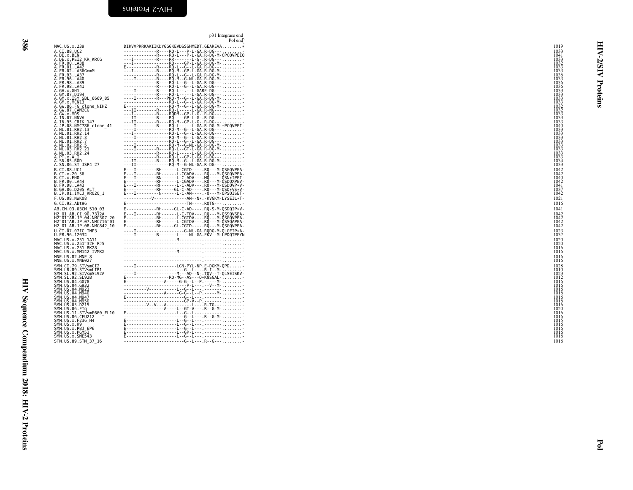| MAC.US.x.239                                                     | DIKVVPRRKAKIIKDYGGGKEVDSSSHMEDT.GEAREVA*                                                                                                                                                                                                                                                                                                                                                                                                                                        | 1019         |
|------------------------------------------------------------------|---------------------------------------------------------------------------------------------------------------------------------------------------------------------------------------------------------------------------------------------------------------------------------------------------------------------------------------------------------------------------------------------------------------------------------------------------------------------------------|--------------|
|                                                                  |                                                                                                                                                                                                                                                                                                                                                                                                                                                                                 | 1033<br>1041 |
| A.CI.88.UC2<br>A.DE.x.BEN<br>A.DE.x.PEI2 KR_KRCG<br>A.FR.00.LA38 | --------------R----RQ-L---P-L-GA.R-DG---.<br>--------------R----RQ-L---P-L-GA.R-DG-M-CPCQVPEIQ<br>---I----------R----RR-------L-G-.R-DG----                                                                                                                                                                                                                                                                                                                                     | 1033         |
|                                                                  | TRQ--GP-L-GA.R-DG-M-                                                                                                                                                                                                                                                                                                                                                                                                                                                            | 1032         |
| A.FR.01.LA42<br>A. FR. 02. LA36GomM                              | E------------R----RQ-L--G--L-GA.R-DG----                                                                                                                                                                                                                                                                                                                                                                                                                                        | 1033<br>1033 |
| A.FR.93.LA37                                                     |                                                                                                                                                                                                                                                                                                                                                                                                                                                                                 | 1036         |
| A.FR.96.LA40                                                     |                                                                                                                                                                                                                                                                                                                                                                                                                                                                                 | 1033         |
| A.FR.98.LA39<br>A.FR.98.LA41                                     |                                                                                                                                                                                                                                                                                                                                                                                                                                                                                 | 1036<br>1036 |
| A.GH.x.GH1                                                       | ----I---------R----RQ-L--T--L-GARE-DG---                                                                                                                                                                                                                                                                                                                                                                                                                                        | 1033         |
| A.GM.87.D194                                                     | R RQ - L - - - - L - GA . R - DG - - - -<br>----I---------R---PRQ-M--G--L-GA.R-DG-M-                                                                                                                                                                                                                                                                                                                                                                                            | 1033<br>1033 |
| A.GM.x.ISY SBL 6669 85<br>A.GM.x.MCNI3                           |                                                                                                                                                                                                                                                                                                                                                                                                                                                                                 | 1033         |
| A.GW.86.FG clone NIHZ                                            |                                                                                                                                                                                                                                                                                                                                                                                                                                                                                 | 1032         |
| A.GW.87.CAM2CG                                                   |                                                                                                                                                                                                                                                                                                                                                                                                                                                                                 | 1032<br>1033 |
| A.GW.X.MDS<br>A.IN.07.NNVA                                       |                                                                                                                                                                                                                                                                                                                                                                                                                                                                                 | 1033         |
| A.IN.95.CRIK 147                                                 |                                                                                                                                                                                                                                                                                                                                                                                                                                                                                 | 1033<br>1040 |
| A.JP.08.NMC786_clone_41<br>A.NL.01.RH2.13                        | $\begin{tabular}{cccccccc} \hline \multicolumn{2}{c}{\textbf{1}} & \multicolumn{2}{c}{\textbf{1}} & \multicolumn{2}{c}{\textbf{1}} & \multicolumn{2}{c}{\textbf{1}} & \multicolumn{2}{c}{\textbf{1}} & \multicolumn{2}{c}{\textbf{1}} & \multicolumn{2}{c}{\textbf{1}} & \multicolumn{2}{c}{\textbf{1}} & \multicolumn{2}{c}{\textbf{1}} & \multicolumn{2}{c}{\textbf{1}} & \multicolumn{2}{c}{\textbf{1}} & \multicolumn{2}{c}{\textbf{1}} & \multicolumn{2}{c}{\textbf{1}} &$ | 1033         |
| A.NL.01.RH2.14                                                   |                                                                                                                                                                                                                                                                                                                                                                                                                                                                                 | 1033         |
| A.NL.01.RH2.3<br>A.NL.01.RH2.7                                   |                                                                                                                                                                                                                                                                                                                                                                                                                                                                                 | 1033<br>1033 |
| A.NL.02.RH2.5                                                    |                                                                                                                                                                                                                                                                                                                                                                                                                                                                                 | 1033         |
| A.NL.03.RH2.21                                                   | ---------------------RO-E------E-GA.R-DG---                                                                                                                                                                                                                                                                                                                                                                                                                                     | 1033         |
| A.NL.03.RH2.24<br>A.PT.x.ALI                                     | --------------R-----RQ-L--GP-L-GA.R-DG----                                                                                                                                                                                                                                                                                                                                                                                                                                      | 1033<br>1033 |
| A.SN.85.ROD                                                      | ---II---------R-----RQ-M--G--L-GA.R-DG-M-<br>---II----------------RQ-M--G-NL-GA.R-DG---                                                                                                                                                                                                                                                                                                                                                                                         | 1034         |
| A.SN.86.ST JSP4 27                                               |                                                                                                                                                                                                                                                                                                                                                                                                                                                                                 | 1033         |
| B.CI.88.UC1<br>B.CI.X.20 56                                      | E---I--------RH------L-CGTD----.RQ---M-QSGQVPEA-<br>E---I--------RH------L-CGADV---.RQ---M-QSGQVPEA-                                                                                                                                                                                                                                                                                                                                                                            | 1042<br>1042 |
| B.CI.X.EHO                                                       | E---I--------RN------E-C-ADV---.MQ-----QSN*IPEI-                                                                                                                                                                                                                                                                                                                                                                                                                                | 1040         |
| B. FR. 00. LA44<br>B.FR.98.LA43                                  | E------------RH------L-CGADV---.RQ---M-QSDQXPEV-                                                                                                                                                                                                                                                                                                                                                                                                                                | 1042<br>1041 |
| B.GH.86.D205 ALT                                                 |                                                                                                                                                                                                                                                                                                                                                                                                                                                                                 | 1037         |
| B.JP.01.IMCJ KR020 1                                             |                                                                                                                                                                                                                                                                                                                                                                                                                                                                                 | 1042         |
| F.US.08.NWK08                                                    | V AN -- N*. - KVGKM - LYSEIL*T-                                                                                                                                                                                                                                                                                                                                                                                                                                                 | 1021         |
| G.CI.92.Abt96                                                    | E-------------------------TN----.RQTG---                                                                                                                                                                                                                                                                                                                                                                                                                                        | 1016         |
| AB.CM.03.03CM 510 03                                             | E------------RH-----GL-C-AD----. RQ-S-M-QSDQIP*V-                                                                                                                                                                                                                                                                                                                                                                                                                               | 1041         |
| H2 01 AB.CI.90.7312A<br>H2-01-AB.JP.04.NMC307 20                 | E---I--------RH------L-C-TDV---.RQ---M-QSSQVSEA-<br>E------------RH------L-CGTDV---.RQ---M-QSGQVPEA-                                                                                                                                                                                                                                                                                                                                                                            | 1042<br>1042 |
| H2 <sup>-01-AB.JP.07.NMC716-01</sup>                             | E--------------RH-------L-CGTDV--- RQ---M-QSSQAPEA-                                                                                                                                                                                                                                                                                                                                                                                                                             | 1042         |
| H2 <sup>-01-AB.JP.08.NMC842<sup>-10</sup></sup>                  | E - - - - - - - - - - - - RH - - - - - GL - CGTD - - - - RQ - - - M - QSGQVPEA -                                                                                                                                                                                                                                                                                                                                                                                                | 1042         |
| U.CI.07.07IC TNP3<br>U.FR.96.12034                               | ----I-----------------G-NL-GA.RQDG-M-QLGEIP*A-<br>----I--------R-------L----NL-GA.EKV--M-LPDQTPEYN                                                                                                                                                                                                                                                                                                                                                                              | 1023<br>1037 |
| MAC.US.x.251 1A11                                                |                                                                                                                                                                                                                                                                                                                                                                                                                                                                                 | 1020         |
| MAC.US.x.251 <sup>-32H</sup> PJ5                                 |                                                                                                                                                                                                                                                                                                                                                                                                                                                                                 | 1020         |
| MAC.US.x.251 <sup>-</sup> BK28<br>MAC.US.x.MM142 IVMXX           |                                                                                                                                                                                                                                                                                                                                                                                                                                                                                 | 1016<br>1016 |
| MNE.US.82.MNE 8                                                  |                                                                                                                                                                                                                                                                                                                                                                                                                                                                                 | 1016         |
| MNE.US.x.MNE027                                                  |                                                                                                                                                                                                                                                                                                                                                                                                                                                                                 | 1016         |
| SMM.CI.79.SIVsmCI2                                               | ----I---------------LGN-PYL-NP.E-DGKM-QPD                                                                                                                                                                                                                                                                                                                                                                                                                                       | 1028         |
| SMM.LR.89.SIVsmLIB1<br>SMM.SL.92.SIVsmSL92A                      | IAD--N-.TQV--T-QLSEISKV-                                                                                                                                                                                                                                                                                                                                                                                                                                                        | 101C<br>1023 |
| SMM. SL. 92. SL92B                                               | E-------------------RQ-MG--AS---Q*KNSGAL-                                                                                                                                                                                                                                                                                                                                                                                                                                       | 1012         |
| SMM.US.04.G078                                                   | E----------------A-----G-G--L--P.-----M-                                                                                                                                                                                                                                                                                                                                                                                                                                        | 1016         |
| SMM. US.04.G932<br>SMM. US.04.M923                               |                                                                                                                                                                                                                                                                                                                                                                                                                                                                                 | 1016<br>1016 |
| SMM.US.04.M940                                                   | -----------------A-----G-G--L--P.-----M-                                                                                                                                                                                                                                                                                                                                                                                                                                        | 1016         |
| SMM. US.04.M947<br>SMM.US.04.M950                                |                                                                                                                                                                                                                                                                                                                                                                                                                                                                                 | 1016<br>1016 |
| SMM.US.05.D215                                                   |                                                                                                                                                                                                                                                                                                                                                                                                                                                                                 | 1016         |
| SMM.US.06.FTq<br>SMM.US.11.SIVsmE660_FL10<br>SMM.US.86.CEU212    |                                                                                                                                                                                                                                                                                                                                                                                                                                                                                 | 1020         |
|                                                                  |                                                                                                                                                                                                                                                                                                                                                                                                                                                                                 | 1016<br>1016 |
| SMM. US. x. F236 H4                                              |                                                                                                                                                                                                                                                                                                                                                                                                                                                                                 | 1015         |
| SMM.US.x.H9<br>SMM.US.x.PBJ 6P6                                  |                                                                                                                                                                                                                                                                                                                                                                                                                                                                                 | 1016<br>1016 |
| SMM.US.x.PGM53                                                   |                                                                                                                                                                                                                                                                                                                                                                                                                                                                                 | 1016         |
| SMM.US.x.SME543                                                  |                                                                                                                                                                                                                                                                                                                                                                                                                                                                                 | 1016         |
| STM.US.89.STM 37 16                                              | G  L  R  G                                                                                                                                                                                                                                                                                                                                                                                                                                                                      | 1016         |

| MAC.US.x.239                                                                                                                                                                                                                                                 | Pol end<br>DIKVVPRRKAKIIKDYGGGKEVDSSSHMEDT.GEAREVA*                                                                                                                                                                                                                                                                                                                                                                                | 1019<br>1033                                                                        | ⋖            |
|--------------------------------------------------------------------------------------------------------------------------------------------------------------------------------------------------------------------------------------------------------------|------------------------------------------------------------------------------------------------------------------------------------------------------------------------------------------------------------------------------------------------------------------------------------------------------------------------------------------------------------------------------------------------------------------------------------|-------------------------------------------------------------------------------------|--------------|
| A.CI.88.UC2<br>A.DE.x.BEN<br>A.DE.x.PEI2_KR_KRCG<br>A.FR.00.LA38<br>A.FR.00.LA30<br>A.FR.01.LA42<br>A.FR.02.LA36GomM<br>A.FR.93.LA37<br>A.FR.96.LA40                                                                                                         |                                                                                                                                                                                                                                                                                                                                                                                                                                    | 1041<br>1033<br>1032<br>1033<br>1033<br>1036<br>1033                                | <b>AIS/Z</b> |
| A.FK.98.LA41<br>A.GH.x.GH1<br>A.GM.87.D194<br>A.GM.x.NCN13 -<br>A.GW.x.MCN13 -<br>A.GW.86.FG clone_NIHZ<br>A.GW.87.CAM2CG                                                                                                                                    |                                                                                                                                                                                                                                                                                                                                                                                                                                    | 1036<br>1036<br>1036<br>1033<br>$\begin{array}{c} 1033 \\ 1033 \\ 1033 \end{array}$ | Proteins     |
| A. GW.87.CAMZCG<br>A. GW.87.NDS<br>A. IN.97.NNVA<br>A. IN.95.CRIK 147<br>A.NL.01.RH2.13<br>A.NL.01.RH2.13<br>A.NL.01.RH2.13                                                                                                                                  |                                                                                                                                                                                                                                                                                                                                                                                                                                    | 1033<br>1032<br>1032<br>1033<br>1033<br>1040<br>1040                                |              |
| .NL.01.RH2.3<br>A.NL.01.RH2.7<br>A.NL.01.RH2.5<br>A.NL.03.RH2.21<br>A.NL.03.RH2.24                                                                                                                                                                           |                                                                                                                                                                                                                                                                                                                                                                                                                                    | 1040<br>1033<br>1033<br>1033<br>1033<br>1033<br>1033<br>1033                        |              |
| A.PT.x.ALI<br>B.CI.88.UC1<br>B.CI.x.20 56<br>B.CI.x.EHO                                                                                                                                                                                                      |                                                                                                                                                                                                                                                                                                                                                                                                                                    | 1033<br>1033<br>$\begin{array}{c} 1042 \\ 1042 \\ 1040 \end{array}$                 |              |
| B.FR.00.LA44<br>B.FR.00.LA44<br>B.FR.98.LA43<br>B.GH.86.D205 ALT<br>B.JP.01.IMCJ_KR020_1<br>F.US.08.NWK08<br>G.CI.92.Abt96                                                                                                                                   | ----------V-------------AN--N*.-KVGKM-LYSEIL*T-<br>E-------------------------TN----.RQTG---                                                                                                                                                                                                                                                                                                                                        | 1042<br>1041<br>$\frac{1037}{1042}$<br>1021<br>1016                                 |              |
| AB.CM.03.03CM 510 03<br>H2_01_AB.CI.90.7312A<br>H2 <sup>_</sup> 01 <sup>_</sup> AB.JP.04.NMC307_20<br>H2 <sup>_</sup> 01 <sup>_</sup> AB.JP.07.NMC716 <sup>_</sup> 01<br>H2_01_AB.JP.08.NMC842_10<br>U.CI.07.07IC TNP3                                       | E------------RH-----GL-C-AD----. RQ-S-M-QSDQIP*V-                                                                                                                                                                                                                                                                                                                                                                                  | 1041<br>1042<br>$\frac{1042}{1042}$<br>$\frac{1042}{1042}$                          |              |
| U.FR.96.12034<br>¤111103.x1251<br>MAC.US.x.251_1A11<br>MAC.US.x.251_32H_PJ5<br>MAC.US.x.251_BK28<br>MAC.US.x.MM142_IVMXX                                                                                                                                     |                                                                                                                                                                                                                                                                                                                                                                                                                                    | $\frac{1023}{1037}$<br>1020<br>1020<br>1016<br>1016                                 |              |
| MNE.US.82.MNE 8<br>MNE.US.x.MNE027                                                                                                                                                                                                                           | $\begin{minipage}[t]{.15\textwidth} \begin{tabular}{ c c c } \hline & \multicolumn{1}{ c }{\textbf{0.1}} & \multicolumn{1}{ c }{\textbf{0.1}} & \multicolumn{1}{ c }{\textbf{0.1}} & \multicolumn{1}{ c }{\textbf{0.1}} & \multicolumn{1}{ c }{\textbf{0.1}} & \multicolumn{1}{ c }{\textbf{0.1}} & \multicolumn{1}{ c }{\textbf{0.1}} & \multicolumn{1}{ c }{\textbf{0.1}} & \multicolumn{1}{ c }{\textbf{0.1}} & \multicolumn{1$ | 1016<br>1016<br>1028<br>1010<br>1023<br>1012<br>1016                                |              |
| MME.US.x.MME027<br>SMM.CI.79.SIVSMCI2<br>SMM.CI.92.SIVSMCI22A<br>SMM.SL.92.SIVSMSI22A<br>SMM.SL.92.SIVSMSI23<br>SMM.US.04.G078<br>SMM.US.04.G078<br>SMM.US.04.M923<br>SMM.US.04.M923<br>SMM.US.04.M923<br>SMM.US.04.M923<br>SMM.US.04.M923<br>SMM.US.05.D215 |                                                                                                                                                                                                                                                                                                                                                                                                                                    | 1016<br>1016<br>1016<br>1016<br>1016<br>1016                                        |              |
| SMM.US.06. FT4<br>SMM.US.06. FT4<br>SMM.US.11. SIVsmE660_FL10<br>SMM.US.3. F236_H4<br>SMM.US.x. F236_H4<br>SMM.US.x. PBJ_6P6<br>SMM.US.x. PBJ_6P6<br>SMM.US.x. PBJ_6P6<br>SMM.US.x. PBJ_6P6                                                                  |                                                                                                                                                                                                                                                                                                                                                                                                                                    | 1020<br>1016<br>1016<br>1015<br>1016<br>1016<br>1016                                |              |
| SMM.US.x.SME543<br>STM.US.89.STM 37 16                                                                                                                                                                                                                       |                                                                                                                                                                                                                                                                                                                                                                                                                                    | 1016<br>1016                                                                        |              |
|                                                                                                                                                                                                                                                              |                                                                                                                                                                                                                                                                                                                                                                                                                                    |                                                                                     |              |
|                                                                                                                                                                                                                                                              |                                                                                                                                                                                                                                                                                                                                                                                                                                    |                                                                                     |              |
|                                                                                                                                                                                                                                                              |                                                                                                                                                                                                                                                                                                                                                                                                                                    |                                                                                     |              |
|                                                                                                                                                                                                                                                              |                                                                                                                                                                                                                                                                                                                                                                                                                                    |                                                                                     | $\mathbf{F}$ |

<span id="page-17-0"></span>p31 Integrase end<br>Pol and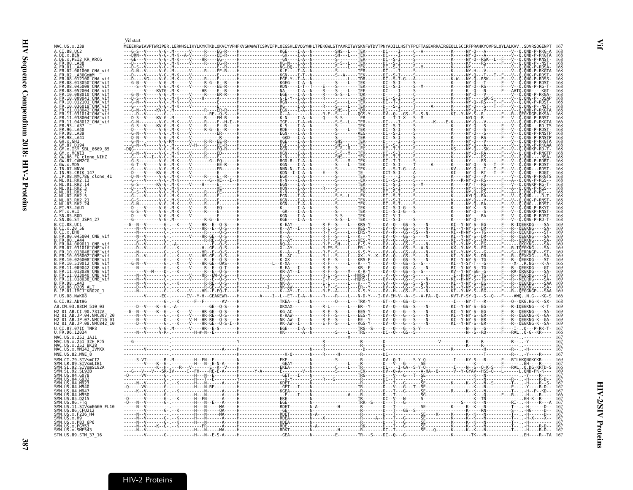|                                                                                                                                    | Vif start |                                                                                       |  |  |
|------------------------------------------------------------------------------------------------------------------------------------|-----------|---------------------------------------------------------------------------------------|--|--|
| MAC.US.x.239<br>A.CI.88.UC2                                                                                                        |           |                                                                                       |  |  |
| A.DE.x.BEN<br>A.DE.x.PEI2 KR KRCG                                                                                                  |           |                                                                                       |  |  |
| A.FR.00.LA38<br>A.FR.01.LA42                                                                                                       |           |                                                                                       |  |  |
| 02.001006 CNA vit                                                                                                                  |           |                                                                                       |  |  |
| 08.012100 CNA vi                                                                                                                   |           |                                                                                       |  |  |
| .013050 <sup>-</sup> CNA <sup>-</sup> vif<br>.045009 <sup>-</sup> CNA <sup>-</sup> vif<br>052004 CNA vi                            |           |                                                                                       |  |  |
| 10.008010 CNA vi<br>009041 <sup>-</sup> CNA <sup>-</sup> vi                                                                        |           |                                                                                       |  |  |
|                                                                                                                                    |           |                                                                                       |  |  |
| 11.031014 <sup>-</sup> CNA <sup>-</sup> vi                                                                                         |           |                                                                                       |  |  |
| .038004 <sup>-</sup> CNA <sup>-</sup> vi<br>.11.048012 <sup>-</sup> CNA <sup>-</sup> vi1                                           |           |                                                                                       |  |  |
| 96.LA40                                                                                                                            |           |                                                                                       |  |  |
| 98.1439<br>FR.98.LA41                                                                                                              |           |                                                                                       |  |  |
|                                                                                                                                    |           |                                                                                       |  |  |
| ISY SBL 6669 85<br>MCN13                                                                                                           |           |                                                                                       |  |  |
| 86.FG_clone_NIHZ<br>87.CAM2CG                                                                                                      |           |                                                                                       |  |  |
| GW.x.MDS<br>IN.07.NNVA                                                                                                             |           |                                                                                       |  |  |
| NMC786 clone 41.                                                                                                                   |           |                                                                                       |  |  |
| .RH2.13                                                                                                                            |           |                                                                                       |  |  |
|                                                                                                                                    |           |                                                                                       |  |  |
|                                                                                                                                    |           |                                                                                       |  |  |
| RH <sub>2</sub><br>PT.93.JAU1                                                                                                      |           |                                                                                       |  |  |
|                                                                                                                                    |           |                                                                                       |  |  |
| SN.85.ROD<br>A.SN.86.ST JSP4 27                                                                                                    |           |                                                                                       |  |  |
| CI.88.UC1                                                                                                                          |           |                                                                                       |  |  |
| CI.x.EHO<br>00.045004_CNB_vif                                                                                                      |           |                                                                                       |  |  |
| FR.00.LA44<br>04.009011 CNB vi                                                                                                     |           |                                                                                       |  |  |
| 07.031016 CNB vif<br>$.013048$ <sup>-</sup> CNB <sup>-</sup> vit                                                                   |           |                                                                                       |  |  |
| 10.026008 CNB vit                                                                                                                  |           |                                                                                       |  |  |
| .519012 <sup>-</sup> CNB <sup>-</sup> vi<br>$.009042 - CNB - vi$                                                                   |           |                                                                                       |  |  |
| .013039 <sup>-</sup> CNB <sup>-</sup> vi<br>FR.11.013040 <sup>-</sup> CNB <sup>-</sup> vi1                                         |           |                                                                                       |  |  |
| FR.11.018038_CNB_vif<br>FR.98.LA43                                                                                                 |           |                                                                                       |  |  |
| GH.86.D205 ALT<br>.JP.01.IMCJ_KR020 1                                                                                              |           |                                                                                       |  |  |
| G.CI.92.Abt96                                                                                                                      |           |                                                                                       |  |  |
| AB.CM.03.03CM 510 03                                                                                                               |           |                                                                                       |  |  |
| H2 01 AB.CI.90.7312A<br>01 AB.JP.04.NMC307 20                                                                                      |           |                                                                                       |  |  |
| H2 <sup>-</sup> 01 <sup>-</sup> AB.JP.07.NMC716 <sup>-</sup> 01<br>H2 <sup>-</sup> 01 <sup>-</sup> AB.JP.08.NMC842 <sup>-</sup> 10 |           |                                                                                       |  |  |
| U.CI.07.07IC TNP3<br>U.FR.96.12034                                                                                                 |           |                                                                                       |  |  |
| MAC.US.x.251 1A11                                                                                                                  |           |                                                                                       |  |  |
| MAC.US.x.251 32H PJ5<br>MAC.US.x.251 BK28<br>MAC.US.x.MM142 IVMXX                                                                  |           |                                                                                       |  |  |
| MNE.US.82.MNE 8                                                                                                                    |           |                                                                                       |  |  |
| SMM.CI.79.SIVsmCI<br>89.SIVsmLIB                                                                                                   |           |                                                                                       |  |  |
| .92<br>.SIVsmSL92/                                                                                                                 |           |                                                                                       |  |  |
|                                                                                                                                    |           |                                                                                       |  |  |
|                                                                                                                                    |           |                                                                                       |  |  |
|                                                                                                                                    |           |                                                                                       |  |  |
|                                                                                                                                    |           |                                                                                       |  |  |
| SIVsmE660 FL10<br>86 CEU212                                                                                                        |           |                                                                                       |  |  |
| US.x.F236 H4<br>SMM.US.x.H9                                                                                                        |           |                                                                                       |  |  |
| SMM.US.x.PBJ 6P6<br>SMM.US.x.PGM53                                                                                                 |           |                                                                                       |  |  |
| SMM.US.x.SME543<br>STM.US.89.STM 37 16                                                                                             |           | -H---N--E-S-A-----H-------------------GEA--------N---------E--------TR---S----DC--0-- |  |  |
|                                                                                                                                    |           |                                                                                       |  |  |

# <span id="page-18-0"></span>HIV-2 Proteins

<span id="page-18-1"></span>Vif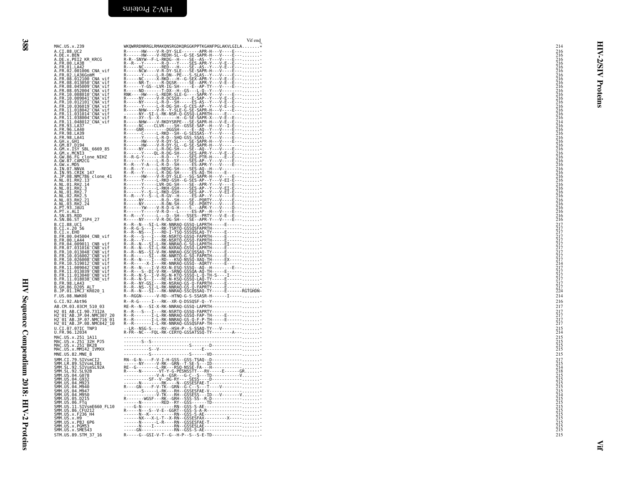HIV Sequence Compendium 2018: HIV-2 Proteins

<span id="page-19-0"></span>

| MAC.US.x.239                                                                                                                                                                                                                           | Vif end<br>WKQWRRDNRRGLRMAKQNSRGDKQRGGKPPTKGANFPGLAKVLGILA                                                                                                                                                                           | 214                                                     |
|----------------------------------------------------------------------------------------------------------------------------------------------------------------------------------------------------------------------------------------|--------------------------------------------------------------------------------------------------------------------------------------------------------------------------------------------------------------------------------------|---------------------------------------------------------|
| A.CI.88.UC2<br>A.DE.x.BEN<br>A.DE.x.BEN<br>A.DE.x.PEI2 KR KRCG                                                                                                                                                                         | R------HW----V-R-DY-SLE-------APR-H---V----E---<br>R------HW----V-REDH-SL--G-SE-SAPR-H---V----E---<br>R-R--SNYW--F-L-RKDG--H-----SE--AS--Y---V----E------------                                                                      | $^{216}_{216}$                                          |
| A.FR.00.LA38<br>A.FR.01.LA42                                                                                                                                                                                                           |                                                                                                                                                                                                                                      | 216<br>216<br>216<br>216<br>216<br>216<br>216<br>28     |
| A.FR.02.001006 CNA_vif<br>A.FR.02.LA36GomM<br>A.FR.08.012100 CNA_vif                                                                                                                                                                   |                                                                                                                                                                                                                                      | ₹                                                       |
| A.FR.08.013050 CNA vif<br>A.FR<br>$.08.045009$ <sup>-</sup> CNA <sup>-</sup> vif                                                                                                                                                       |                                                                                                                                                                                                                                      | Proteins<br>216<br>216<br>216<br>216                    |
| A.FR.08.052004 <sup>-</sup> CNA <sup>-</sup> vif                                                                                                                                                                                       |                                                                                                                                                                                                                                      |                                                         |
| A.FR.10.008010 CNA-vif<br>A.FR.10.009041 CNA-vif<br>A.FR.10.012101 CNA-vif<br>A.FR.10.036019 CNA-vif                                                                                                                                   |                                                                                                                                                                                                                                      | 216<br>216<br>216<br>216<br>216<br>216                  |
| A.FR.11.018042 <sup>-</sup> CNA <sup>-</sup> vif<br>A.FR.11.031014 CNA vif                                                                                                                                                             | R-----NHW----V-R--Y-SLE-G-SE-SAPR-H---V----E---                                                                                                                                                                                      |                                                         |
| A.FR.11.038004-CNA-vif<br>A.FR.11.048012-CNA-vif<br>A.FR.93.LA37                                                                                                                                                                       |                                                                                                                                                                                                                                      |                                                         |
| A. FR. 96. LA40<br>A.FR.98.LA39<br>A.FR.98.LA41                                                                                                                                                                                        |                                                                                                                                                                                                                                      |                                                         |
| A. GH. x. GH1<br>A. GM. 87. D194<br>A. GM. x. ISY SBL_6669_85<br>A. GM. x. MCN13                                                                                                                                                       |                                                                                                                                                                                                                                      |                                                         |
| A.GW.86.FG_clone_NIHZ<br>A.GW.87.CAM2CG                                                                                                                                                                                                |                                                                                                                                                                                                                                      |                                                         |
| A.GW.x.MDS                                                                                                                                                                                                                             |                                                                                                                                                                                                                                      |                                                         |
| A. IN. 07.NNVA<br>A. IN. 95.CRIK 147<br>A. JP. 08.NMC786_Clone_41<br>A. NL. 01.RH2.13<br>A. NL. 01.RH2.14                                                                                                                              |                                                                                                                                                                                                                                      | $\frac{216}{216}$                                       |
| A.NL.01.RH2.3                                                                                                                                                                                                                          |                                                                                                                                                                                                                                      | $\frac{216}{216}$                                       |
| A.NL.01.RH2<br>A.NL.02.RH2.5                                                                                                                                                                                                           |                                                                                                                                                                                                                                      | $\frac{216}{216}$                                       |
| A.NL.03.RH2.21<br>A.NL.03.RH2.24<br>A.PT.93.14U1                                                                                                                                                                                       |                                                                                                                                                                                                                                      | 216<br>216<br>216<br>216                                |
| A.PT.x.ALI<br>A.SN.85.ROD                                                                                                                                                                                                              |                                                                                                                                                                                                                                      | $\frac{216}{216}$                                       |
| A.SN.86.ST JSP4 27<br>B.CI.88.UCT<br>B.CI.x.20 56<br>B.CI.x.EHO                                                                                                                                                                        |                                                                                                                                                                                                                                      |                                                         |
| B.FR.00.045004_CNB_vif                                                                                                                                                                                                                 | R -- R -- N -- ST -- R -- N -- N -- N -- R -- N -- ST -- R -- N -- ST -- R -- N -- ST -- N -- - - - ----------<br>R -- R -- N -- - I -- - R -- I -- TSR -- SSS -- SSS -- APRTH<br>R -- R -- N -- - I -- - R -- N -- I -- TS -- SSS - |                                                         |
| B.FR.00.LA44<br>B.FR.04.009011_CNB_vif                                                                                                                                                                                                 |                                                                                                                                                                                                                                      |                                                         |
| B.FR.07.031016 CNB vif<br>B.FR.10.013048 CNB vif                                                                                                                                                                                       |                                                                                                                                                                                                                                      |                                                         |
| B.FR.10.013048 CNB vif<br>B.FR.10.016002 CNB vif<br>B.FR.10.026008 CNB vif<br>B.FR.11.009042 CNB vif<br>B.FR.11.013039 CNB vif<br>B.FR.11.013040 CNB vif<br>B.FR.11.013040 CNB vif<br>B.FR.11.013040 CNB vif<br>B.FR.11.013040 CNB vif |                                                                                                                                                                                                                                      |                                                         |
|                                                                                                                                                                                                                                        |                                                                                                                                                                                                                                      |                                                         |
| B.FR.98.LA43<br>B.GH.86.D205 ALT                                                                                                                                                                                                       |                                                                                                                                                                                                                                      |                                                         |
| B.JP.01.IMCJ KR020 1<br>F.US.08.NWK08                                                                                                                                                                                                  | R--RGGN------V-RD--HTNQ-G-S-SSASR-H------I------                                                                                                                                                                                     | 214                                                     |
| G.CI.92.Abt96<br>AB.CM.03.03CM 510 03                                                                                                                                                                                                  | R--R-G-----I---RK--XR-Q-DSSQSF-Q--Y------------<br>RE-R--N---SI-X-RK-NNRAQ-GSSQ-LAPRTH------------                                                                                                                                   | 216<br>217                                              |
| H2_01_AB.CI.90.7312A<br>H2 <sup>_</sup> 01 <sup>_</sup> AB.JP.04.NMC307_20<br>H2 <sup>_</sup> 01 <sup>_</sup> AB.JP.07.NMC716 <sup>_</sup> 01<br>H2_01_AB.JP.08.NMC842_10                                                              |                                                                                                                                                                                                                                      | $\frac{217}{217}$<br>$\frac{217}{217}$                  |
| U.CI.07.07IC TNP3                                                                                                                                                                                                                      |                                                                                                                                                                                                                                      | $^{215}_{214}$                                          |
| U.FR.96.12034                                                                                                                                                                                                                          |                                                                                                                                                                                                                                      |                                                         |
| MAC.US.x.251_1A11<br>MAC.US.x.251 <sup>_</sup> 32H_PJ5<br>MAC.US.x.251 <sup>_</sup> BK28<br>MAC.US.x.MM142_IVMXX                                                                                                                       |                                                                                                                                                                                                                                      | $\begin{array}{c} 215 \\ 215 \\ 215 \\ 215 \end{array}$ |
| MNE.US.82.MNE 8                                                                                                                                                                                                                        |                                                                                                                                                                                                                                      | 215                                                     |
| SMM.CI.79.SIVSmCI2<br>SMM.LR.89.SIVSmCI2<br>SMM.SL.92.SIVSmLIB1<br>SMM.SL.92.SIVSmSL92A                                                                                                                                                |                                                                                                                                                                                                                                      |                                                         |
| SMM. US. 04. G078<br>SMM.US.04.G932<br>SMM.US.04.M923                                                                                                                                                                                  |                                                                                                                                                                                                                                      |                                                         |
| SMM. US. 04. M940<br>SMM. US. 04. M947<br>SMM. US. 04. M950                                                                                                                                                                            |                                                                                                                                                                                                                                      |                                                         |
| SMM. US. 05. D215<br>SMM.US.06.FTq                                                                                                                                                                                                     | 1991 - 1992 - 1992 - 1992 - 1992 - 1992 - 1992 - 1992 - 1992 - 1992 - 1992 - 1992 - 1992 - 1992 - 1992 - 1992 - 1992 - 1992 - 1992 - 1992 - 1992 - 1992 - 1992 - 1992 - 1992 - 1992 - 1992 - 1992 - 1992 - 1992 - 1992 - 1992        |                                                         |
| SMM.US.11.SIVsmE660_FL10<br>SMM.US.86.CFU212                                                                                                                                                                                           |                                                                                                                                                                                                                                      |                                                         |
| SMM. US. x. F236_H4<br>SMM. US. x. H9<br>SMM. US. x. PBJ 6P6                                                                                                                                                                           |                                                                                                                                                                                                                                      |                                                         |
| SMM.US.x.PGM53<br>SMM.US.x.SME543                                                                                                                                                                                                      | -----GN-------------RN--GSS-S-AE----------------                                                                                                                                                                                     |                                                         |
| STM.US.89.STM 37 16                                                                                                                                                                                                                    | R-----G--GSI-V-T--G--H-P--S--S-E-TD------------                                                                                                                                                                                      | 215                                                     |
|                                                                                                                                                                                                                                        |                                                                                                                                                                                                                                      |                                                         |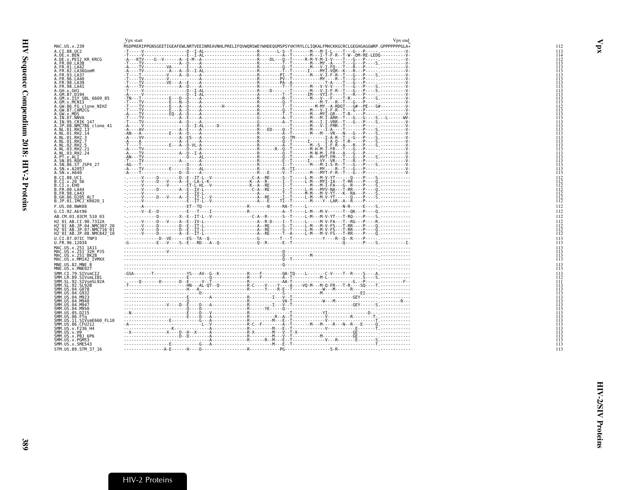<span id="page-20-1"></span><span id="page-20-0"></span>

|                                                                                                                    | Vpx start                                                                                                                                                                                                                                                                                                                                                                                                                   |  | Vpx end |
|--------------------------------------------------------------------------------------------------------------------|-----------------------------------------------------------------------------------------------------------------------------------------------------------------------------------------------------------------------------------------------------------------------------------------------------------------------------------------------------------------------------------------------------------------------------|--|---------|
| MAC.US.x.239                                                                                                       | MSDPRERIPPGNSGEETIGEAFEWLNRTVEEINREAVNHLPRELIFQVWQRSWEYWHDEQGMSPSYVKYRYLCLIQKALFMHCKKGCRCLGEGHGAGGWRP.GPPPPPPPGLA*                                                                                                                                                                                                                                                                                                          |  |         |
| A.CI.88.UC2                                                                                                        |                                                                                                                                                                                                                                                                                                                                                                                                                             |  |         |
| A.DE.x.BEN<br>A.DE.x.PEI2 KR KRCG                                                                                  |                                                                                                                                                                                                                                                                                                                                                                                                                             |  |         |
| A.FR.00.LA38                                                                                                       |                                                                                                                                                                                                                                                                                                                                                                                                                             |  |         |
| A.FR.01.LA42                                                                                                       |                                                                                                                                                                                                                                                                                                                                                                                                                             |  |         |
| A.FR.02.LA36GomM<br>A.FR.93.LA37                                                                                   |                                                                                                                                                                                                                                                                                                                                                                                                                             |  |         |
| A.FR.96.LA40                                                                                                       |                                                                                                                                                                                                                                                                                                                                                                                                                             |  |         |
| A.FR.98.LA39                                                                                                       |                                                                                                                                                                                                                                                                                                                                                                                                                             |  |         |
| A.FR.98.LA41                                                                                                       |                                                                                                                                                                                                                                                                                                                                                                                                                             |  |         |
| A.GH.x.GH1<br>A.GM.87.D194                                                                                         |                                                                                                                                                                                                                                                                                                                                                                                                                             |  |         |
| .GM.x.ISY SBL 6669 85                                                                                              |                                                                                                                                                                                                                                                                                                                                                                                                                             |  |         |
| .GM.x.MCN13                                                                                                        |                                                                                                                                                                                                                                                                                                                                                                                                                             |  |         |
| A.GW.86.FG clone_NIHZ<br>A.GW.87.CAM2CG                                                                            |                                                                                                                                                                                                                                                                                                                                                                                                                             |  |         |
| A.GW.x.MDS                                                                                                         |                                                                                                                                                                                                                                                                                                                                                                                                                             |  |         |
| A.IN.07.NNVA                                                                                                       |                                                                                                                                                                                                                                                                                                                                                                                                                             |  |         |
| A.IN.95.CRIK 147<br>.JP.08.NMC786 clone 41                                                                         |                                                                                                                                                                                                                                                                                                                                                                                                                             |  |         |
| .NL.01.RH2.13                                                                                                      |                                                                                                                                                                                                                                                                                                                                                                                                                             |  |         |
| .NL.01.RH2.14                                                                                                      |                                                                                                                                                                                                                                                                                                                                                                                                                             |  |         |
| .NL.01.RH2.3<br>A.NL.01.RH2.7                                                                                      |                                                                                                                                                                                                                                                                                                                                                                                                                             |  |         |
| A.NL.02.RH2.5                                                                                                      |                                                                                                                                                                                                                                                                                                                                                                                                                             |  |         |
| A.NL.03.RH2.21                                                                                                     |                                                                                                                                                                                                                                                                                                                                                                                                                             |  |         |
| A.NL.03.RH2.24<br>A.PT.x.ALI                                                                                       |                                                                                                                                                                                                                                                                                                                                                                                                                             |  |         |
| A.SN.85.ROD                                                                                                        |                                                                                                                                                                                                                                                                                                                                                                                                                             |  |         |
| A.SN.86.ST_JSP4_27                                                                                                 |                                                                                                                                                                                                                                                                                                                                                                                                                             |  |         |
| A.SN.x.A2057<br>A.SN.x.A640                                                                                        |                                                                                                                                                                                                                                                                                                                                                                                                                             |  |         |
| B.CI.88.UC1                                                                                                        |                                                                                                                                                                                                                                                                                                                                                                                                                             |  |         |
| B.CI.x.20 56                                                                                                       |                                                                                                                                                                                                                                                                                                                                                                                                                             |  |         |
| B.CI.x.EHO                                                                                                         |                                                                                                                                                                                                                                                                                                                                                                                                                             |  |         |
| B.FR.00.LA44<br><b>B.FR.98.LA43</b>                                                                                |                                                                                                                                                                                                                                                                                                                                                                                                                             |  |         |
| B.GH.86.D205 ALT                                                                                                   |                                                                                                                                                                                                                                                                                                                                                                                                                             |  |         |
| B.JP.01.IMCJ <sup>-</sup> KR020 1                                                                                  |                                                                                                                                                                                                                                                                                                                                                                                                                             |  |         |
| F.US.08.NWK08                                                                                                      |                                                                                                                                                                                                                                                                                                                                                                                                                             |  |         |
| G.CI.92.Abt96                                                                                                      | $\frac{1}{2}, \frac{1}{2}, \frac{1}{2}, \frac{1}{2}, \frac{1}{2}, \frac{1}{2}, \frac{1}{2}, \frac{1}{2}, \frac{1}{2}, \frac{1}{2}, \frac{1}{2}, \frac{1}{2}, \frac{1}{2}, \frac{1}{2}, \frac{1}{2}, \frac{1}{2}, \frac{1}{2}, \frac{1}{2}, \frac{1}{2}, \frac{1}{2}, \frac{1}{2}, \frac{1}{2}, \frac{1}{2}, \frac{1}{2}, \frac{1}{2}, \frac{1}{2}, \frac{1}{2}, \frac{1}{2}, \frac{1}{2}, \frac{1}{2}, \frac{1}{2}, \frac{$ |  |         |
| AB.CM.03.03CM 510 03                                                                                               |                                                                                                                                                                                                                                                                                                                                                                                                                             |  |         |
| H2 01 AB.CI.90.7312A                                                                                               |                                                                                                                                                                                                                                                                                                                                                                                                                             |  |         |
| H2 <sup>-</sup> 01 <sup>-</sup> AB.JP.04.NMC307<br>H2 <sup>-</sup> 01 <sup>-</sup> AB.JP.07.NMC716 <sup>-</sup> 01 |                                                                                                                                                                                                                                                                                                                                                                                                                             |  |         |
| H2 <sup>-01-AB.JP.08.NMC842<sup>-10</sup></sup>                                                                    |                                                                                                                                                                                                                                                                                                                                                                                                                             |  |         |
| U.CI.07.07IC TNP3                                                                                                  |                                                                                                                                                                                                                                                                                                                                                                                                                             |  |         |
| U.FR.96.12034                                                                                                      |                                                                                                                                                                                                                                                                                                                                                                                                                             |  |         |
| MAC.US.x.251 1A11                                                                                                  |                                                                                                                                                                                                                                                                                                                                                                                                                             |  |         |
| MAC.US.x.251 <sup>-</sup> 32H PJ5<br>MAC.US.x.251 <sup>-</sup> BK28                                                |                                                                                                                                                                                                                                                                                                                                                                                                                             |  |         |
| MAC.US.x.MM142 IVMXX                                                                                               |                                                                                                                                                                                                                                                                                                                                                                                                                             |  |         |
| MNE.US.82.MNE 8                                                                                                    |                                                                                                                                                                                                                                                                                                                                                                                                                             |  |         |
| MNE.US.x.MNE027                                                                                                    |                                                                                                                                                                                                                                                                                                                                                                                                                             |  |         |
| SMM.CI.79.SIVsmCI2<br>SMM.LR.89.SIVsmLIB1                                                                          |                                                                                                                                                                                                                                                                                                                                                                                                                             |  |         |
| SMM.SL.92.SIVsmSL92A                                                                                               |                                                                                                                                                                                                                                                                                                                                                                                                                             |  |         |
| SMM.SL.92.SL92B                                                                                                    |                                                                                                                                                                                                                                                                                                                                                                                                                             |  |         |
| SMM.US.04.G078<br>SMM.US.04.G932                                                                                   |                                                                                                                                                                                                                                                                                                                                                                                                                             |  |         |
| SMM.US.04.M923                                                                                                     |                                                                                                                                                                                                                                                                                                                                                                                                                             |  |         |
| SMM.US.04.M940                                                                                                     |                                                                                                                                                                                                                                                                                                                                                                                                                             |  |         |
| SMM.US.04.M947                                                                                                     |                                                                                                                                                                                                                                                                                                                                                                                                                             |  |         |
| SMM.US.04.M950<br>SMM.US.05.D215                                                                                   |                                                                                                                                                                                                                                                                                                                                                                                                                             |  |         |
| SMM.US.06.FTq                                                                                                      |                                                                                                                                                                                                                                                                                                                                                                                                                             |  |         |
| SMM.US.11.SIVsmE660 FL10                                                                                           |                                                                                                                                                                                                                                                                                                                                                                                                                             |  |         |
| SMM.US.86.CFU212<br>SMM.US.x.F236 H4                                                                               |                                                                                                                                                                                                                                                                                                                                                                                                                             |  |         |
| SMM.US.x.H9                                                                                                        |                                                                                                                                                                                                                                                                                                                                                                                                                             |  |         |
| SMM.US.x.PBJ 6P6<br>SMM.US.x.PGM53                                                                                 |                                                                                                                                                                                                                                                                                                                                                                                                                             |  |         |
| SMM.US.x.SME543                                                                                                    |                                                                                                                                                                                                                                                                                                                                                                                                                             |  |         |
| STM.US.89.STM 37 16                                                                                                |                                                                                                                                                                                                                                                                                                                                                                                                                             |  |         |
|                                                                                                                    |                                                                                                                                                                                                                                                                                                                                                                                                                             |  |         |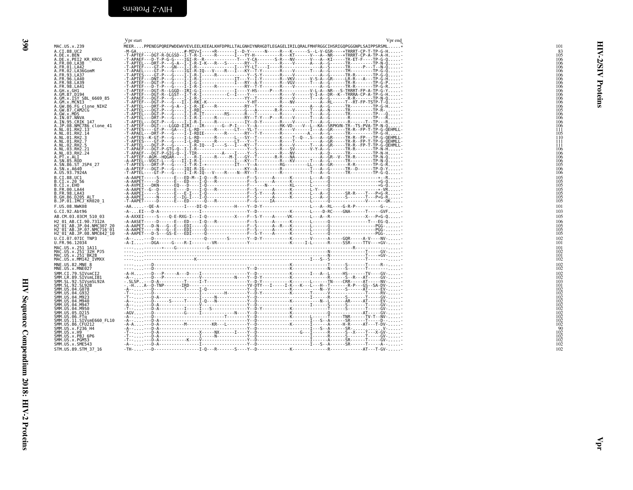| ×      |  |
|--------|--|
| I<br>× |  |

<span id="page-21-0"></span>

|                                                                                                                                                                                                                                                                    | . L.                                                                                                                                                                                                                           |
|--------------------------------------------------------------------------------------------------------------------------------------------------------------------------------------------------------------------------------------------------------------------|--------------------------------------------------------------------------------------------------------------------------------------------------------------------------------------------------------------------------------|
| MAC.US.x.239                                                                                                                                                                                                                                                       | MEERPPE                                                                                                                                                                                                                        |
|                                                                                                                                                                                                                                                                    |                                                                                                                                                                                                                                |
|                                                                                                                                                                                                                                                                    | -M-GA<br>- <u>T-APTEF</u> ---                                                                                                                                                                                                  |
|                                                                                                                                                                                                                                                                    |                                                                                                                                                                                                                                |
|                                                                                                                                                                                                                                                                    |                                                                                                                                                                                                                                |
|                                                                                                                                                                                                                                                                    |                                                                                                                                                                                                                                |
|                                                                                                                                                                                                                                                                    |                                                                                                                                                                                                                                |
|                                                                                                                                                                                                                                                                    |                                                                                                                                                                                                                                |
|                                                                                                                                                                                                                                                                    |                                                                                                                                                                                                                                |
|                                                                                                                                                                                                                                                                    |                                                                                                                                                                                                                                |
|                                                                                                                                                                                                                                                                    |                                                                                                                                                                                                                                |
|                                                                                                                                                                                                                                                                    |                                                                                                                                                                                                                                |
|                                                                                                                                                                                                                                                                    |                                                                                                                                                                                                                                |
|                                                                                                                                                                                                                                                                    |                                                                                                                                                                                                                                |
|                                                                                                                                                                                                                                                                    |                                                                                                                                                                                                                                |
|                                                                                                                                                                                                                                                                    |                                                                                                                                                                                                                                |
|                                                                                                                                                                                                                                                                    |                                                                                                                                                                                                                                |
|                                                                                                                                                                                                                                                                    |                                                                                                                                                                                                                                |
|                                                                                                                                                                                                                                                                    |                                                                                                                                                                                                                                |
|                                                                                                                                                                                                                                                                    |                                                                                                                                                                                                                                |
|                                                                                                                                                                                                                                                                    |                                                                                                                                                                                                                                |
|                                                                                                                                                                                                                                                                    |                                                                                                                                                                                                                                |
|                                                                                                                                                                                                                                                                    |                                                                                                                                                                                                                                |
|                                                                                                                                                                                                                                                                    |                                                                                                                                                                                                                                |
|                                                                                                                                                                                                                                                                    |                                                                                                                                                                                                                                |
| MAC. US. x, 239<br>A.C. I. 88. UC2<br>A.C. I. 88. UC2<br>A. F. R. 80. I. A. 25<br>A. F. R. 90. LA 25<br>A. F. R. 90. LA 25<br>A. F. R. 90. LA 25<br>A. F. R. 92. LA 25<br>A. F. R. 93. LA 24<br>A. F. R. 93. LA 24<br>A. F. R. 93. LA 24<br>A. 68. 25<br>A. 68. 25 | -T-APTE-T-T-T-T-T-APTE-T-APTE-T-APTE-T-APTE-T-APTE-T-APTE-T-APTE-T-APTE-T-APTE-T-APTE-T-APTE-T-APTE-T-APTE-T-APTE-T-APTE-T-APTE-T-APTE-T-APTE-T-APTE-T-APTE-T-APTE-T-APTE-T-APTE-T-APTE-T-APTE-T-APTE-T-APTE-T-APTE-T-APTE-T-A |
|                                                                                                                                                                                                                                                                    |                                                                                                                                                                                                                                |
|                                                                                                                                                                                                                                                                    |                                                                                                                                                                                                                                |
|                                                                                                                                                                                                                                                                    |                                                                                                                                                                                                                                |
|                                                                                                                                                                                                                                                                    |                                                                                                                                                                                                                                |
|                                                                                                                                                                                                                                                                    |                                                                                                                                                                                                                                |
|                                                                                                                                                                                                                                                                    |                                                                                                                                                                                                                                |
|                                                                                                                                                                                                                                                                    |                                                                                                                                                                                                                                |
|                                                                                                                                                                                                                                                                    |                                                                                                                                                                                                                                |
|                                                                                                                                                                                                                                                                    |                                                                                                                                                                                                                                |
|                                                                                                                                                                                                                                                                    |                                                                                                                                                                                                                                |
| A .00.138.001<br>B.CI. 8.001<br>B.CI. x. 20<br>B.FR.90.1444<br>B.FR.90.1443<br>B.FR.98.1443<br>B.JP.01.IMCJ_KR020_1<br>B.JP.01.IMCJ_KR020_1                                                                                                                        | - A-AAPET<br>- - A-AAPET - - -<br>- A-AVPET - - -<br>- A-AAPET - - -<br>- A-AAPET - - -<br>- T-AAPET - - -                                                                                                                     |
| F.US.08.NWK08                                                                                                                                                                                                                                                      | - AA - - Q                                                                                                                                                                                                                     |
| G.CI.92.Abt96                                                                                                                                                                                                                                                      | $-A - E1 - - -$                                                                                                                                                                                                                |
| AB.CM.03.03CM_510_03                                                                                                                                                                                                                                               | $- A - AXXET - -$                                                                                                                                                                                                              |
|                                                                                                                                                                                                                                                                    |                                                                                                                                                                                                                                |
|                                                                                                                                                                                                                                                                    |                                                                                                                                                                                                                                |
|                                                                                                                                                                                                                                                                    |                                                                                                                                                                                                                                |
| H2 01 AB.CI.90.7312A<br>H2 01 AB.JP.04.NMC307 20<br>H2 01 AB.JP.07.NMC716 01<br>H2 01 AB.JP.08.NMC842 10                                                                                                                                                           | - A - AASET - - -<br>- A - AAPET - - -<br>- A - AAPET - - -<br>- A - AAPET - - -                                                                                                                                               |
| U.CI.07.07IC<br>U.FR.96.12034<br>TNP3                                                                                                                                                                                                                              | $- A - 1$                                                                                                                                                                                                                      |
|                                                                                                                                                                                                                                                                    |                                                                                                                                                                                                                                |
|                                                                                                                                                                                                                                                                    | .                                                                                                                                                                                                                              |
|                                                                                                                                                                                                                                                                    | ----<br>----                                                                                                                                                                                                                   |
|                                                                                                                                                                                                                                                                    |                                                                                                                                                                                                                                |
| MAC.US.x.251_1A11<br>MAC.US.x.251 <sup>-</sup> 32H_PJ5<br>MAC.US.x.251 <sup>-</sup> BK28<br>MAC.US.x.MM142_IVMXX                                                                                                                                                   | .                                                                                                                                                                                                                              |
| $\overline{8}$<br>MNE.US.82.MNE 8<br>MNE.US.x.MNE027                                                                                                                                                                                                               | ,,,,,,,,,,,                                                                                                                                                                                                                    |
|                                                                                                                                                                                                                                                                    | .                                                                                                                                                                                                                              |
|                                                                                                                                                                                                                                                                    |                                                                                                                                                                                                                                |
|                                                                                                                                                                                                                                                                    |                                                                                                                                                                                                                                |
|                                                                                                                                                                                                                                                                    |                                                                                                                                                                                                                                |
| MNL. US. x. MNL092<br>SMM. LR. 89, STV5mLTB1<br>SMM. SL. 92, STV5mLTB1<br>SMM. SL. 92, STV5mLTB1<br>SMM. US. 92, STV5mLTB1<br>SMM. US. 94, G092<br>SMM. US. 94, N992<br>SMM. US. 94, N992<br>SMM. US. 94, N992<br>SMM. US. 94, N992<br>SMM. US. 95, D215<br>SMM    |                                                                                                                                                                                                                                |
|                                                                                                                                                                                                                                                                    |                                                                                                                                                                                                                                |
|                                                                                                                                                                                                                                                                    |                                                                                                                                                                                                                                |
|                                                                                                                                                                                                                                                                    |                                                                                                                                                                                                                                |
|                                                                                                                                                                                                                                                                    |                                                                                                                                                                                                                                |
|                                                                                                                                                                                                                                                                    |                                                                                                                                                                                                                                |
|                                                                                                                                                                                                                                                                    |                                                                                                                                                                                                                                |
|                                                                                                                                                                                                                                                                    |                                                                                                                                                                                                                                |
|                                                                                                                                                                                                                                                                    |                                                                                                                                                                                                                                |
|                                                                                                                                                                                                                                                                    | $-4 - - - - - - - -$                                                                                                                                                                                                           |
| $\frac{1}{2}$ MM $\frac{1}{2}$ MS $\frac{1}{2}$ MM                                                                                                                                                                                                                 |                                                                                                                                                                                                                                |
|                                                                                                                                                                                                                                                                    |                                                                                                                                                                                                                                |
| SMM.US.x.PBJ 6P6<br>SMM.US.x.PGM53<br>SMM.US.x.SME543                                                                                                                                                                                                              |                                                                                                                                                                                                                                |
|                                                                                                                                                                                                                                                                    | -T-- : : : : - - -<br>-T- - - - -<br>-T- - - - -<br>-A- - - - -                                                                                                                                                                |
| STM.US.89.STM 37 16                                                                                                                                                                                                                                                | - TH - - - -                                                                                                                                                                                                                   |
|                                                                                                                                                                                                                                                                    |                                                                                                                                                                                                                                |
|                                                                                                                                                                                                                                                                    |                                                                                                                                                                                                                                |

<span id="page-21-1"></span>

| $^{83}_{105}$<br>$\frac{106}{106}$<br>ত<br>A.FR.00.LA42<br>A.FR.01.LA42<br>A.FR.02.LA36GomM<br>A.FR.96.LA40<br>$\frac{106}{106}$<br>$\frac{106}{106}$<br>Proteins<br>106<br>106<br>.GH.x.GH1<br>106<br>A.GM.87.D194<br>A.GM.x.ISY SBL_6669_85<br>A.GM.x.ISY SBL_6669_85<br>A.GW.86.FG clone_NIHZ<br>A.GW.87.CAM2CG<br>$\frac{106}{106}$<br>106<br>$\frac{106}{105}$<br>A. GW.87.CAMZCG<br>A. GW.87.NDS<br>A. IN.97.NNVA<br>A. IN.95.CRIK 147<br>A.NL.01.RH2.13<br>A.NL.01.RH2.13<br>A.NL.01.RH2.13<br>$\frac{106}{106}$<br>$\frac{106}{106}$<br>Ħī<br>105<br>.NL.01.RH2.3<br>110<br>$^{111}_{111}$<br>$\frac{106}{106}$<br>106<br>A.: N. 85, Rob<br>A. SN. 85, ROD<br>A. SN. 86, ST_JSP4_27<br>A. US. 93, 7924A<br>$\frac{106}{105}$<br>$\frac{106}{106}$<br>105<br>105<br>105<br>105<br>105<br>105<br>105<br>105<br>B.CI.x.20 56<br>B.CI.x.EHO<br>101<br>103<br>-A-AXXEI-----S----Q-E-RXG-I---I-Q-----------X----F--S-Y----A------VK-------L---A--R-----------------X---P*G-Q-<br>105<br>$\begin{array}{c} 106 \\ 105 \\ 105 \\ 105 \end{array}$<br>102<br>101<br>101<br>102<br>$\frac{101}{102}$<br>$\frac{102}{102}$<br>MNE.US.x.MNE027<br>"<br>SMM.CI.79.SIVsmCI2<br>SMM.CI.89.SIVsmLIB1<br>SMM.SL.92.SIVsmSL92A<br>SMM.SL.92.SL92B<br>102<br>$\frac{102}{103}$<br>$\frac{103}{101}$<br>SMM.US.04.G078<br>SMM.US.04.G932<br>SMM.US.04.M923<br>3HM . U3 . 04 . M330<br>SMM . US . 05 . D215<br>SMM . US . 06 . FTq<br>SMM . US . 36 . CFU212<br>SMM . US . x . F236_H4<br>SMM . US . x . F236_H4<br>102 | MAC.US.x.239                                                                                                                                                                                                  | Vpr start<br>Vpr end<br>MEERPPENEGPQREPWDEWVVEVLEELKEEALKHFDPRLLTALGNHIYNRHGDTLEGAGELIRILQRALFMHFRGGCIHSRIGQPGGGNPLSAIPPSRSML* | 101 |
|------------------------------------------------------------------------------------------------------------------------------------------------------------------------------------------------------------------------------------------------------------------------------------------------------------------------------------------------------------------------------------------------------------------------------------------------------------------------------------------------------------------------------------------------------------------------------------------------------------------------------------------------------------------------------------------------------------------------------------------------------------------------------------------------------------------------------------------------------------------------------------------------------------------------------------------------------------------------------------------------------------------------------------------------------------------------------------------------------------------------------------------------------------------------------------------------------------------------------------------------------------------------------------------------------------------------------------------------------------------------------------------------------------------------------------------------------------------------------------------------------------|---------------------------------------------------------------------------------------------------------------------------------------------------------------------------------------------------------------|--------------------------------------------------------------------------------------------------------------------------------|-----|
|                                                                                                                                                                                                                                                                                                                                                                                                                                                                                                                                                                                                                                                                                                                                                                                                                                                                                                                                                                                                                                                                                                                                                                                                                                                                                                                                                                                                                                                                                                            | A.CI.88.UC2<br><br>A.DE.x.BEN<br>A.DE.x.PEI2 KR KRCG<br>A.FR.00.LA38                                                                                                                                          |                                                                                                                                |     |
|                                                                                                                                                                                                                                                                                                                                                                                                                                                                                                                                                                                                                                                                                                                                                                                                                                                                                                                                                                                                                                                                                                                                                                                                                                                                                                                                                                                                                                                                                                            |                                                                                                                                                                                                               |                                                                                                                                |     |
|                                                                                                                                                                                                                                                                                                                                                                                                                                                                                                                                                                                                                                                                                                                                                                                                                                                                                                                                                                                                                                                                                                                                                                                                                                                                                                                                                                                                                                                                                                            |                                                                                                                                                                                                               |                                                                                                                                |     |
|                                                                                                                                                                                                                                                                                                                                                                                                                                                                                                                                                                                                                                                                                                                                                                                                                                                                                                                                                                                                                                                                                                                                                                                                                                                                                                                                                                                                                                                                                                            |                                                                                                                                                                                                               |                                                                                                                                |     |
|                                                                                                                                                                                                                                                                                                                                                                                                                                                                                                                                                                                                                                                                                                                                                                                                                                                                                                                                                                                                                                                                                                                                                                                                                                                                                                                                                                                                                                                                                                            | A.NL.01.RH2.7<br>A.NL.02.RH2.5<br>A.NL.03.RH2.21<br>A.NL.03.RH2.24<br>A.PT.x.ALI                                                                                                                              |                                                                                                                                |     |
|                                                                                                                                                                                                                                                                                                                                                                                                                                                                                                                                                                                                                                                                                                                                                                                                                                                                                                                                                                                                                                                                                                                                                                                                                                                                                                                                                                                                                                                                                                            | B.CI.88.UC1                                                                                                                                                                                                   |                                                                                                                                |     |
|                                                                                                                                                                                                                                                                                                                                                                                                                                                                                                                                                                                                                                                                                                                                                                                                                                                                                                                                                                                                                                                                                                                                                                                                                                                                                                                                                                                                                                                                                                            | B.FR.00.LA44<br>B.FR.98.LA43<br>B.GH.86.D205 ALT<br>B.JP.01.IMCJ_KR020_1<br>F.US.08.NWK08                                                                                                                     |                                                                                                                                |     |
|                                                                                                                                                                                                                                                                                                                                                                                                                                                                                                                                                                                                                                                                                                                                                                                                                                                                                                                                                                                                                                                                                                                                                                                                                                                                                                                                                                                                                                                                                                            | G.CI.92.Abt96<br>AB.CM.03.03CM 510 03<br>H2_01_AB.CI.90.7312A<br>H2_01_AB.JP.04.NMC307_20<br>H2_01_AB.JP.07.NMC716_01<br>H2 <sup>-</sup> 01 <sup>-</sup> AB.JP.08.NMC842 <sup>-</sup> 10<br>U.CI.07.07IC TNP3 |                                                                                                                                |     |
|                                                                                                                                                                                                                                                                                                                                                                                                                                                                                                                                                                                                                                                                                                                                                                                                                                                                                                                                                                                                                                                                                                                                                                                                                                                                                                                                                                                                                                                                                                            | U.FR.96.12034<br>MAC.US.x.251_1A11<br>MAC.US.x.251 <sup>-</sup> 32H_PJ5<br>MAC.US.x.251-BK28<br>MAC.US.x.MMI42_IVMXX<br>$MNE \cdot US \cdot 82 \cdot MNE \cdot 8$                                             |                                                                                                                                |     |
|                                                                                                                                                                                                                                                                                                                                                                                                                                                                                                                                                                                                                                                                                                                                                                                                                                                                                                                                                                                                                                                                                                                                                                                                                                                                                                                                                                                                                                                                                                            |                                                                                                                                                                                                               |                                                                                                                                |     |
|                                                                                                                                                                                                                                                                                                                                                                                                                                                                                                                                                                                                                                                                                                                                                                                                                                                                                                                                                                                                                                                                                                                                                                                                                                                                                                                                                                                                                                                                                                            | SMM.US.04.M940<br>SMM.US.04.M947<br>SMM.US.04.M950                                                                                                                                                            |                                                                                                                                |     |
|                                                                                                                                                                                                                                                                                                                                                                                                                                                                                                                                                                                                                                                                                                                                                                                                                                                                                                                                                                                                                                                                                                                                                                                                                                                                                                                                                                                                                                                                                                            | SMM.US.x.H9<br>ŠMM.ŬŠ.X.PBJ 6P6<br>SMM.US.X.PGM53<br>SMM.US.x.SME543<br>STM.US.89.STM 37 16                                                                                                                   |                                                                                                                                |     |
|                                                                                                                                                                                                                                                                                                                                                                                                                                                                                                                                                                                                                                                                                                                                                                                                                                                                                                                                                                                                                                                                                                                                                                                                                                                                                                                                                                                                                                                                                                            |                                                                                                                                                                                                               |                                                                                                                                |     |
|                                                                                                                                                                                                                                                                                                                                                                                                                                                                                                                                                                                                                                                                                                                                                                                                                                                                                                                                                                                                                                                                                                                                                                                                                                                                                                                                                                                                                                                                                                            |                                                                                                                                                                                                               |                                                                                                                                |     |
|                                                                                                                                                                                                                                                                                                                                                                                                                                                                                                                                                                                                                                                                                                                                                                                                                                                                                                                                                                                                                                                                                                                                                                                                                                                                                                                                                                                                                                                                                                            |                                                                                                                                                                                                               |                                                                                                                                |     |
|                                                                                                                                                                                                                                                                                                                                                                                                                                                                                                                                                                                                                                                                                                                                                                                                                                                                                                                                                                                                                                                                                                                                                                                                                                                                                                                                                                                                                                                                                                            |                                                                                                                                                                                                               |                                                                                                                                | इ   |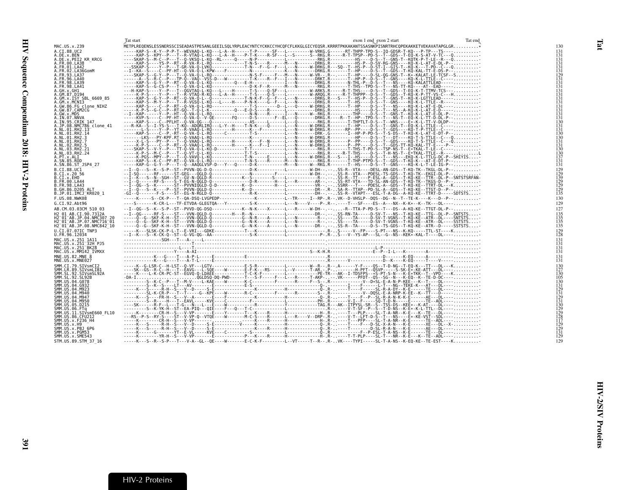<span id="page-22-1"></span><span id="page-22-0"></span>

|                                                                              | Tat start                                                                                                                                                                                                                                                              | exon 1 end exon 2 start | Tat end                                                                         |
|------------------------------------------------------------------------------|------------------------------------------------------------------------------------------------------------------------------------------------------------------------------------------------------------------------------------------------------------------------|-------------------------|---------------------------------------------------------------------------------|
| MAC.US.x.239                                                                 | METPLREQENSLESSNERSSCISEADASTPESANLGEEILSQLYRPLEACYNTCYCKKCCYHCQFCFLKKGLGICYEQSR.KRRRTPKKAKANTSSASNKPISNRTRHCQPEKAKKETVEKAVATAPGLGR*                                                                                                                                   |                         | 130                                                                             |
| A.CI.88.UC2<br>A.DE.x.BEN                                                    | METPLAEORSISSINGSTREAM STRENGTRESSINGSTREAM (1992)<br>METPLAEORSISSINGSTREAM (1992) - 1992) - 1992) - 1992 - 1992 - 1992 - 1992 - 1992 - 1992 - 1993 - 1993 - 1993 - 1993 - 1993 - 1993 - 1993 - 1993 - 1993 - 1993 - 1993 - 199                                       |                         | 131<br>131                                                                      |
| A.DE.x.PEI2 KR KRCG<br>A.FR.00.LA38                                          |                                                                                                                                                                                                                                                                        |                         |                                                                                 |
| A.FR.01.LA42                                                                 |                                                                                                                                                                                                                                                                        |                         |                                                                                 |
| A. FR. 02. LA36GomM<br>A.FR.93.LA37                                          |                                                                                                                                                                                                                                                                        |                         |                                                                                 |
| A.FR.96.LA40<br>A.FR.98.LA39                                                 |                                                                                                                                                                                                                                                                        |                         | 131<br>131<br>131<br>131<br>129<br>131<br>131                                   |
| A.FR.98.LA41                                                                 |                                                                                                                                                                                                                                                                        |                         | 131                                                                             |
| A.GH.X.GH1<br>A.GM.87.D194                                                   |                                                                                                                                                                                                                                                                        |                         | 131<br>131                                                                      |
| A.GM.x.ISY SBL 6669 85<br>A.GM.x.MCNI3                                       |                                                                                                                                                                                                                                                                        |                         | 131                                                                             |
| A.GW.86.FG clone NIHZ                                                        |                                                                                                                                                                                                                                                                        |                         | 131<br>131<br>131<br>131<br>131<br>130                                          |
| A.GW.87.CAM2CG<br>A.GW.x.MDS                                                 |                                                                                                                                                                                                                                                                        |                         |                                                                                 |
| A.IN.07.NNVA<br>A.IN.95.CRIK 147                                             |                                                                                                                                                                                                                                                                        |                         |                                                                                 |
| A.JP.08.NMC786 clone 41<br>A.NL.01.RH2.13                                    |                                                                                                                                                                                                                                                                        |                         | $\frac{131}{131}$                                                               |
| A.NL.01.RH2.14                                                               |                                                                                                                                                                                                                                                                        |                         | 130                                                                             |
| A.NL.01.RH2.3<br>A.NL.01.RH2.7                                               |                                                                                                                                                                                                                                                                        |                         | 130<br>$\frac{131}{131}$                                                        |
| A.NL.02.RH2.5<br>A.NL.03.RH2.21                                              |                                                                                                                                                                                                                                                                        |                         | 130                                                                             |
| A.NL.03.RH2.24                                                               |                                                                                                                                                                                                                                                                        |                         | 130<br>137                                                                      |
| A.PT.x.ALI<br>A.SN.85.ROD                                                    |                                                                                                                                                                                                                                                                        |                         | $\frac{131}{131}$                                                               |
| A.SN.86.ST JSP4 27<br>B.CI.88.UC1                                            |                                                                                                                                                                                                                                                                        |                         |                                                                                 |
| B.CI.X.20 56                                                                 |                                                                                                                                                                                                                                                                        |                         | 129<br>129<br>139<br>129<br>129<br>129                                          |
| B.CI.x.EHO<br>B.FR.00.LA44                                                   |                                                                                                                                                                                                                                                                        |                         |                                                                                 |
| B.FR.98.LA43<br>B.GH.86.D205 ALT                                             |                                                                                                                                                                                                                                                                        |                         |                                                                                 |
| B.JP.01.IMCJ KR020 1                                                         |                                                                                                                                                                                                                                                                        |                         | 135                                                                             |
| F.US.08.NWK08<br>G.CI.92.Abt96                                               | -----K-----S--CK-P---T--OA-DSO-LVGPEDP-------------K---------L--TR-----I--RP-.R--.VK--D-VHSLP--DOS--DG--N--T--TE-K----K---D--P--<br>----S-------K-CR-L---TF-ETVDA-GLEGTQA---Y---------S-K----------L---N----V----P-.R--.----T---SF----ES--A---NX--K-K*--K--TK---DL---- |                         | 130<br>129                                                                      |
| AB.CM.03.03CM 510 03                                                         | --I--QG--S--K--S-P--ST--PVVD-QG-DSQ------------K--N-K----X-----L---R-----W-DH--.--R--TTA-P-PD-S--T---DS--A-KQ-KE--TTGT-DL-P--                                                                                                                                          |                         | 127                                                                             |
| H2 01 AB.CI.90.7312A                                                         |                                                                                                                                                                                                                                                                        |                         |                                                                                 |
| H2 <sup>-01-AB.JP.04.NMC307 20</sup><br>H2 <sup>-01-AB.JP.07.NMC716-01</sup> |                                                                                                                                                                                                                                                                        |                         | $\begin{array}{c} 135 \\ 135 \\ 135 \\ 135 \end{array}$                         |
| H2 01 AB.JP.08.NMC842 10<br>U.CI.07.07IC TNP3                                |                                                                                                                                                                                                                                                                        |                         | 129                                                                             |
| U.FR.96.12034                                                                |                                                                                                                                                                                                                                                                        |                         | 128                                                                             |
| MAC.US.x.251 1A11<br>MAC.US.x.251 <sup>-32H</sup> PJ5                        |                                                                                                                                                                                                                                                                        |                         | 131<br>131                                                                      |
| MAC. US. x. 251 <sup>-</sup> BK28<br>MAC.US.x.MM142 IVMXX                    |                                                                                                                                                                                                                                                                        |                         | $\frac{131}{131}$                                                               |
| MNE.US.82.MNE 8                                                              |                                                                                                                                                                                                                                                                        |                         | $\frac{131}{131}$                                                               |
| MNE.US.x.MNE027<br>SMM.CI.79.SIVsmCI2                                        |                                                                                                                                                                                                                                                                        |                         | 130                                                                             |
| SMM.LR.89.SIVsmLIB1<br>SMM.SL.92.SIVsmSL92A                                  |                                                                                                                                                                                                                                                                        |                         | 127<br>130                                                                      |
| SMM. SL. 92. SL92B                                                           |                                                                                                                                                                                                                                                                        |                         | 105                                                                             |
| SMM. US. 04. G078<br>SMM. US. 04. G932                                       |                                                                                                                                                                                                                                                                        |                         | 130<br>131                                                                      |
| SMM.US.04.M923<br>SMM.US.04.M940                                             |                                                                                                                                                                                                                                                                        |                         | 129<br>i3í                                                                      |
| SMM.US.04.M947<br>SMM.US.04.M950                                             |                                                                                                                                                                                                                                                                        |                         | 129                                                                             |
| SMM.US.05.D215                                                               |                                                                                                                                                                                                                                                                        |                         |                                                                                 |
| SMM.US.06.FTq<br>SMM.US.11.SIVsmE660 FL10                                    |                                                                                                                                                                                                                                                                        |                         | $\frac{127}{131}$<br>$\frac{130}{129}$<br>$\frac{129}{128}$<br>$\frac{128}{17}$ |
| SMM. US.86. CFU212<br>SMM. US. x. F236 H4                                    |                                                                                                                                                                                                                                                                        |                         |                                                                                 |
| SMM.US.x.H9<br>SMM.US.x.PBJ 6P6                                              |                                                                                                                                                                                                                                                                        |                         | 129<br>129                                                                      |
| SMM.US.x.PGM53                                                               |                                                                                                                                                                                                                                                                        |                         | $\frac{151}{129}$                                                               |
| SMM. US. x. SME543<br>STM.US.89.STM 37 16                                    | -----K---S--R--S-P---T---V-A--GL--QE----W--------E-C-K-F---------L--VT-----T--R--. R- VK----TYPI-----SL-T-A-NS--K-EQ-KE--TE-EST----K                                                                                                                                   |                         | 129                                                                             |
|                                                                              |                                                                                                                                                                                                                                                                        |                         |                                                                                 |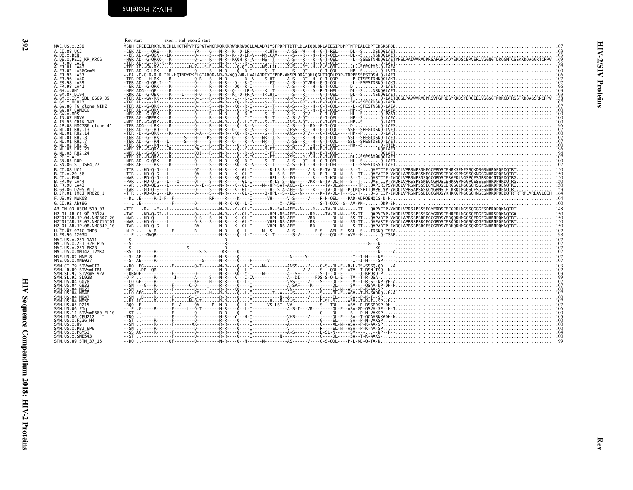<span id="page-23-1"></span><span id="page-23-0"></span>

| MAC.US.x.239<br>A.CI.88.UC2<br>A.DE.x.BEN<br>A.DE.x.PEI2_KR_KRCG                                                             | $\begin{smallmatrix} R_{11} & R_{12} & R_{13} & R_{14} & R_{15} & R_{16} & R_{17} & R_{18} & R_{19} & R_{10} & R_{11} & R_{12} & R_{13} & R_{14} & R_{15} & R_{16} & R_{17} & R_{18} & R_{19} & R_{10} & R_{11} & R_{12} & R_{13} & R_{14} & R_{15} & R_{16} & R_{17} & R_{18} & R_{19} & R_{10} & R_{11} & R_{12} & R_{13} & R_{14} & R_{15} & R_{16$ |    |
|------------------------------------------------------------------------------------------------------------------------------|--------------------------------------------------------------------------------------------------------------------------------------------------------------------------------------------------------------------------------------------------------------------------------------------------------------------------------------------------------|----|
| A.FR.00.LA38 -<br>A.FR.01.LA42<br>A.FR.02.LA36GomM                                                                           |                                                                                                                                                                                                                                                                                                                                                        |    |
| FR.93.LA37<br>.FR.96.LA40                                                                                                    |                                                                                                                                                                                                                                                                                                                                                        |    |
| A.FR.98.LA39<br>A.FR.98.LA41<br>A.GH.x.GH1                                                                                   |                                                                                                                                                                                                                                                                                                                                                        |    |
| GM.87.D194<br>.GM.x.ISY SBL 6669 85                                                                                          |                                                                                                                                                                                                                                                                                                                                                        |    |
| .GM.x.MCNI3                                                                                                                  |                                                                                                                                                                                                                                                                                                                                                        |    |
| A.GW.X.MDS<br>A.GW.X.MDS<br>A.IN.07.NNVA                                                                                     |                                                                                                                                                                                                                                                                                                                                                        |    |
| A.:N.95.CRIK 147<br>A.IN.95.CRIK 147<br>A.JP.08.NMC786_clone_41<br>A.NL.01.RH2.14<br>A.NL.01.RH2.3                           |                                                                                                                                                                                                                                                                                                                                                        |    |
| .NL.01.RH2.7<br>.NL.02.RH2.5                                                                                                 |                                                                                                                                                                                                                                                                                                                                                        |    |
| A.NL.03.RH2.21<br>A.NL.03.RH2.24<br>A.PT.x.ALI                                                                               |                                                                                                                                                                                                                                                                                                                                                        |    |
|                                                                                                                              |                                                                                                                                                                                                                                                                                                                                                        |    |
| B.CI.88.UC1<br>B.CI.x.20 56<br>B.CI.x.EHO<br>B.FR.00.LA44                                                                    |                                                                                                                                                                                                                                                                                                                                                        |    |
| B.FR.98.LA43<br>B.GH.86.D205 ALT                                                                                             |                                                                                                                                                                                                                                                                                                                                                        |    |
| B.JP.01.IMCJ <sup>-</sup> KR020 1<br>F.US.08.NWK08                                                                           |                                                                                                                                                                                                                                                                                                                                                        |    |
| G.CI.92.Abt96<br>AB.CM.03.03CM 510 03                                                                                        |                                                                                                                                                                                                                                                                                                                                                        |    |
| H2 01 AB.CI.90.7312A<br>H2-01-AB.JP.04.NMC307-20<br>H2-01-AB.JP.07.NMC716-01<br>H2-01-AB.JP.08.NMC842-10                     |                                                                                                                                                                                                                                                                                                                                                        |    |
| U.CI.07.07IC TNP3<br>U.FR.96.12034                                                                                           |                                                                                                                                                                                                                                                                                                                                                        |    |
| -<br>MAC.US.x.251_1A11<br>MAC.US.x.251 <sup>—</sup> BK28<br>MAC.US.x.251 <sup>—</sup> BK28<br>MAC.US.x.251 <sup>—</sup> BK28 |                                                                                                                                                                                                                                                                                                                                                        |    |
| MAČ.ŪŠ.x.MM142 IVMXX<br>MNE.US.82.MNE_8                                                                                      |                                                                                                                                                                                                                                                                                                                                                        |    |
| MNE.US.x.MNE027<br>SMM.CI.79.SIVsmCI2<br>SMM.LR.89.SIVsmLIB1                                                                 |                                                                                                                                                                                                                                                                                                                                                        |    |
| SMM.SL.92.SIVsmSL92A<br>SMM.SL.92.SL92B                                                                                      |                                                                                                                                                                                                                                                                                                                                                        |    |
| SMM.US.04.G078<br>SMM.US.04.G932<br>SMM.US.04.M923                                                                           |                                                                                                                                                                                                                                                                                                                                                        |    |
| SMM.US.04.M940<br>SMM.US.04.M947<br>SMM.US.04.M950                                                                           |                                                                                                                                                                                                                                                                                                                                                        |    |
| SMM. US. 05. DŽIŠ<br>SMM. US. 06. FTq<br>SMM. US. 11. SIVSME660_FL10                                                         |                                                                                                                                                                                                                                                                                                                                                        |    |
| SMM.US.86.CFU212<br>SMM.US.x.F236 H4<br>SMM.US.x.H9<br>SMM.US.x.PBJ_6P6                                                      |                                                                                                                                                                                                                                                                                                                                                        |    |
| SMM.US.x.PGM53<br>SMM.US.x.SME543                                                                                            |                                                                                                                                                                                                                                                                                                                                                        |    |
| STM.US.89.STM 37 16                                                                                                          |                                                                                                                                                                                                                                                                                                                                                        | 99 |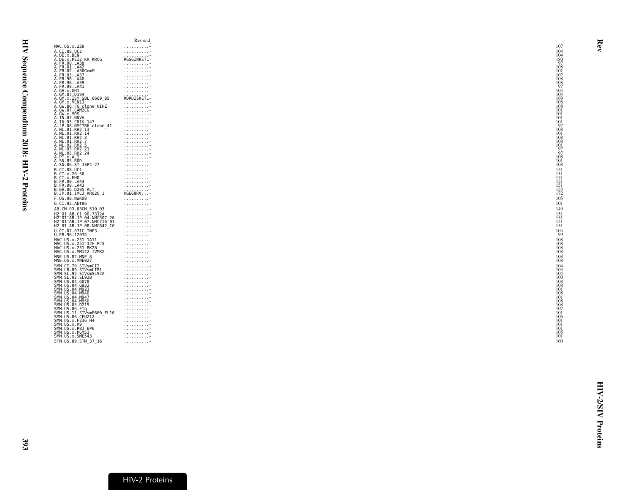|                                                           |                                                                                                        | Rev end           |
|-----------------------------------------------------------|--------------------------------------------------------------------------------------------------------|-------------------|
| MAC.US.x.239                                              |                                                                                                        | . *               |
| A.CI.88.UC2                                               |                                                                                                        | .                 |
| A.DE.x.BEN                                                |                                                                                                        |                   |
|                                                           | DE.x.PEI2 KR_KRCG<br>A.FR.00.LA38<br>A.FR.01.LA42                                                      | RGSGINRETL-       |
|                                                           |                                                                                                        | .                 |
|                                                           |                                                                                                        | .                 |
|                                                           | A.FR.02.LA36GomM                                                                                       | .                 |
| A.FR.93.LA37                                              |                                                                                                        | .                 |
| A.FR.96.LA40                                              |                                                                                                        | .                 |
| A.FR.98.LA39<br>A.FR.98.LA41                              |                                                                                                        | .<br>.            |
| A.GH.x.GH1                                                |                                                                                                        | .                 |
| A.GM.87.D194                                              |                                                                                                        |                   |
|                                                           | A.GM.x.ISY SBL_6669_85<br>A.GM.x.MCNI3<br>A.GM.x.MCNI3<br>A.GW.86.FG_clone_NIHZ<br>A.GW.87.CAM2CG      | RDRDISKETL-       |
|                                                           |                                                                                                        | .                 |
|                                                           |                                                                                                        | .                 |
|                                                           |                                                                                                        | .                 |
| A.GW.x.MDS                                                |                                                                                                        | .                 |
| A.IN.07.NNVA                                              |                                                                                                        | .                 |
|                                                           | A.IN.95.CRIK 147                                                                                       | .                 |
|                                                           | A.JP.08.NMC786 clone 41                                                                                | .                 |
| A.NL.01.RH2.13<br>A.NL.01.RH2.14                          |                                                                                                        | .                 |
| A.NL.01.RH2.3                                             |                                                                                                        | .<br>.            |
|                                                           |                                                                                                        | .                 |
| A.NL.01.RH2.7<br>A.NL.02.RH2.5<br>A.NL.03.RH2.21          |                                                                                                        | .                 |
|                                                           |                                                                                                        | .                 |
| A.NL.03.RH2.24                                            |                                                                                                        | .                 |
| A.PT.x.ALI                                                |                                                                                                        | 1.1.1.1.1.1.1.1.1 |
| A.SN.85.ROD                                               |                                                                                                        | .                 |
|                                                           | A.SN.86.ST JSP4 27                                                                                     | .                 |
|                                                           |                                                                                                        | .                 |
| B.CI.88.UC1<br>B.CI.x.20 56<br>B.CI.x.EHO<br>B.FR.00.LA44 |                                                                                                        | .                 |
|                                                           |                                                                                                        | .                 |
|                                                           |                                                                                                        | .                 |
| B.FR.98.LA43                                              |                                                                                                        | .                 |
|                                                           | B.GH.86.D205 ALT                                                                                       |                   |
|                                                           | B.JP.01.IMCJ <sup>-</sup> KR020 1                                                                      | KGEGNRV           |
| F.US.08.NWK08                                             |                                                                                                        | .                 |
|                                                           |                                                                                                        |                   |
| G.CI.92.Abt96                                             |                                                                                                        | .                 |
|                                                           | AB.CM.03.03CM 510 03                                                                                   | .                 |
|                                                           | H2_01_AB.CI.90.7312A<br>H2 <sup>_</sup> 01 <sup>_</sup> AB.JP.04.NMC307_20<br>H2_01_AB.JP.07.NMC716_01 | .                 |
|                                                           |                                                                                                        | .                 |
|                                                           |                                                                                                        | .                 |
|                                                           | H2 <sup>-</sup> 01 <sup>-</sup> AB.JP.08.NMC842 <sup>-</sup> 10                                        | .                 |
|                                                           | U.CI.07.07IC TNP3                                                                                      | .                 |
| U.FR.96.12034                                             |                                                                                                        | .                 |
|                                                           | MAC.US.x.251 1A11                                                                                      | .                 |
|                                                           |                                                                                                        | .                 |
|                                                           | MAC.US.x.251-32H-PJ5<br>MAC.US.x.251-BK28                                                              | .                 |
|                                                           | MAC.US.x.MM142_IVMXX                                                                                   | .                 |
| MNE.US.82.MNE 8                                           |                                                                                                        | .                 |
| MNE.US.x.MNE027                                           |                                                                                                        | .                 |
|                                                           |                                                                                                        | .                 |
|                                                           | SMM.CI.79.SIVsmCI2<br>SMM.LR.89.SIVsmLIB1                                                              | .                 |
|                                                           | SMM.SL.92.SIVsmSL92A                                                                                   | .                 |
|                                                           |                                                                                                        | .                 |
|                                                           | SMM. SL.92. SL92B<br>SMM. US.04. G078                                                                  | .                 |
| SMM. U.S. 04. G932                                        |                                                                                                        | .                 |
| SMM.US.04.M923                                            |                                                                                                        | .                 |
| ŠMM.US.04.M940                                            |                                                                                                        |                   |
|                                                           |                                                                                                        |                   |
|                                                           |                                                                                                        | .                 |
|                                                           |                                                                                                        | .                 |
|                                                           | 3HH.∪3 : 04. H947<br>SMM.∪S.04. M947<br>SMM.∪S.04. M950<br>SMM.∪S.06. FTq<br>SMM.∪S.11. SIVSmE660_FL10 | .                 |
|                                                           |                                                                                                        | .                 |
|                                                           | ŠMM.UŠ.86.ČFUŽI2<br>SMM.US.x.F236_H4                                                                   | .                 |
| SMM.US.x.H9                                               |                                                                                                        | .                 |
|                                                           | SMM.US.x.PBJ 6P6                                                                                       | .<br>.            |
| SMM.US.x.PGM53                                            |                                                                                                        |                   |
| SMM.US.x.SME543                                           |                                                                                                        |                   |
|                                                           | STM.US.89.STM 37 16                                                                                    | .                 |
|                                                           |                                                                                                        |                   |

<span id="page-24-0"></span>Rev

HIV-2/SIV Proteins

**HIV-2/SIV Proteins**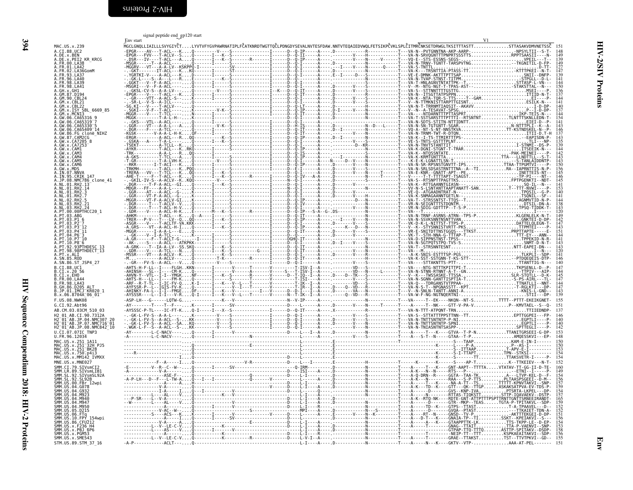<span id="page-25-1"></span>signal peptide end gp<sup>120</sup> start

| 6669 85                                                                                                                                                                                                                                                            |            |
|--------------------------------------------------------------------------------------------------------------------------------------------------------------------------------------------------------------------------------------------------------------------|------------|
|                                                                                                                                                                                                                                                                    |            |
|                                                                                                                                                                                                                                                                    |            |
|                                                                                                                                                                                                                                                                    |            |
|                                                                                                                                                                                                                                                                    |            |
|                                                                                                                                                                                                                                                                    |            |
|                                                                                                                                                                                                                                                                    |            |
|                                                                                                                                                                                                                                                                    |            |
|                                                                                                                                                                                                                                                                    |            |
|                                                                                                                                                                                                                                                                    |            |
|                                                                                                                                                                                                                                                                    |            |
|                                                                                                                                                                                                                                                                    |            |
|                                                                                                                                                                                                                                                                    |            |
|                                                                                                                                                                                                                                                                    |            |
|                                                                                                                                                                                                                                                                    |            |
|                                                                                                                                                                                                                                                                    |            |
|                                                                                                                                                                                                                                                                    |            |
| clone 41                                                                                                                                                                                                                                                           |            |
|                                                                                                                                                                                                                                                                    |            |
|                                                                                                                                                                                                                                                                    |            |
|                                                                                                                                                                                                                                                                    |            |
| A. FR. 01. LA42<br>A. FR. 02. LA36<br>CA. FR. 93. LA43<br>A. FR. 96. LA48<br>A. FR. 96. LA48<br>A. FR. 96. LA48<br>A. FR. 96. LA48<br>A. FR. 98. LA44<br>A. GM. 87. D. 194<br>A. GM. 87. D. 194<br>A. GM. 87. D. 1952<br>A. GM. 96. CA65319 - 7<br>A. GM. 96. CA65 |            |
|                                                                                                                                                                                                                                                                    |            |
|                                                                                                                                                                                                                                                                    |            |
|                                                                                                                                                                                                                                                                    |            |
|                                                                                                                                                                                                                                                                    |            |
|                                                                                                                                                                                                                                                                    |            |
|                                                                                                                                                                                                                                                                    |            |
|                                                                                                                                                                                                                                                                    |            |
|                                                                                                                                                                                                                                                                    |            |
|                                                                                                                                                                                                                                                                    |            |
|                                                                                                                                                                                                                                                                    |            |
|                                                                                                                                                                                                                                                                    |            |
|                                                                                                                                                                                                                                                                    |            |
|                                                                                                                                                                                                                                                                    |            |
|                                                                                                                                                                                                                                                                    |            |
|                                                                                                                                                                                                                                                                    |            |
|                                                                                                                                                                                                                                                                    |            |
|                                                                                                                                                                                                                                                                    |            |
|                                                                                                                                                                                                                                                                    |            |
|                                                                                                                                                                                                                                                                    |            |
|                                                                                                                                                                                                                                                                    |            |
|                                                                                                                                                                                                                                                                    |            |
|                                                                                                                                                                                                                                                                    |            |
|                                                                                                                                                                                                                                                                    |            |
|                                                                                                                                                                                                                                                                    |            |
| F.US.08.NWK08<br>G.CI.92.Abt96                                                                                                                                                                                                                                     |            |
|                                                                                                                                                                                                                                                                    |            |
| AB.CM.03.03CM<br>510<br>03                                                                                                                                                                                                                                         |            |
|                                                                                                                                                                                                                                                                    |            |
|                                                                                                                                                                                                                                                                    |            |
|                                                                                                                                                                                                                                                                    |            |
|                                                                                                                                                                                                                                                                    |            |
| U.CI.07.07IC<br>U.CI.07.07IC<br>U.FR.96.12034<br>TNP3                                                                                                                                                                                                              |            |
|                                                                                                                                                                                                                                                                    |            |
|                                                                                                                                                                                                                                                                    |            |
|                                                                                                                                                                                                                                                                    |            |
|                                                                                                                                                                                                                                                                    |            |
|                                                                                                                                                                                                                                                                    |            |
|                                                                                                                                                                                                                                                                    |            |
|                                                                                                                                                                                                                                                                    |            |
|                                                                                                                                                                                                                                                                    |            |
|                                                                                                                                                                                                                                                                    |            |
|                                                                                                                                                                                                                                                                    |            |
|                                                                                                                                                                                                                                                                    |            |
|                                                                                                                                                                                                                                                                    |            |
|                                                                                                                                                                                                                                                                    |            |
|                                                                                                                                                                                                                                                                    |            |
|                                                                                                                                                                                                                                                                    |            |
|                                                                                                                                                                                                                                                                    |            |
|                                                                                                                                                                                                                                                                    |            |
|                                                                                                                                                                                                                                                                    |            |
|                                                                                                                                                                                                                                                                    |            |
|                                                                                                                                                                                                                                                                    |            |
|                                                                                                                                                                                                                                                                    |            |
|                                                                                                                                                                                                                                                                    |            |
|                                                                                                                                                                                                                                                                    |            |
|                                                                                                                                                                                                                                                                    |            |
|                                                                                                                                                                                                                                                                    |            |
| U.C.I. 07.071C TIPS<br>MAC.US.x.251121111<br>MAC.US.x.25113211<br>MAC.US.x.2511321<br>MAC.US.x.2511321<br>MAC.US.x.2511321<br>MAC.US.x.75010413<br>MAC.US.x.77901413<br>MNE.US.x.MME027<br>MMC.US.x.MME027<br>SMM LE.09.51Y9mLIB.001<br>SMM LE.09.51               | $-\hat{p}$ |

394 HIV Sequence Compendium 2018: HIV-2 Proteins

<span id="page-25-0"></span>HIV Sequence Compendium 2018: HIV-2 Proteins

|                                                                                            | signal peptine end gp120 start<br>Env start                                                                                                                  | V1 |
|--------------------------------------------------------------------------------------------|--------------------------------------------------------------------------------------------------------------------------------------------------------------|----|
| MAC.US.x.239<br>A.CI.88.UC2                                                                | MGCLGNQLLIAILLLSVYGIYČTLYVTVFYGVPAWRNATIPLFČATKNRDTWGTTQČLPDNGDYSEVALNVTESFDAW.NNTVTEQAIEDVWQLFETSIKPČVKLSPLČITMRČNKSETDRWGLTKSITTTASTTSTTASAKVDMVNETSSČ lSl |    |
| A.DE.x.PEI2 KR KRCG                                                                        |                                                                                                                                                              |    |
| A.FR.00.LA38                                                                               |                                                                                                                                                              |    |
| A.FR.93.LA37                                                                               |                                                                                                                                                              |    |
| A.FR.96.LA40<br>A.FR.98.LA39                                                               |                                                                                                                                                              |    |
| A.FR.98.LA41<br>A.GH.x.GH1<br>A.GM.87.D194                                                 |                                                                                                                                                              |    |
| A.GM.90.CBL24                                                                              |                                                                                                                                                              |    |
| .GM.x.CBL21<br>.GM.x.CBL22                                                                 |                                                                                                                                                              |    |
|                                                                                            |                                                                                                                                                              |    |
| A.GW.06.CA65319 <sup>-</sup> 7                                                             |                                                                                                                                                              |    |
| .GW.06.CA65330<br>A.GW.06.CA65409 14                                                       |                                                                                                                                                              |    |
| A.GW.86.FG clone_NIHZ<br>A.GW.87.CAM2CG                                                    |                                                                                                                                                              |    |
| A.GW.x.CA7205 8<br>A.GW.x.CA7253                                                           |                                                                                                                                                              |    |
|                                                                                            |                                                                                                                                                              |    |
|                                                                                            |                                                                                                                                                              |    |
|                                                                                            |                                                                                                                                                              |    |
| A.IN.07.NNVA<br>A.IN.95.CRIK_147                                                           |                                                                                                                                                              |    |
| A.JP.08.NMC786_clone_41<br>A.NL.01.RH2.13<br>A.NL.01.RH2.14                                |                                                                                                                                                              |    |
| A.NL.01.RH2.3                                                                              |                                                                                                                                                              |    |
| .NL.01.RH2.7<br>A.NL.02.RH2.5                                                              |                                                                                                                                                              |    |
| A.NL.03.RH2.21<br>A.NL.03.RH2.24<br>A.PT.00.00PTHCC20 1                                    |                                                                                                                                                              |    |
| A.PT.03.ABG                                                                                |                                                                                                                                                              |    |
| A.PT.03.P1 6<br>A.PT.03.P2-7<br>A.PT.03.P3-12                                              |                                                                                                                                                              |    |
| A.PT.03.P4 <sup>-</sup> 11                                                                 |                                                                                                                                                              |    |
| A.PT.04.P6 <sup>-</sup> 3<br>A.PT.10.P7 <sup>-</sup> 10                                    |                                                                                                                                                              |    |
| A.PT.10.P8 <sup>-</sup> 6                                                                  |                                                                                                                                                              |    |
| <br>A.PT.92.93PTHDESC_13<br>A.PT.98.98PTHDECT_13                                           |                                                                                                                                                              |    |
| A.SN.86.ST JSP4 27                                                                         |                                                                                                                                                              |    |
| B.CI.88.UC1                                                                                |                                                                                                                                                              |    |
| B.CI.x.20 56<br>B.CI.x.EHO<br>B.FR.00.LA44                                                 |                                                                                                                                                              |    |
| FR.98.LA43<br>B.GH.86.D205_ALT                                                             |                                                                                                                                                              |    |
| B.JP.01.IMCJ <sup>-</sup> KR020_1<br>B.JP.01.IMCJ <sup>-</sup> KR020_1                     |                                                                                                                                                              |    |
| F.US.08.NWK08                                                                              |                                                                                                                                                              |    |
| G.CI.92.Abt96<br>AB.CM.03.03CM 510 03                                                      |                                                                                                                                                              |    |
| H2 01 AB.CI.90.7312A                                                                       |                                                                                                                                                              |    |
| H2-01-AB.JP.04.NMC307_20<br>H2-01-AB.JP.07.NMC716-01                                       |                                                                                                                                                              |    |
| H2 <sup>-</sup> 01 <sup>-</sup> AB.JP.08.NMC842 <sup>-</sup> 10<br>U.CI.07.07IC TNP3       |                                                                                                                                                              |    |
| U.FR.96.12034<br>MAC.US.x.251 1A11                                                         |                                                                                                                                                              |    |
| MAC.US.x.251 32H PJ5<br>MAC.US.x.251 <sup>-</sup> BK28                                     |                                                                                                                                                              |    |
| MAC.US.x.750 <del>.</del> p4i3<br>MAC.US.x.MM142_IVMXX                                     |                                                                                                                                                              |    |
| MNE.US.x.MNE027                                                                            |                                                                                                                                                              |    |
| SMM.CI.79.SIVsmCI2                                                                         |                                                                                                                                                              |    |
| SMM.LR.89.SIVsmLIB1<br>SMM.SL.92.SIVsmSL92A<br>SMM.SL.92.SIVsmSL92A<br>SMM.US.00.FBr_12wpi |                                                                                                                                                              |    |
| SMM.US.04.G078                                                                             |                                                                                                                                                              |    |
| SMM.US.04.G932<br>SMM.US.04.M923                                                           |                                                                                                                                                              |    |
| SMM.US.04.M940<br>SMM. US. 04. M947                                                        |                                                                                                                                                              |    |
| SMM.US.04.M950<br>SMM.US.05.D215                                                           |                                                                                                                                                              |    |
| SMM.US.06.FTq<br>SMM.US.10.FPY 154wpi<br>SMM.US.86.CFU212                                  |                                                                                                                                                              |    |
| SMM.US.x.F236 H4                                                                           |                                                                                                                                                              |    |
| SMM.US.x.PBJ 6P6<br>SMM.US.x.PGM53                                                         |                                                                                                                                                              |    |
| SMM.US.x.SME543                                                                            |                                                                                                                                                              |    |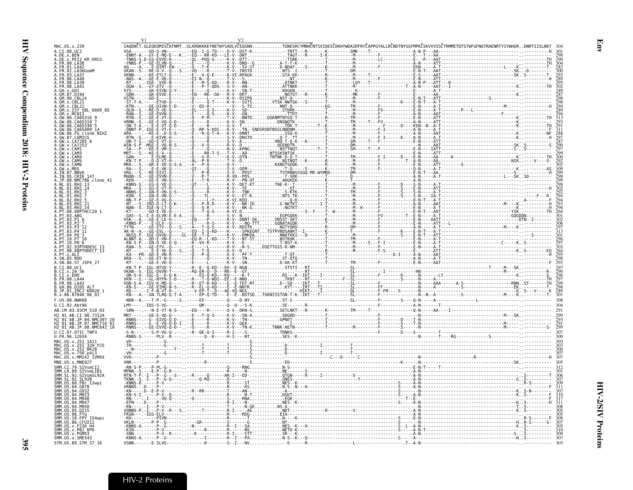<span id="page-26-0"></span>

| IAQDNČT.GLEQEQMISČKFNMTGLKRDKKKEYNETWYSADLVČEQGNNTGNESRCYMNHČNTSVIQESČDKHYWDAIRFRYČAPPGYALLRČNDTNYSGFMPKČSKVVVSSČTRMMETQTSTWFGFNGTRAENRTYIYWHGRDNRTIISLNKY<br>MAC.US.x.239<br>-- 00-0-Wh-1-1-1-Wh-1-1-Wh-1-1-Wh-1-1-Wh-1-1-Wh-1-1-Wh-1-1-Wh-1-1-Wh-1-1-Wh-1-1-Wh-1-1-Wh-1-Wh-1-Wh-1-Wh-1-Wh-1-Wh-1-Wh-1-Wh-1-Wh-1-Wh-1-Wh-1-Wh-1-Wh-1-Wh-1-Wh-1-Wh-1-Wh-1-Wh-1-Wh-1-Wh-1-Wh-1-Wh-1-Wh-1-Wh-1-Wh-1-Wh-1-Wh-1-<br>A.CI.88.UC2<br>.DE.x.BEN<br><b>KR KRCG</b><br>A.DE.X.PEI2<br>A.FR.00.LA38<br>A.FR.01.LA42<br>02.LA36GomM<br>FR.93.LA37<br>96.LA40<br>98.1439<br>GM.x.CBL21<br>.GM.x.ISY SBL 6669 85 |  |
|-----------------------------------------------------------------------------------------------------------------------------------------------------------------------------------------------------------------------------------------------------------------------------------------------------------------------------------------------------------------------------------------------------------------------------------------------------------------------------------------------------------------------------------------------------------------------------------------------------|--|
|                                                                                                                                                                                                                                                                                                                                                                                                                                                                                                                                                                                                     |  |
|                                                                                                                                                                                                                                                                                                                                                                                                                                                                                                                                                                                                     |  |
|                                                                                                                                                                                                                                                                                                                                                                                                                                                                                                                                                                                                     |  |
|                                                                                                                                                                                                                                                                                                                                                                                                                                                                                                                                                                                                     |  |
|                                                                                                                                                                                                                                                                                                                                                                                                                                                                                                                                                                                                     |  |
|                                                                                                                                                                                                                                                                                                                                                                                                                                                                                                                                                                                                     |  |
|                                                                                                                                                                                                                                                                                                                                                                                                                                                                                                                                                                                                     |  |
|                                                                                                                                                                                                                                                                                                                                                                                                                                                                                                                                                                                                     |  |
|                                                                                                                                                                                                                                                                                                                                                                                                                                                                                                                                                                                                     |  |
| GM x MCNT3<br>.GW.06.CA65316                                                                                                                                                                                                                                                                                                                                                                                                                                                                                                                                                                        |  |
|                                                                                                                                                                                                                                                                                                                                                                                                                                                                                                                                                                                                     |  |
|                                                                                                                                                                                                                                                                                                                                                                                                                                                                                                                                                                                                     |  |
| .GW.06.CA65409 <sup>-</sup> 14<br>.GW.86.FG clone_NIHZ<br>.GW.87.CAM2CG                                                                                                                                                                                                                                                                                                                                                                                                                                                                                                                             |  |
| GW.x.CA7205 8                                                                                                                                                                                                                                                                                                                                                                                                                                                                                                                                                                                       |  |
| <b>GW.x.CAM3</b>                                                                                                                                                                                                                                                                                                                                                                                                                                                                                                                                                                                    |  |
| $GW \times CAM4$<br>CAM5                                                                                                                                                                                                                                                                                                                                                                                                                                                                                                                                                                            |  |
| .GW.x.CAM6                                                                                                                                                                                                                                                                                                                                                                                                                                                                                                                                                                                          |  |
| . NNN                                                                                                                                                                                                                                                                                                                                                                                                                                                                                                                                                                                               |  |
| IN.95.CRIK 147<br>NMC786 clone 41                                                                                                                                                                                                                                                                                                                                                                                                                                                                                                                                                                   |  |
| RH2.13                                                                                                                                                                                                                                                                                                                                                                                                                                                                                                                                                                                              |  |
|                                                                                                                                                                                                                                                                                                                                                                                                                                                                                                                                                                                                     |  |
|                                                                                                                                                                                                                                                                                                                                                                                                                                                                                                                                                                                                     |  |
|                                                                                                                                                                                                                                                                                                                                                                                                                                                                                                                                                                                                     |  |
| .00PTHCC20 1<br>ARG                                                                                                                                                                                                                                                                                                                                                                                                                                                                                                                                                                                 |  |
|                                                                                                                                                                                                                                                                                                                                                                                                                                                                                                                                                                                                     |  |
|                                                                                                                                                                                                                                                                                                                                                                                                                                                                                                                                                                                                     |  |
|                                                                                                                                                                                                                                                                                                                                                                                                                                                                                                                                                                                                     |  |
|                                                                                                                                                                                                                                                                                                                                                                                                                                                                                                                                                                                                     |  |
|                                                                                                                                                                                                                                                                                                                                                                                                                                                                                                                                                                                                     |  |
| SN.85.ROD                                                                                                                                                                                                                                                                                                                                                                                                                                                                                                                                                                                           |  |
| .SN.86.ST JSP4 27                                                                                                                                                                                                                                                                                                                                                                                                                                                                                                                                                                                   |  |
|                                                                                                                                                                                                                                                                                                                                                                                                                                                                                                                                                                                                     |  |
| 00 1 A 44<br>FR.98.LA43.                                                                                                                                                                                                                                                                                                                                                                                                                                                                                                                                                                            |  |
| .GH.86.D205 ALT<br>.JP.01.IMCJ <sup>-</sup> KR020 1                                                                                                                                                                                                                                                                                                                                                                                                                                                                                                                                                 |  |
| B.x.06.8704A 06 01                                                                                                                                                                                                                                                                                                                                                                                                                                                                                                                                                                                  |  |
|                                                                                                                                                                                                                                                                                                                                                                                                                                                                                                                                                                                                     |  |
| AB.CM.03.03CM 510 03                                                                                                                                                                                                                                                                                                                                                                                                                                                                                                                                                                                |  |
| AR CT 90.7312A<br>$01^-$ AB.JP.<br>04.NMC307                                                                                                                                                                                                                                                                                                                                                                                                                                                                                                                                                        |  |
| AB.JP.07.<br>H2 <sup>-01-AB.JP.08.NMC842<sup>-10</sup></sup>                                                                                                                                                                                                                                                                                                                                                                                                                                                                                                                                        |  |
| U.CI.07.07IC TNP3                                                                                                                                                                                                                                                                                                                                                                                                                                                                                                                                                                                   |  |
| J.FR.96.12034<br>MAC.US.x.251 1A11                                                                                                                                                                                                                                                                                                                                                                                                                                                                                                                                                                  |  |
| AC.US.x.251 <sup>-</sup> 32H PJ5<br>MAC.US.x.251                                                                                                                                                                                                                                                                                                                                                                                                                                                                                                                                                    |  |
| MAC.US.x.MM142 IVMXX                                                                                                                                                                                                                                                                                                                                                                                                                                                                                                                                                                                |  |
| MNE. US. x.MNE027                                                                                                                                                                                                                                                                                                                                                                                                                                                                                                                                                                                   |  |
| .CI.79.SIVsmCI<br>SIVsmLIB1                                                                                                                                                                                                                                                                                                                                                                                                                                                                                                                                                                         |  |
| SIVsmSL92A<br>SMM.SL.92.SL92B                                                                                                                                                                                                                                                                                                                                                                                                                                                                                                                                                                       |  |
| SMM.ŪS.00.FBr 12wpi                                                                                                                                                                                                                                                                                                                                                                                                                                                                                                                                                                                 |  |
| SMM.US.04.G078                                                                                                                                                                                                                                                                                                                                                                                                                                                                                                                                                                                      |  |
|                                                                                                                                                                                                                                                                                                                                                                                                                                                                                                                                                                                                     |  |
| MAZ<br>M950                                                                                                                                                                                                                                                                                                                                                                                                                                                                                                                                                                                         |  |
| D215.                                                                                                                                                                                                                                                                                                                                                                                                                                                                                                                                                                                               |  |
| 06.FTq<br>10.FPY<br>86.CFU212                                                                                                                                                                                                                                                                                                                                                                                                                                                                                                                                                                       |  |
| SMM.US.x.F236 H4<br>SMM US x PR1 6P6                                                                                                                                                                                                                                                                                                                                                                                                                                                                                                                                                                |  |
| MM.US.x.PGM53                                                                                                                                                                                                                                                                                                                                                                                                                                                                                                                                                                                       |  |
| SMM.US.x.SME543<br>STM.US.89.STM 37 16                                                                                                                                                                                                                                                                                                                                                                                                                                                                                                                                                              |  |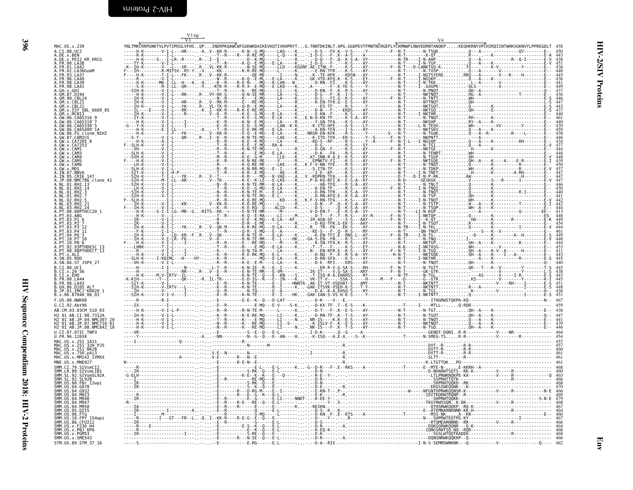| ٦  |  |
|----|--|
| ۰. |  |
| ٧  |  |

<span id="page-27-0"></span>

| MAC. US. x. 239<br>A.CI.88.UC2                                                                        |                                                                                                                                                                                                                                      |                                                                 |                                          | YNLTMKČRRPGNKTVLPVTIMSGLVFHSQPINDRPKQAWČWFGGKWKDAIKEVKQTIVKHPRYTG.TNNTDKINLT.APG.GGDPEVTFMWTNČRGEFLYČKMNWFLNWVEDRNTANQKPKEQHKRNYVPČHIRQIINTWHKVGKNVYLPPREGDLT                                             |                            |                                |                                                                                                                                                                                   |
|-------------------------------------------------------------------------------------------------------|--------------------------------------------------------------------------------------------------------------------------------------------------------------------------------------------------------------------------------------|-----------------------------------------------------------------|------------------------------------------|-----------------------------------------------------------------------------------------------------------------------------------------------------------------------------------------------------------|----------------------------|--------------------------------|-----------------------------------------------------------------------------------------------------------------------------------------------------------------------------------|
| x.PEI2 KR KRCG                                                                                        |                                                                                                                                                                                                                                      |                                                                 |                                          |                                                                                                                                                                                                           |                            |                                |                                                                                                                                                                                   |
| A.FR.00.LA38<br>A.FR.01.LA42<br>02.LA36GomM                                                           |                                                                                                                                                                                                                                      |                                                                 |                                          |                                                                                                                                                                                                           |                            |                                |                                                                                                                                                                                   |
| FR.96.LA40                                                                                            |                                                                                                                                                                                                                                      |                                                                 |                                          |                                                                                                                                                                                                           |                            |                                |                                                                                                                                                                                   |
| 98.1439<br>.FR.98.LA41                                                                                |                                                                                                                                                                                                                                      |                                                                 |                                          |                                                                                                                                                                                                           |                            |                                |                                                                                                                                                                                   |
| 90.CBL24                                                                                              |                                                                                                                                                                                                                                      |                                                                 |                                          |                                                                                                                                                                                                           |                            |                                |                                                                                                                                                                                   |
| x CRI2<br>x.ISY SBL 6669 85                                                                           |                                                                                                                                                                                                                                      |                                                                 |                                          |                                                                                                                                                                                                           |                            |                                |                                                                                                                                                                                   |
|                                                                                                       |                                                                                                                                                                                                                                      | - - R - - - - - - K -                                           |                                          | - LA - - - - - K - . - - E - KN - - F - . - - - K- S -<br>- LK - - - - - K E . N - D - KN - TF - . - - - K - S -                                                                                          | $T - - - - - - - N - TNQT$ |                                |                                                                                                                                                                                   |
| .CA65319<br>06 6465330<br>06.CA65409 <sup>-14</sup>                                                   | . V - T - L - I - K -                                                                                                                                                                                                                |                                                                 |                                          | -R------K-N--E-MQ-----LA-----R----Y-GN-TFA.---K-<br>-R------E-D--G-MQ-----LAN--K-K---K-ITD-HFE.---A-                                                                                                      |                            |                                |                                                                                                                                                                                   |
| clone NIHZ<br>87.CAM2CG                                                                               |                                                                                                                                                                                                                                      |                                                                 | $E$ - LA - - - - - K $\ldots$ - $\ldots$ |                                                                                                                                                                                                           |                            |                                |                                                                                                                                                                                   |
| x.CA7205<br>GW Y CA725                                                                                |                                                                                                                                                                                                                                      |                                                                 |                                          | r - R - - - - - E - E - - E - MÖ - - - RA - A - - - - - - - - D - G - - - - - - - R - S - - -<br>R - - R - - - - - - K - N - TE - MÖ - - - - - L - - - - - - R - . - - D - GN - - F - . - - - K - S - - - |                            |                                | $\begin{array}{c} 451 \\ 436 \\ 445 \\ 445 \\ 437 \\ 447 \\ 437 \\ 444 \\ 437 \\ 444 \\ 437 \\ 444 \\ 439 \\ 438 \\ 443 \\ 437 \\ 444 \\ 437 \\ 444 \\ 437 \\ 444 \\ \end{array}$ |
| <b>CAMA</b>                                                                                           | . I - L - - - - - - - - - - -                                                                                                                                                                                                        | R------K----E<br>- M - - R - - - - - - K - E - - G              | . E - LA - K<br>.M------LLE----K-        |                                                                                                                                                                                                           |                            | 0H---------------------------- |                                                                                                                                                                                   |
| <b>CAM</b><br><b>CAM6</b>                                                                             |                                                                                                                                                                                                                                      |                                                                 |                                          |                                                                                                                                                                                                           |                            |                                |                                                                                                                                                                                   |
| MDS                                                                                                   |                                                                                                                                                                                                                                      |                                                                 |                                          | -К. - . - S - ITN - TF - . - - - К -<br>-R - . - - I - E - -КF - . - - -К -                                                                                                                               |                            |                                |                                                                                                                                                                                   |
| NMC786_clone_41<br>RH <sub>2</sub>                                                                    |                                                                                                                                                                                                                                      |                                                                 |                                          |                                                                                                                                                                                                           |                            |                                | $\begin{array}{c} 448 \\ 448 \\ 439 \\ 450 \\ 457 \\ 447 \\ 447 \\ 446 \\ 450 \\ 440 \end{array}$                                                                                 |
|                                                                                                       | . <u>.</u>                                                                                                                                                                                                                           | . R - - - - - - K - D - - G - MO - - - E - LA - - - - - K - . - |                                          | R------K-N-TE-M----E-LA-----K-.--D-RN-TFR.---K                                                                                                                                                            |                            |                                |                                                                                                                                                                                   |
|                                                                                                       |                                                                                                                                                                                                                                      |                                                                 |                                          |                                                                                                                                                                                                           |                            |                                |                                                                                                                                                                                   |
| 00PTHCC20 1                                                                                           | RESERVENT PRESERVENT PRESERVED PRESERVED PRESERVED PRESERVED PRESERVED PRESERVED PRESERVED PRESERVED PRESERVED<br>RESERVED PRESERVED PRESERVED PRESERVED PRESERVED PRESERVED PRESERVED PRESERVED PRESERVED PRESERVED PRESERVED P<br> |                                                                 |                                          |                                                                                                                                                                                                           |                            |                                |                                                                                                                                                                                   |
|                                                                                                       | -------V-I-L------------R--------D-R--E-                                                                                                                                                                                             |                                                                 |                                          |                                                                                                                                                                                                           |                            |                                | $\begin{array}{c} 441 \\ 442 \\ 442 \\ 443 \\ 448 \\ 448 \\ 454 \\ 444 \\ 461 \\ 449 \end{array}$                                                                                 |
|                                                                                                       |                                                                                                                                                                                                                                      |                                                                 |                                          |                                                                                                                                                                                                           |                            |                                |                                                                                                                                                                                   |
|                                                                                                       |                                                                                                                                                                                                                                      |                                                                 |                                          |                                                                                                                                                                                                           |                            |                                |                                                                                                                                                                                   |
| .PT.92.93PTHDESC_13<br>.PT.98.98PTHDECT_13<br>PT.x.ALT                                                |                                                                                                                                                                                                                                      |                                                                 |                                          |                                                                                                                                                                                                           |                            |                                | $448\n444\n453\n411\n443\n445\n440\n$                                                                                                                                             |
| .SN.86.ST JSP4 27                                                                                     |                                                                                                                                                                                                                                      |                                                                 |                                          |                                                                                                                                                                                                           |                            |                                |                                                                                                                                                                                   |
| R. CT. 88. HC1<br>B.CI.x.20 56                                                                        |                                                                                                                                                                                                                                      |                                                                 |                                          |                                                                                                                                                                                                           |                            |                                |                                                                                                                                                                                   |
| B.CI.x.EHO<br>B.FR.00.LA44<br>B.FR.98.LA43                                                            |                                                                                                                                                                                                                                      |                                                                 |                                          |                                                                                                                                                                                                           |                            |                                |                                                                                                                                                                                   |
| .D205_ALT<br>.IMCJ <sup>_</sup> KR020_1                                                               |                                                                                                                                                                                                                                      |                                                                 |                                          |                                                                                                                                                                                                           |                            |                                | $\begin{array}{c} 445 \\ 438 \\ 443 \\ 445 \\ 451 \\ 436 \\ 436 \\ \hline 451 \end{array}$                                                                                        |
| B.x.06.8704A <sup>-</sup> 06 01                                                                       |                                                                                                                                                                                                                                      |                                                                 |                                          |                                                                                                                                                                                                           |                            |                                |                                                                                                                                                                                   |
| G.CI.92.Aht96<br>AB.CM.03.03CM 510 03                                                                 |                                                                                                                                                                                                                                      |                                                                 |                                          |                                                                                                                                                                                                           |                            |                                |                                                                                                                                                                                   |
| AB.CI.90.7312A                                                                                        |                                                                                                                                                                                                                                      |                                                                 |                                          |                                                                                                                                                                                                           |                            |                                |                                                                                                                                                                                   |
| H2-01-AB.JP.04.NMC307-20<br>H2-01-AB.JP.07.NMC716-01<br>H2-01-AB.JP.08.NMC842-10<br>U.CI.07.07IC TNP3 |                                                                                                                                                                                                                                      |                                                                 |                                          |                                                                                                                                                                                                           |                            |                                |                                                                                                                                                                                   |
| FR.96.12034<br>MAC.US.x.251 1A11                                                                      |                                                                                                                                                                                                                                      |                                                                 |                                          |                                                                                                                                                                                                           |                            |                                |                                                                                                                                                                                   |
| MAC.US.x.251 <sup>-</sup> 32H PJ5<br>MAC.US.x.251 <sup>-</sup> BK28                                   |                                                                                                                                                                                                                                      |                                                                 |                                          |                                                                                                                                                                                                           |                            |                                |                                                                                                                                                                                   |
| MAC.US.x.750.p4i3                                                                                     |                                                                                                                                                                                                                                      |                                                                 |                                          |                                                                                                                                                                                                           |                            |                                |                                                                                                                                                                                   |
| MNE.US.x.MNE027<br>SMM CT 79 STVsmCT2<br>SMM.LR.89.SIVsmLIB                                           |                                                                                                                                                                                                                                      |                                                                 |                                          |                                                                                                                                                                                                           |                            |                                |                                                                                                                                                                                   |
| SL.92.SIVsmSL92A                                                                                      |                                                                                                                                                                                                                                      |                                                                 |                                          |                                                                                                                                                                                                           |                            |                                |                                                                                                                                                                                   |
| ŠMM.ŠL.92.SL92B<br>SMM.US.00.FBr_12wpi<br>US 04 G078                                                  |                                                                                                                                                                                                                                      |                                                                 |                                          |                                                                                                                                                                                                           |                            |                                |                                                                                                                                                                                   |
| 04.M940                                                                                               |                                                                                                                                                                                                                                      |                                                                 |                                          |                                                                                                                                                                                                           |                            |                                |                                                                                                                                                                                   |
| MA7<br>M950<br>05.D215                                                                                |                                                                                                                                                                                                                                      |                                                                 |                                          |                                                                                                                                                                                                           |                            |                                |                                                                                                                                                                                   |
| . FTq<br>. FPY<br>154wpi                                                                              |                                                                                                                                                                                                                                      |                                                                 |                                          |                                                                                                                                                                                                           |                            |                                |                                                                                                                                                                                   |
| SMM.US.86.CFU212<br>.IIS x F236 H4                                                                    |                                                                                                                                                                                                                                      |                                                                 |                                          |                                                                                                                                                                                                           |                            |                                |                                                                                                                                                                                   |
| MM.US.x.PBJ 6P6<br>MM.US.x.PGM53<br>SMM.US.x.SME543                                                   |                                                                                                                                                                                                                                      |                                                                 |                                          |                                                                                                                                                                                                           |                            |                                |                                                                                                                                                                                   |
| STM.US.89.STM 37 16                                                                                   |                                                                                                                                                                                                                                      |                                                                 |                                          |                                                                                                                                                                                                           |                            |                                |                                                                                                                                                                                   |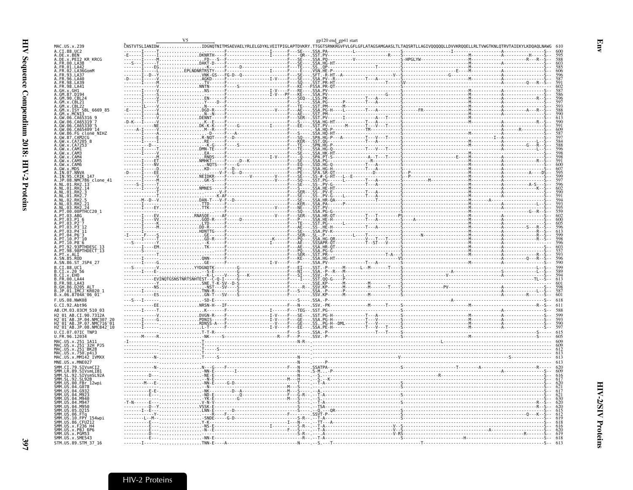|                                                                                                                 |                                                                                                                                                                                                                                                                                                                                                                                                                                                                                                                              | gp120 end gp41 start   |                                                                                                                                                                |  |
|-----------------------------------------------------------------------------------------------------------------|------------------------------------------------------------------------------------------------------------------------------------------------------------------------------------------------------------------------------------------------------------------------------------------------------------------------------------------------------------------------------------------------------------------------------------------------------------------------------------------------------------------------------|------------------------|----------------------------------------------------------------------------------------------------------------------------------------------------------------|--|
| MAC.US.x.239<br>A. CT. 88. HC2                                                                                  |                                                                                                                                                                                                                                                                                                                                                                                                                                                                                                                              |                        | .<br>ČNSTVTSLIANIDWIDGNQTNITMSAEVAELYRLELGDYKLVEITPIGLAPTDVKRY.TTGGTSRNKRGVFVLGFLGFLATAGSAMGAASLTLTAQSRTLLAGIVQQQQQLLDVVKRQQELLRLTVWGTKNLQTRVTAIEKYLKDQAQLNAWG |  |
| .DE.x.BEN                                                                                                       | $\ldots \ldots \ldots \ldots \ldots$ . DKNRTH                                                                                                                                                                                                                                                                                                                                                                                                                                                                                |                        |                                                                                                                                                                |  |
| .DE.x.PEI2 KR KRCG                                                                                              | - 1022<br>- 1022 - 1022 - 1022 - 1022 - 1022 - 1022 - 1022 - 1022 - 1022 - 1022 - 1022 - 1022 - 1022 - 1022 - 1022<br>- 1022 - 1022 - 1022 - 1022 - 1022 - 1022 - 1022 - 1022 - 1022 - 1022 - 1022 - 1022 - 1022 - 1022 - 1022 - 10<br>                                                                                                                                                                                                                                                                                      |                        |                                                                                                                                                                |  |
| FR.01                                                                                                           |                                                                                                                                                                                                                                                                                                                                                                                                                                                                                                                              |                        |                                                                                                                                                                |  |
|                                                                                                                 |                                                                                                                                                                                                                                                                                                                                                                                                                                                                                                                              |                        |                                                                                                                                                                |  |
|                                                                                                                 |                                                                                                                                                                                                                                                                                                                                                                                                                                                                                                                              |                        |                                                                                                                                                                |  |
|                                                                                                                 |                                                                                                                                                                                                                                                                                                                                                                                                                                                                                                                              |                        |                                                                                                                                                                |  |
|                                                                                                                 |                                                                                                                                                                                                                                                                                                                                                                                                                                                                                                                              |                        |                                                                                                                                                                |  |
|                                                                                                                 |                                                                                                                                                                                                                                                                                                                                                                                                                                                                                                                              |                        |                                                                                                                                                                |  |
|                                                                                                                 |                                                                                                                                                                                                                                                                                                                                                                                                                                                                                                                              |                        |                                                                                                                                                                |  |
|                                                                                                                 |                                                                                                                                                                                                                                                                                                                                                                                                                                                                                                                              |                        |                                                                                                                                                                |  |
|                                                                                                                 |                                                                                                                                                                                                                                                                                                                                                                                                                                                                                                                              |                        |                                                                                                                                                                |  |
| ISY SBL 6669 85                                                                                                 |                                                                                                                                                                                                                                                                                                                                                                                                                                                                                                                              |                        |                                                                                                                                                                |  |
|                                                                                                                 |                                                                                                                                                                                                                                                                                                                                                                                                                                                                                                                              |                        |                                                                                                                                                                |  |
|                                                                                                                 |                                                                                                                                                                                                                                                                                                                                                                                                                                                                                                                              |                        |                                                                                                                                                                |  |
|                                                                                                                 |                                                                                                                                                                                                                                                                                                                                                                                                                                                                                                                              |                        |                                                                                                                                                                |  |
| FG_clone_NIHZ                                                                                                   |                                                                                                                                                                                                                                                                                                                                                                                                                                                                                                                              |                        |                                                                                                                                                                |  |
| CAM2CG<br>GW 87                                                                                                 |                                                                                                                                                                                                                                                                                                                                                                                                                                                                                                                              |                        |                                                                                                                                                                |  |
|                                                                                                                 |                                                                                                                                                                                                                                                                                                                                                                                                                                                                                                                              |                        |                                                                                                                                                                |  |
|                                                                                                                 |                                                                                                                                                                                                                                                                                                                                                                                                                                                                                                                              |                        |                                                                                                                                                                |  |
|                                                                                                                 |                                                                                                                                                                                                                                                                                                                                                                                                                                                                                                                              |                        |                                                                                                                                                                |  |
|                                                                                                                 |                                                                                                                                                                                                                                                                                                                                                                                                                                                                                                                              |                        |                                                                                                                                                                |  |
| AM5                                                                                                             |                                                                                                                                                                                                                                                                                                                                                                                                                                                                                                                              |                        |                                                                                                                                                                |  |
| CAM6                                                                                                            |                                                                                                                                                                                                                                                                                                                                                                                                                                                                                                                              |                        |                                                                                                                                                                |  |
|                                                                                                                 |                                                                                                                                                                                                                                                                                                                                                                                                                                                                                                                              |                        |                                                                                                                                                                |  |
| .CRIK 147                                                                                                       |                                                                                                                                                                                                                                                                                                                                                                                                                                                                                                                              |                        |                                                                                                                                                                |  |
| NMC786_clone 41                                                                                                 |                                                                                                                                                                                                                                                                                                                                                                                                                                                                                                                              |                        |                                                                                                                                                                |  |
|                                                                                                                 |                                                                                                                                                                                                                                                                                                                                                                                                                                                                                                                              |                        |                                                                                                                                                                |  |
|                                                                                                                 |                                                                                                                                                                                                                                                                                                                                                                                                                                                                                                                              |                        |                                                                                                                                                                |  |
|                                                                                                                 |                                                                                                                                                                                                                                                                                                                                                                                                                                                                                                                              |                        |                                                                                                                                                                |  |
|                                                                                                                 |                                                                                                                                                                                                                                                                                                                                                                                                                                                                                                                              | .<br>.A. HR<br>.A. PA- |                                                                                                                                                                |  |
|                                                                                                                 | $\begin{array}{cccc}\n\vdots & \vdots & \vdots & \vdots & \vdots & \vdots & \vdots \\ \vdots & \vdots & \vdots & \vdots & \vdots & \vdots & \vdots \\ \vdots & \vdots & \vdots & \vdots & \vdots & \vdots & \vdots \\ \vdots & \vdots & \vdots & \vdots & \vdots & \vdots & \vdots \\ \vdots & \vdots & \vdots & \vdots & \vdots & \vdots & \vdots \\ \vdots & \vdots & \vdots & \vdots & \vdots & \vdots \\ \vdots & \vdots & \vdots & \vdots & \vdots & \vdots \\ \vdots & \vdots & \vdots & \vdots & \vdots & \vdots \\ $ |                        |                                                                                                                                                                |  |
|                                                                                                                 |                                                                                                                                                                                                                                                                                                                                                                                                                                                                                                                              |                        |                                                                                                                                                                |  |
|                                                                                                                 |                                                                                                                                                                                                                                                                                                                                                                                                                                                                                                                              |                        |                                                                                                                                                                |  |
|                                                                                                                 |                                                                                                                                                                                                                                                                                                                                                                                                                                                                                                                              |                        |                                                                                                                                                                |  |
|                                                                                                                 |                                                                                                                                                                                                                                                                                                                                                                                                                                                                                                                              |                        |                                                                                                                                                                |  |
|                                                                                                                 |                                                                                                                                                                                                                                                                                                                                                                                                                                                                                                                              |                        |                                                                                                                                                                |  |
|                                                                                                                 |                                                                                                                                                                                                                                                                                                                                                                                                                                                                                                                              |                        |                                                                                                                                                                |  |
|                                                                                                                 |                                                                                                                                                                                                                                                                                                                                                                                                                                                                                                                              |                        |                                                                                                                                                                |  |
|                                                                                                                 |                                                                                                                                                                                                                                                                                                                                                                                                                                                                                                                              |                        |                                                                                                                                                                |  |
|                                                                                                                 |                                                                                                                                                                                                                                                                                                                                                                                                                                                                                                                              |                        |                                                                                                                                                                |  |
|                                                                                                                 |                                                                                                                                                                                                                                                                                                                                                                                                                                                                                                                              |                        |                                                                                                                                                                |  |
| .SN.86.ST JSP4 27                                                                                               |                                                                                                                                                                                                                                                                                                                                                                                                                                                                                                                              |                        |                                                                                                                                                                |  |
| CT.88.UC1                                                                                                       |                                                                                                                                                                                                                                                                                                                                                                                                                                                                                                                              |                        |                                                                                                                                                                |  |
|                                                                                                                 |                                                                                                                                                                                                                                                                                                                                                                                                                                                                                                                              |                        |                                                                                                                                                                |  |
|                                                                                                                 |                                                                                                                                                                                                                                                                                                                                                                                                                                                                                                                              |                        |                                                                                                                                                                |  |
|                                                                                                                 |                                                                                                                                                                                                                                                                                                                                                                                                                                                                                                                              |                        |                                                                                                                                                                |  |
|                                                                                                                 |                                                                                                                                                                                                                                                                                                                                                                                                                                                                                                                              |                        |                                                                                                                                                                |  |
| GH.86.D205<br>JP.01.IMCJ<br>IMCJ KR020 1                                                                        |                                                                                                                                                                                                                                                                                                                                                                                                                                                                                                                              |                        |                                                                                                                                                                |  |
| .x.06.8704A <sup>-</sup> 06 01                                                                                  |                                                                                                                                                                                                                                                                                                                                                                                                                                                                                                                              |                        |                                                                                                                                                                |  |
| F.US.08.NWK08                                                                                                   |                                                                                                                                                                                                                                                                                                                                                                                                                                                                                                                              |                        |                                                                                                                                                                |  |
| G.CI.92.Abt96                                                                                                   |                                                                                                                                                                                                                                                                                                                                                                                                                                                                                                                              |                        |                                                                                                                                                                |  |
| AB.CM.03.03CM 510 03                                                                                            |                                                                                                                                                                                                                                                                                                                                                                                                                                                                                                                              |                        |                                                                                                                                                                |  |
| CT 98 73124                                                                                                     |                                                                                                                                                                                                                                                                                                                                                                                                                                                                                                                              |                        |                                                                                                                                                                |  |
| <sup>-</sup> 01 <sup>-</sup> AB.JP.04.NMC307-20<br><sup>-</sup> 01 <sup>-</sup> AB.JP.07.NMC716 <sup>-</sup> 01 |                                                                                                                                                                                                                                                                                                                                                                                                                                                                                                                              |                        |                                                                                                                                                                |  |
| H2_01_AB.JP.08.NMC842_10                                                                                        |                                                                                                                                                                                                                                                                                                                                                                                                                                                                                                                              |                        |                                                                                                                                                                |  |
| $0.\bar{C}I.\bar{0}7.07IC$ TNP3                                                                                 |                                                                                                                                                                                                                                                                                                                                                                                                                                                                                                                              |                        |                                                                                                                                                                |  |
| FR.96.12034                                                                                                     |                                                                                                                                                                                                                                                                                                                                                                                                                                                                                                                              |                        |                                                                                                                                                                |  |
|                                                                                                                 |                                                                                                                                                                                                                                                                                                                                                                                                                                                                                                                              |                        |                                                                                                                                                                |  |
| US.x.251 <sup>-32H</sup> PJ5<br>US.X<br>251 BK28                                                                |                                                                                                                                                                                                                                                                                                                                                                                                                                                                                                                              |                        |                                                                                                                                                                |  |
|                                                                                                                 |                                                                                                                                                                                                                                                                                                                                                                                                                                                                                                                              |                        |                                                                                                                                                                |  |
| MAC.US.x.MM142 IVMX)                                                                                            |                                                                                                                                                                                                                                                                                                                                                                                                                                                                                                                              |                        |                                                                                                                                                                |  |
|                                                                                                                 |                                                                                                                                                                                                                                                                                                                                                                                                                                                                                                                              |                        |                                                                                                                                                                |  |
| SMM.CI.79.SIVsmCI                                                                                               |                                                                                                                                                                                                                                                                                                                                                                                                                                                                                                                              |                        |                                                                                                                                                                |  |
| MM.LR.89.SIVsmLIB1<br>.SIVsmSL92A                                                                               |                                                                                                                                                                                                                                                                                                                                                                                                                                                                                                                              |                        |                                                                                                                                                                |  |
| SL.92.SIVsm:<br>SL.92.SL92B                                                                                     |                                                                                                                                                                                                                                                                                                                                                                                                                                                                                                                              |                        |                                                                                                                                                                |  |
| $.00.FBr$ 12wpi                                                                                                 |                                                                                                                                                                                                                                                                                                                                                                                                                                                                                                                              |                        |                                                                                                                                                                |  |
|                                                                                                                 |                                                                                                                                                                                                                                                                                                                                                                                                                                                                                                                              |                        |                                                                                                                                                                |  |
|                                                                                                                 |                                                                                                                                                                                                                                                                                                                                                                                                                                                                                                                              |                        |                                                                                                                                                                |  |
|                                                                                                                 |                                                                                                                                                                                                                                                                                                                                                                                                                                                                                                                              |                        |                                                                                                                                                                |  |
| M94                                                                                                             |                                                                                                                                                                                                                                                                                                                                                                                                                                                                                                                              |                        |                                                                                                                                                                |  |
|                                                                                                                 |                                                                                                                                                                                                                                                                                                                                                                                                                                                                                                                              |                        |                                                                                                                                                                |  |
|                                                                                                                 |                                                                                                                                                                                                                                                                                                                                                                                                                                                                                                                              |                        |                                                                                                                                                                |  |
|                                                                                                                 |                                                                                                                                                                                                                                                                                                                                                                                                                                                                                                                              |                        |                                                                                                                                                                |  |
|                                                                                                                 |                                                                                                                                                                                                                                                                                                                                                                                                                                                                                                                              |                        |                                                                                                                                                                |  |
|                                                                                                                 |                                                                                                                                                                                                                                                                                                                                                                                                                                                                                                                              |                        |                                                                                                                                                                |  |
| 236 H4                                                                                                          |                                                                                                                                                                                                                                                                                                                                                                                                                                                                                                                              |                        |                                                                                                                                                                |  |
| PBJ 6P6                                                                                                         |                                                                                                                                                                                                                                                                                                                                                                                                                                                                                                                              |                        |                                                                                                                                                                |  |
| SMM.US.x.PGM53<br>SMM.US.x.SME543                                                                               | $-MN - F$                                                                                                                                                                                                                                                                                                                                                                                                                                                                                                                    |                        |                                                                                                                                                                |  |

<span id="page-28-0"></span>Env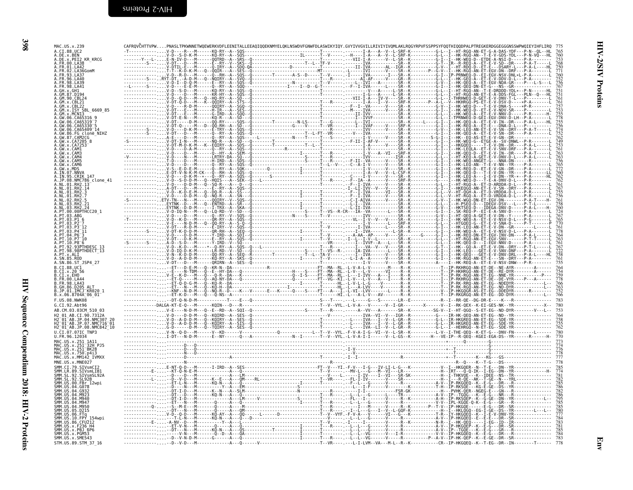| <b>KR KRCG</b>             |  |
|----------------------------|--|
|                            |  |
|                            |  |
|                            |  |
|                            |  |
|                            |  |
| 6669 85                    |  |
|                            |  |
|                            |  |
|                            |  |
|                            |  |
|                            |  |
|                            |  |
|                            |  |
|                            |  |
|                            |  |
| NMC786_clone 41            |  |
|                            |  |
|                            |  |
|                            |  |
|                            |  |
|                            |  |
|                            |  |
|                            |  |
|                            |  |
| .98PTHDECT <sup>-</sup> 13 |  |
| ST JSP4 27                 |  |
|                            |  |
| $AA$   $AA$                |  |
|                            |  |
| TMCJ KR020 1               |  |
|                            |  |
|                            |  |
|                            |  |
| AB.JP.07.NMC716 01-        |  |
| H2_01_AB.JP.08.NMC842_10   |  |
|                            |  |
| 32H PJ5                    |  |
|                            |  |
|                            |  |
|                            |  |
|                            |  |
|                            |  |
|                            |  |
|                            |  |
|                            |  |
|                            |  |
|                            |  |
|                            |  |
|                            |  |
| STM.US.89.STM 37 16        |  |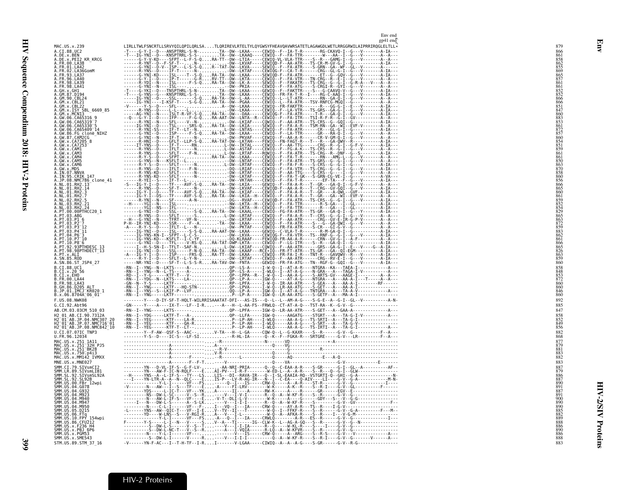|                                                                                                                                      | Env end<br>$gp41$ end                                                                                                                                                                                                                                                                                                                                                                              |
|--------------------------------------------------------------------------------------------------------------------------------------|----------------------------------------------------------------------------------------------------------------------------------------------------------------------------------------------------------------------------------------------------------------------------------------------------------------------------------------------------------------------------------------------------|
| MAC. US. x. 239                                                                                                                      |                                                                                                                                                                                                                                                                                                                                                                                                    |
| A.CI.88.UC2<br>A.DE.x.BEN                                                                                                            |                                                                                                                                                                                                                                                                                                                                                                                                    |
| A.DE.x.PEI2_KR_KRCG<br>A. ER. 00. LA38                                                                                               |                                                                                                                                                                                                                                                                                                                                                                                                    |
| A.FR.01.LA42<br>A. FR. 02. LA36GomM                                                                                                  |                                                                                                                                                                                                                                                                                                                                                                                                    |
| A.FR.93.LA37<br>A.FR.96.LA40                                                                                                         |                                                                                                                                                                                                                                                                                                                                                                                                    |
| A.FR.98.LA39<br>A.FR.98.LA41                                                                                                         |                                                                                                                                                                                                                                                                                                                                                                                                    |
| A.GH.x.GH1<br>A.GM.87.D194                                                                                                           |                                                                                                                                                                                                                                                                                                                                                                                                    |
| A.GM.90.CBL24<br>A.GM.x.CBL21<br>A.GM.x.CBL22                                                                                        |                                                                                                                                                                                                                                                                                                                                                                                                    |
| A.GM.x.ISY SBL_6669_85<br>A.GM.x.MCN13                                                                                               |                                                                                                                                                                                                                                                                                                                                                                                                    |
|                                                                                                                                      |                                                                                                                                                                                                                                                                                                                                                                                                    |
| A. GW. 06. CA65316<br>A. GW. 06. CA65319-7<br>A. GW. 06. CA65319-7<br>A. GW. 06. CA65330-5                                           |                                                                                                                                                                                                                                                                                                                                                                                                    |
|                                                                                                                                      |                                                                                                                                                                                                                                                                                                                                                                                                    |
| A. GW. 86. FG clone_NIHZ<br>A. GW. 87. CAM2CG<br>A. GW. x. CA7205_8<br>A. GW. x. CA7253                                              |                                                                                                                                                                                                                                                                                                                                                                                                    |
| A.GW.x.CAM1                                                                                                                          |                                                                                                                                                                                                                                                                                                                                                                                                    |
| A.GW.x.CAM3<br>A.GW.x.CAM4                                                                                                           |                                                                                                                                                                                                                                                                                                                                                                                                    |
| A.GW.x.CAM5<br>A.GW.x.CAM6<br>A.GW.x.MDS                                                                                             |                                                                                                                                                                                                                                                                                                                                                                                                    |
| A.IN.07.NNVA<br>A.IN.95.CRIK 147                                                                                                     |                                                                                                                                                                                                                                                                                                                                                                                                    |
| .JP.08.NMC786_clone_41                                                                                                               |                                                                                                                                                                                                                                                                                                                                                                                                    |
| A.NL.01.RH2.13<br>A.NL.01.RH2.14<br>A.NL.01.RH2.3                                                                                    |                                                                                                                                                                                                                                                                                                                                                                                                    |
| A.NL.01.RH2.7<br>A.NL.02.RH2.5                                                                                                       |                                                                                                                                                                                                                                                                                                                                                                                                    |
| A.NL.03.RH2.21<br>A. NL. 03. RH2. 24                                                                                                 |                                                                                                                                                                                                                                                                                                                                                                                                    |
| A.PT.00.00PTHCC20 1<br>A.PT.03.ABG                                                                                                   |                                                                                                                                                                                                                                                                                                                                                                                                    |
| A.PT.03.PI 6<br>A.PT.03.P2-7                                                                                                         |                                                                                                                                                                                                                                                                                                                                                                                                    |
| $A. P1.03. P3-12$<br>A.PT.03.P4 <sup>-11</sup>                                                                                       |                                                                                                                                                                                                                                                                                                                                                                                                    |
| A.PT.04.P6                                                                                                                           |                                                                                                                                                                                                                                                                                                                                                                                                    |
| A.PT.10.P7 <sup>-</sup> 10<br>A.PT.10.P8 <sup>-6</sup><br>A.PT.92.93PTHDESC_13                                                       |                                                                                                                                                                                                                                                                                                                                                                                                    |
| A. PT. 98. 98PTHDECT 13<br>A.PT.x.ALI                                                                                                |                                                                                                                                                                                                                                                                                                                                                                                                    |
| A.SN.85.ROD<br>A.SN.86.ST JSP4 27                                                                                                    |                                                                                                                                                                                                                                                                                                                                                                                                    |
| B.CI.88.UC1<br>B.CI.X.20 56                                                                                                          |                                                                                                                                                                                                                                                                                                                                                                                                    |
| B.CI.x.EHO<br>B.FR.00.LA44                                                                                                           |                                                                                                                                                                                                                                                                                                                                                                                                    |
| B.FR.98.LA43<br>B.GH.86.D205 ALT<br>B.JP.01.IMCJ KR020 1                                                                             |                                                                                                                                                                                                                                                                                                                                                                                                    |
| B.x.06.8704A 06 01                                                                                                                   |                                                                                                                                                                                                                                                                                                                                                                                                    |
| F.US.08.NWK08                                                                                                                        |                                                                                                                                                                                                                                                                                                                                                                                                    |
| G.CI.92.Abt96<br>AB.CM.03.03CM 510 03                                                                                                |                                                                                                                                                                                                                                                                                                                                                                                                    |
|                                                                                                                                      |                                                                                                                                                                                                                                                                                                                                                                                                    |
| H2 01 AB.CI.90.7312A<br>H2 01 AB.JP.04.NMC307 20<br>H2 01 AB.JP.07.NMC716 01<br>H2 01 AB.JP.03.NMC716 01<br>H2 01 AB.JP.08.NMC842 10 |                                                                                                                                                                                                                                                                                                                                                                                                    |
| U.CI.07.07IC TNP3                                                                                                                    |                                                                                                                                                                                                                                                                                                                                                                                                    |
| U.FR.96.12034                                                                                                                        |                                                                                                                                                                                                                                                                                                                                                                                                    |
| MAC.US.x.251_1A11<br>MAC.US.x.251 <sup>-</sup> 32H_PJ5<br>MAC.US.x.251-BK28                                                          |                                                                                                                                                                                                                                                                                                                                                                                                    |
| MAC.US.x.750.p4i<br>MAC.US.x.MM142 IVMXX                                                                                             |                                                                                                                                                                                                                                                                                                                                                                                                    |
| MNE.US.x.MNE027<br>SMM.CI.79.SIVsmCI2                                                                                                |                                                                                                                                                                                                                                                                                                                                                                                                    |
| SMM.LR.89.SIVSMLIB1<br>SMM.SL.92.SIVSMSL92A<br>SMM.SL.92.SL92B                                                                       |                                                                                                                                                                                                                                                                                                                                                                                                    |
| SMM.US.00.FBr 12wpi                                                                                                                  |                                                                                                                                                                                                                                                                                                                                                                                                    |
| SMM.US.04.G078<br>SMM.US.04.G932                                                                                                     |                                                                                                                                                                                                                                                                                                                                                                                                    |
| SMM. US. 04. M923<br>SMM. US. 04. M940                                                                                               | $\begin{minipage}[t]{.15\textwidth}\begin{tabular}{ c c c c c c c c c c c} \hline \textbf{11} & \textbf{12} & \textbf{13} & \textbf{14} & \textbf{15} & \textbf{16} & \textbf{16} & \textbf{17} & \textbf{18} & \textbf{18} & \textbf{19} & \textbf{19} & \textbf{19} & \textbf{19} & \textbf{19} & \textbf{19} & \textbf{19} & \textbf{19} & \textbf{19} & \textbf{19} & \textbf{19} & \textbf{1$ |
| SMM. US. 04. M947<br>SMM.US.04.M950                                                                                                  |                                                                                                                                                                                                                                                                                                                                                                                                    |
| SMM.US.05.D215                                                                                                                       |                                                                                                                                                                                                                                                                                                                                                                                                    |
| SMM.US.06.FTq<br>SMM.US.10.FPY 154wpi<br>SMM.US.86.CFU212                                                                            |                                                                                                                                                                                                                                                                                                                                                                                                    |
| SMM.US.x.F236 H4<br>SMM.US.x.PBJ 6P6                                                                                                 |                                                                                                                                                                                                                                                                                                                                                                                                    |
| SMM.US.x.PGM53<br>SMM.US.x.SME543                                                                                                    |                                                                                                                                                                                                                                                                                                                                                                                                    |
| STM.US.89.STM 37 16                                                                                                                  | -V------YN-F-AC---I--T-H-TF--I-RI-------V-LGAA-----CIWIQ--A--A--A-G----S-GR-----G-V--R-G-------------                                                                                                                                                                                                                                                                                              |

<span id="page-30-0"></span>

## HIV-2 Proteins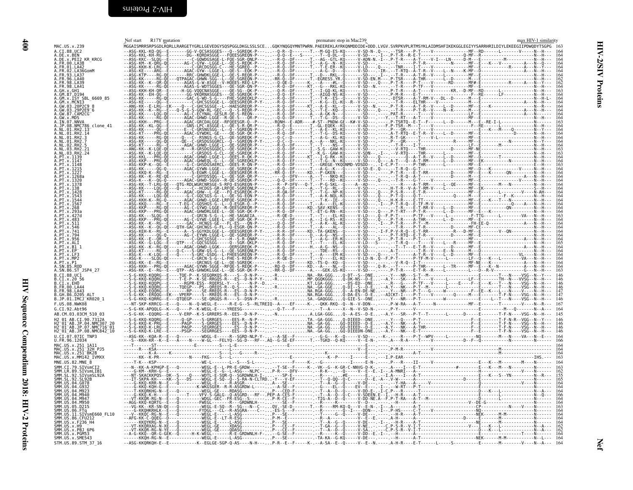<span id="page-31-0"></span>

| Ī                                               |
|-------------------------------------------------|
| ₹                                               |
|                                                 |
|                                                 |
|                                                 |
|                                                 |
|                                                 |
|                                                 |
|                                                 |
|                                                 |
|                                                 |
|                                                 |
|                                                 |
|                                                 |
|                                                 |
|                                                 |
|                                                 |
|                                                 |
|                                                 |
|                                                 |
|                                                 |
|                                                 |
|                                                 |
|                                                 |
|                                                 |
|                                                 |
|                                                 |
|                                                 |
|                                                 |
|                                                 |
|                                                 |
|                                                 |
|                                                 |
|                                                 |
|                                                 |
|                                                 |
|                                                 |
|                                                 |
|                                                 |
|                                                 |
|                                                 |
|                                                 |
|                                                 |
|                                                 |
|                                                 |
| $\frac{1}{2}$<br>i                              |
|                                                 |
| į                                               |
|                                                 |
|                                                 |
| ------                                          |
|                                                 |
|                                                 |
|                                                 |
| ۱                                               |
| <b>-</b>                                        |
|                                                 |
|                                                 |
|                                                 |
| ֧֢ׅ֚֚֚֚֚֚֚֚֚֚֚֚֚֚֚֚֚֚֚֚֚֚֚֬֓֡֓֡֓֡֓֡֬֓֓֡֓֡֓֡֓֓֡֬ |
|                                                 |
|                                                 |
|                                                 |
|                                                 |
| ì                                               |
|                                                 |
|                                                 |
| npendium 2018: H1V-Z Proteins<br>$\frac{1}{2}$  |
|                                                 |
| l                                               |
|                                                 |
| j                                               |
|                                                 |
|                                                 |
|                                                 |
|                                                 |
|                                                 |

 $\begin{array}{c}\n\textbf{400}\n\end{array}$ 

<span id="page-31-1"></span>

|                                                                                                                         | Nef start R17Y mutation |  | premature stop in Mac239 |  | max HIV-1 similarity |
|-------------------------------------------------------------------------------------------------------------------------|-------------------------|--|--------------------------|--|----------------------|
| MAC.US.x.239                                                                                                            |                         |  |                          |  |                      |
| A.CI.88.UC2<br>A.DE.x.BEN                                                                                               |                         |  |                          |  |                      |
| A.DE.x.PEI2 KR KRCG                                                                                                     |                         |  |                          |  |                      |
| .FR.00.LA38                                                                                                             |                         |  |                          |  |                      |
| A.FR.01.LA42<br>A.FR.02.LA36GomM                                                                                        |                         |  |                          |  |                      |
|                                                                                                                         |                         |  |                          |  |                      |
| FR.96.LA40<br>FR.98.LA39                                                                                                |                         |  |                          |  |                      |
| A.FR.98.LA41                                                                                                            |                         |  |                          |  |                      |
| A.GH.x.GH1                                                                                                              |                         |  |                          |  |                      |
| A.GM.87.D194<br>A.GM.x.ISY SBL 6669 85                                                                                  |                         |  |                          |  |                      |
| A.GM.x.MCN13                                                                                                            |                         |  |                          |  |                      |
| A.GW.03.20P2C9_8                                                                                                        |                         |  |                          |  |                      |
| .GW.03.29P2E9 <sup>-</sup> 6<br>A.GW.87.CAM2CG                                                                          |                         |  |                          |  |                      |
| A.GW. X.MDS<br>A. IN. 07. NNVA                                                                                          |                         |  |                          |  |                      |
|                                                                                                                         |                         |  |                          |  |                      |
| .JP.08.NMC786 clone 41<br>A.NL.01.RH2.13                                                                                |                         |  |                          |  |                      |
| A.NL.01.RH2.14                                                                                                          |                         |  |                          |  |                      |
| A.NI.01.RH2.3<br>A.NI.01.RH2.7                                                                                          |                         |  |                          |  |                      |
|                                                                                                                         |                         |  |                          |  |                      |
|                                                                                                                         |                         |  |                          |  |                      |
|                                                                                                                         |                         |  |                          |  |                      |
|                                                                                                                         |                         |  |                          |  |                      |
|                                                                                                                         |                         |  |                          |  |                      |
|                                                                                                                         |                         |  |                          |  |                      |
|                                                                                                                         |                         |  |                          |  |                      |
|                                                                                                                         |                         |  |                          |  |                      |
|                                                                                                                         |                         |  |                          |  |                      |
|                                                                                                                         |                         |  |                          |  |                      |
|                                                                                                                         |                         |  |                          |  |                      |
|                                                                                                                         |                         |  |                          |  |                      |
|                                                                                                                         |                         |  |                          |  |                      |
|                                                                                                                         |                         |  |                          |  |                      |
|                                                                                                                         |                         |  |                          |  |                      |
|                                                                                                                         |                         |  |                          |  |                      |
|                                                                                                                         |                         |  |                          |  |                      |
|                                                                                                                         |                         |  |                          |  |                      |
|                                                                                                                         |                         |  |                          |  |                      |
|                                                                                                                         |                         |  |                          |  |                      |
|                                                                                                                         |                         |  |                          |  |                      |
|                                                                                                                         |                         |  |                          |  |                      |
|                                                                                                                         |                         |  |                          |  |                      |
|                                                                                                                         |                         |  |                          |  |                      |
| A.SN.86.ST JSP4 27                                                                                                      |                         |  |                          |  |                      |
| B.CI.88.UC1                                                                                                             |                         |  |                          |  |                      |
| B.CI.x.20 56                                                                                                            |                         |  |                          |  |                      |
| B.CT.x.EHO<br>R. FR. 00 1 A44                                                                                           |                         |  |                          |  |                      |
| B. FR. 98. LA43                                                                                                         |                         |  |                          |  |                      |
|                                                                                                                         |                         |  |                          |  |                      |
| B.JP.01.IMCJ_KR020_1                                                                                                    |                         |  |                          |  |                      |
| F.US.08.NWK08                                                                                                           |                         |  |                          |  |                      |
| G.CI.92.Abt96                                                                                                           |                         |  |                          |  |                      |
| AB.CM.03.03CM 510 03                                                                                                    |                         |  |                          |  |                      |
| H2 01 AB.CI.90.7312A                                                                                                    |                         |  |                          |  |                      |
| H2 <sup>-</sup> 01 <sup>-</sup> AB.JP.04.NMC307-20<br>H2 <sup>-</sup> 01-AB.JP.07.NMC716-01<br>H2-01-AB.JP.08.NMC842_10 |                         |  |                          |  |                      |
|                                                                                                                         |                         |  |                          |  |                      |
| U.CI.07.07IC TNP3<br>U.FR.96.12034                                                                                      |                         |  |                          |  |                      |
| MAC.US.x.251 1A11                                                                                                       |                         |  |                          |  |                      |
|                                                                                                                         |                         |  |                          |  |                      |
| MAC.US.X.251-32H-PJ5<br>MAC.US.x.251-BK28                                                                               |                         |  |                          |  |                      |
| MAC.US.x.MM142 IVMXX                                                                                                    |                         |  |                          |  |                      |
| MNE.US.82.MNE 8                                                                                                         |                         |  |                          |  |                      |
| SMM.CI.79.SIVsmCI2                                                                                                      |                         |  |                          |  |                      |
| SMM.LR.89.SIVsmLIB1<br>SMM.SL.92.SIVsmSL92A                                                                             |                         |  |                          |  |                      |
| SL.92. SL92B                                                                                                            |                         |  |                          |  |                      |
|                                                                                                                         |                         |  |                          |  |                      |
| 04.M923                                                                                                                 |                         |  |                          |  |                      |
| .04.M940                                                                                                                |                         |  |                          |  |                      |
| SMM IIS 04 M947                                                                                                         |                         |  |                          |  |                      |
| $.$ D <sub>215</sub>                                                                                                    |                         |  |                          |  |                      |
|                                                                                                                         |                         |  |                          |  |                      |
| SMM.US.11.SIVsmE660 FL10                                                                                                |                         |  |                          |  |                      |
| SMM.US.86.CFU212<br>SMM.US.x.F236_H4                                                                                    |                         |  |                          |  |                      |
| SMM.US.x.H9                                                                                                             |                         |  |                          |  |                      |
|                                                                                                                         |                         |  |                          |  |                      |
| SMM.US.x.PBJ 6P6                                                                                                        |                         |  |                          |  |                      |
| SMM.US.x.PGM53<br>SMM.US.x.SME543                                                                                       |                         |  |                          |  |                      |